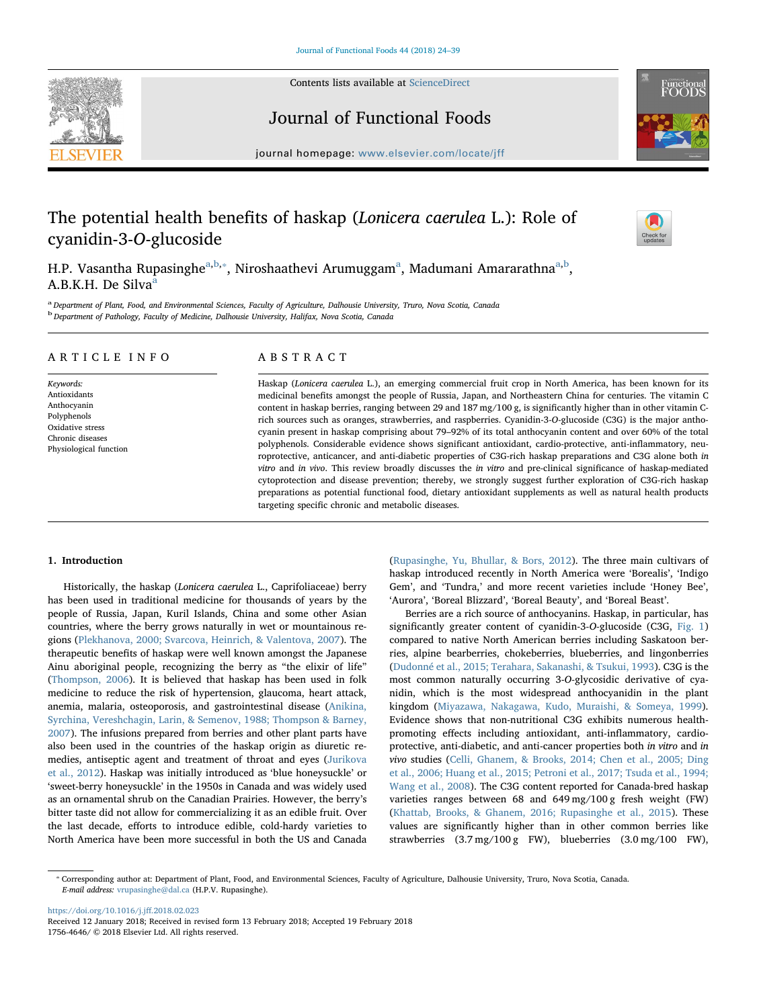

Contents lists available at [ScienceDirect](http://www.sciencedirect.com/science/journal/17564646)

Journal of Functional Foods



journal homepage: [www.elsevier.com/locate/jff](https://www.elsevier.com/locate/jff)f/

# The potential health benefits of haskap (Lonicera caerulea L.): Role of cyanidin-3-O-glucoside



H.P. Vasantha Rupasinghe<sup>[a,](#page-0-0)[b](#page-0-1),</sup>\*, Nirosh[a](#page-0-0)athevi Arumuggam<sup>a</sup>, Madumani Amararathna<sup>a,b</sup>, A.B.K.H. De Silv[a](#page-0-0)<sup>a</sup>

<span id="page-0-1"></span><span id="page-0-0"></span>a Department of Plant, Food, and Environmental Sciences, Faculty of Agriculture, Dalhousie University, Truro, Nova Scotia, Canada <sup>b</sup> Department of Pathology, Faculty of Medicine, Dalhousie University, Halifax, Nova Scotia, Canada

# ARTICLE INFO

Keywords: Antioxidants Anthocyanin Polyphenols Oxidative stress Chronic diseases Physiological function

# ABSTRACT

Haskap (Lonicera caerulea L.), an emerging commercial fruit crop in North America, has been known for its medicinal benefits amongst the people of Russia, Japan, and Northeastern China for centuries. The vitamin C content in haskap berries, ranging between 29 and 187 mg/100 g, is significantly higher than in other vitamin Crich sources such as oranges, strawberries, and raspberries. Cyanidin-3-O-glucoside (C3G) is the major anthocyanin present in haskap comprising about 79–92% of its total anthocyanin content and over 60% of the total polyphenols. Considerable evidence shows significant antioxidant, cardio-protective, anti-inflammatory, neuroprotective, anticancer, and anti-diabetic properties of C3G-rich haskap preparations and C3G alone both in vitro and in vivo. This review broadly discusses the in vitro and pre-clinical significance of haskap-mediated cytoprotection and disease prevention; thereby, we strongly suggest further exploration of C3G-rich haskap preparations as potential functional food, dietary antioxidant supplements as well as natural health products targeting specific chronic and metabolic diseases.

# 1. Introduction

Historically, the haskap (Lonicera caerulea L., Caprifoliaceae) berry has been used in traditional medicine for thousands of years by the people of Russia, Japan, Kuril Islands, China and some other Asian countries, where the berry grows naturally in wet or mountainous regions ([Plekhanova, 2000; Svarcova, Heinrich, & Valentova, 2007\)](#page-13-0). The therapeutic benefits of haskap were well known amongst the Japanese Ainu aboriginal people, recognizing the berry as "the elixir of life" ([Thompson, 2006](#page-14-0)). It is believed that haskap has been used in folk medicine to reduce the risk of hypertension, glaucoma, heart attack, anemia, malaria, osteoporosis, and gastrointestinal disease ([Anikina,](#page-11-0) [Syrchina, Vereshchagin, Larin, & Semenov, 1988; Thompson & Barney,](#page-11-0) [2007\)](#page-11-0). The infusions prepared from berries and other plant parts have also been used in the countries of the haskap origin as diuretic remedies, antiseptic agent and treatment of throat and eyes ([Jurikova](#page-13-1) [et al., 2012\)](#page-13-1). Haskap was initially introduced as 'blue honeysuckle' or 'sweet-berry honeysuckle' in the 1950s in Canada and was widely used as an ornamental shrub on the Canadian Prairies. However, the berry's bitter taste did not allow for commercializing it as an edible fruit. Over the last decade, efforts to introduce edible, cold-hardy varieties to North America have been more successful in both the US and Canada ([Rupasinghe, Yu, Bhullar, & Bors, 2012\)](#page-14-1). The three main cultivars of haskap introduced recently in North America were 'Borealis', 'Indigo Gem', and 'Tundra,' and more recent varieties include 'Honey Bee', 'Aurora', 'Boreal Blizzard', 'Boreal Beauty', and 'Boreal Beast'.

Berries are a rich source of anthocyanins. Haskap, in particular, has significantly greater content of cyanidin-3-O-glucoside (C3G, [Fig. 1\)](#page-1-0) compared to native North American berries including Saskatoon berries, alpine bearberries, chokeberries, blueberries, and lingonberries ([Dudonné et al., 2015; Terahara, Sakanashi, & Tsukui, 1993](#page-12-0)). C3G is the most common naturally occurring 3-O-glycosidic derivative of cyanidin, which is the most widespread anthocyanidin in the plant kingdom (Miyazawa, [Nakagawa, Kudo, Muraishi, & Someya, 1999](#page-13-2)). Evidence shows that non-nutritional C3G exhibits numerous healthpromoting effects including antioxidant, anti-inflammatory, cardioprotective, anti-diabetic, and anti-cancer properties both in vitro and in vivo studies [\(Celli, Ghanem, & Brooks, 2014; Chen et al., 2005; Ding](#page-12-1) [et al., 2006; Huang et al., 2015; Petroni et al., 2017; Tsuda et al., 1994;](#page-12-1) [Wang et al., 2008](#page-12-1)). The C3G content reported for Canada-bred haskap varieties ranges between 68 and 649 mg/100 g fresh weight (FW) ([Khattab, Brooks, & Ghanem, 2016; Rupasinghe et al., 2015](#page-13-3)). These values are significantly higher than in other common berries like strawberries (3.7 mg/100 g FW), blueberries (3.0 mg/100 FW),

[https://doi.org/10.1016/j.j](https://doi.org/10.1016/j.jff.2018.02.023)ff.2018.02.023 Received 12 January 2018; Received in revised form 13 February 2018; Accepted 19 February 2018 1756-4646/ © 2018 Elsevier Ltd. All rights reserved.

<span id="page-0-2"></span><sup>⁎</sup> Corresponding author at: Department of Plant, Food, and Environmental Sciences, Faculty of Agriculture, Dalhousie University, Truro, Nova Scotia, Canada. E-mail address: [vrupasinghe@dal.ca](mailto:vrupasinghe@dal.ca) (H.P.V. Rupasinghe).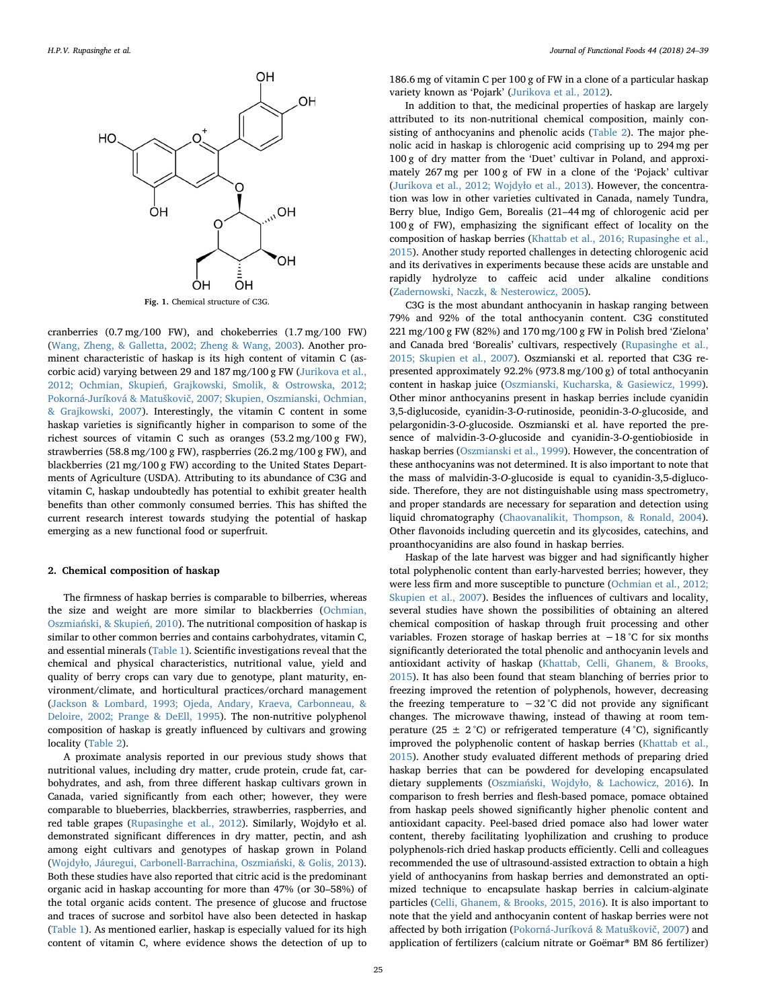<span id="page-1-0"></span>

Fig. 1. Chemical structure of C3G.

cranberries (0.7 mg/100 FW), and chokeberries (1.7 mg/100 FW) ([Wang, Zheng, & Galletta, 2002; Zheng & Wang, 2003](#page-14-2)). Another prominent characteristic of haskap is its high content of vitamin C (ascorbic acid) varying between 29 and 187 mg/100 g FW [\(Jurikova et al.,](#page-13-1) 2012; Ochmian, Skupień[, Grajkowski, Smolik, & Ostrowska, 2012;](#page-13-1) Pokorná-Juríková & Matuškovič[, 2007; Skupien, Oszmianski, Ochmian,](#page-13-1) [& Grajkowski, 2007\)](#page-13-1). Interestingly, the vitamin C content in some haskap varieties is significantly higher in comparison to some of the richest sources of vitamin C such as oranges (53.2 mg/100 g FW), strawberries (58.8 mg/100 g FW), raspberries (26.2 mg/100 g FW), and blackberries (21 mg/100 g FW) according to the United States Departments of Agriculture (USDA). Attributing to its abundance of C3G and vitamin C, haskap undoubtedly has potential to exhibit greater health benefits than other commonly consumed berries. This has shifted the current research interest towards studying the potential of haskap emerging as a new functional food or superfruit.

### 2. Chemical composition of haskap

The firmness of haskap berries is comparable to bilberries, whereas the size and weight are more similar to blackberries ([Ochmian,](#page-13-4) Oszmiań[ski, & Skupie](#page-13-4)ń, 2010). The nutritional composition of haskap is similar to other common berries and contains carbohydrates, vitamin C, and essential minerals ([Table 1\)](#page-2-0). Scientific investigations reveal that the chemical and physical characteristics, nutritional value, yield and quality of berry crops can vary due to genotype, plant maturity, environment/climate, and horticultural practices/orchard management ([Jackson & Lombard, 1993; Ojeda, Andary, Kraeva, Carbonneau, &](#page-12-2) [Deloire, 2002; Prange & DeEll, 1995](#page-12-2)). The non-nutritive polyphenol composition of haskap is greatly influenced by cultivars and growing locality [\(Table 2](#page-3-0)).

A proximate analysis reported in our previous study shows that nutritional values, including dry matter, crude protein, crude fat, carbohydrates, and ash, from three different haskap cultivars grown in Canada, varied significantly from each other; however, they were comparable to blueberries, blackberries, strawberries, raspberries, and red table grapes [\(Rupasinghe et al., 2012](#page-14-1)). Similarly, Wojdyło et al. demonstrated significant differences in dry matter, pectin, and ash among eight cultivars and genotypes of haskap grown in Poland (Wojdył[o, Jáuregui, Carbonell-Barrachina, Oszmia](#page-15-0)ński, & Golis, 2013). Both these studies have also reported that citric acid is the predominant organic acid in haskap accounting for more than 47% (or 30–58%) of the total organic acids content. The presence of glucose and fructose and traces of sucrose and sorbitol have also been detected in haskap ([Table 1\)](#page-2-0). As mentioned earlier, haskap is especially valued for its high content of vitamin C, where evidence shows the detection of up to

186.6 mg of vitamin C per 100 g of FW in a clone of a particular haskap variety known as 'Pojark' (Jurikova [et al., 2012\)](#page-13-1).

In addition to that, the medicinal properties of haskap are largely attributed to its non-nutritional chemical composition, mainly consisting of anthocyanins and phenolic acids [\(Table 2\)](#page-3-0). The major phenolic acid in haskap is chlorogenic acid comprising up to 294 mg per 100 g of dry matter from the 'Duet' cultivar in Poland, and approximately 267 mg per 100 g of FW in a clone of the 'Pojack' cultivar ([Jurikova et al., 2012; Wojdy](#page-13-1)ło et al., 2013). However, the concentration was low in other varieties cultivated in Canada, namely Tundra, Berry blue, Indigo Gem, Borealis (21–44 mg of chlorogenic acid per 100 g of FW), emphasizing the significant effect of locality on the composition of haskap berries ([Khattab et al., 2016; Rupasinghe et al.,](#page-13-3) [2015\)](#page-13-3). Another study reported challenges in detecting chlorogenic acid and its derivatives in experiments because these acids are unstable and rapidly hydrolyze to caffeic acid under alkaline conditions ([Zadernowski, Naczk, & Nesterowicz, 2005\)](#page-15-1).

C3G is the most abundant anthocyanin in haskap ranging between 79% and 92% of the total anthocyanin content. C3G constituted 221 mg/100 g FW (82%) and 170 mg/100 g FW in Polish bred 'Zielona' and Canada bred 'Borealis' cultivars, respectively [\(Rupasinghe et al.,](#page-14-3) [2015; Skupien et al., 2007](#page-14-3)). Oszmianski et al. reported that C3G represented approximately 92.2% (973.8 mg/100 g) of total anthocyanin content in haskap juice [\(Oszmianski, Kucharska, & Gasiewicz, 1999](#page-13-5)). Other minor anthocyanins present in haskap berries include cyanidin 3,5-diglucoside, cyanidin-3-O-rutinoside, peonidin-3-O-glucoside, and pelargonidin-3-O-glucoside. Oszmianski et al. have reported the presence of malvidin-3-O-glucoside and cyanidin-3-O-gentiobioside in haskap berries [\(Oszmianski et al., 1999\)](#page-13-5). However, the concentration of these anthocyanins was not determined. It is also important to note that the mass of malvidin-3-O-glucoside is equal to cyanidin-3,5-diglucoside. Therefore, they are not distinguishable using mass spectrometry, and proper standards are necessary for separation and detection using liquid chromatography [\(Chaovanalikit, Thompson, & Ronald, 2004](#page-12-3)). Other flavonoids including quercetin and its glycosides, catechins, and proanthocyanidins are also found in haskap berries.

Haskap of the late harvest was bigger and had significantly higher total polyphenolic content than early-harvested berries; however, they were less firm and more susceptible to puncture [\(Ochmian et al., 2012;](#page-13-6) [Skupien et al., 2007\)](#page-13-6). Besides the influences of cultivars and locality, several studies have shown the possibilities of obtaining an altered chemical composition of haskap through fruit processing and other variables. Frozen storage of haskap berries at −18 °C for six months significantly deteriorated the total phenolic and anthocyanin levels and antioxidant activity of haskap ([Khattab, Celli, Ghanem, & Brooks,](#page-13-7) [2015\)](#page-13-7). It has also been found that steam blanching of berries prior to freezing improved the retention of polyphenols, however, decreasing the freezing temperature to −32 °C did not provide any significant changes. The microwave thawing, instead of thawing at room temperature (25  $\pm$  2 °C) or refrigerated temperature (4 °C), significantly improved the polyphenolic content of haskap berries ([Khattab et al.,](#page-13-7) [2015\)](#page-13-7). Another study evaluated different methods of preparing dried haskap berries that can be powdered for developing encapsulated dietary supplements (Oszmiański, Wojdył[o, & Lachowicz, 2016](#page-13-8)). In comparison to fresh berries and flesh-based pomace, pomace obtained from haskap peels showed significantly higher phenolic content and antioxidant capacity. Peel-based dried pomace also had lower water content, thereby facilitating lyophilization and crushing to produce polyphenols-rich dried haskap products efficiently. Celli and colleagues recommended the use of ultrasound-assisted extraction to obtain a high yield of anthocyanins from haskap berries and demonstrated an optimized technique to encapsulate haskap berries in calcium-alginate particles ([Celli, Ghanem, & Brooks, 2015, 2016\)](#page-12-4). It is also important to note that the yield and anthocyanin content of haskap berries were not affected by both irrigation [\(Pokorná-Juríková & Matu](#page-14-4)škovič, 2007) and application of fertilizers (calcium nitrate or Goëmar® BM 86 fertilizer)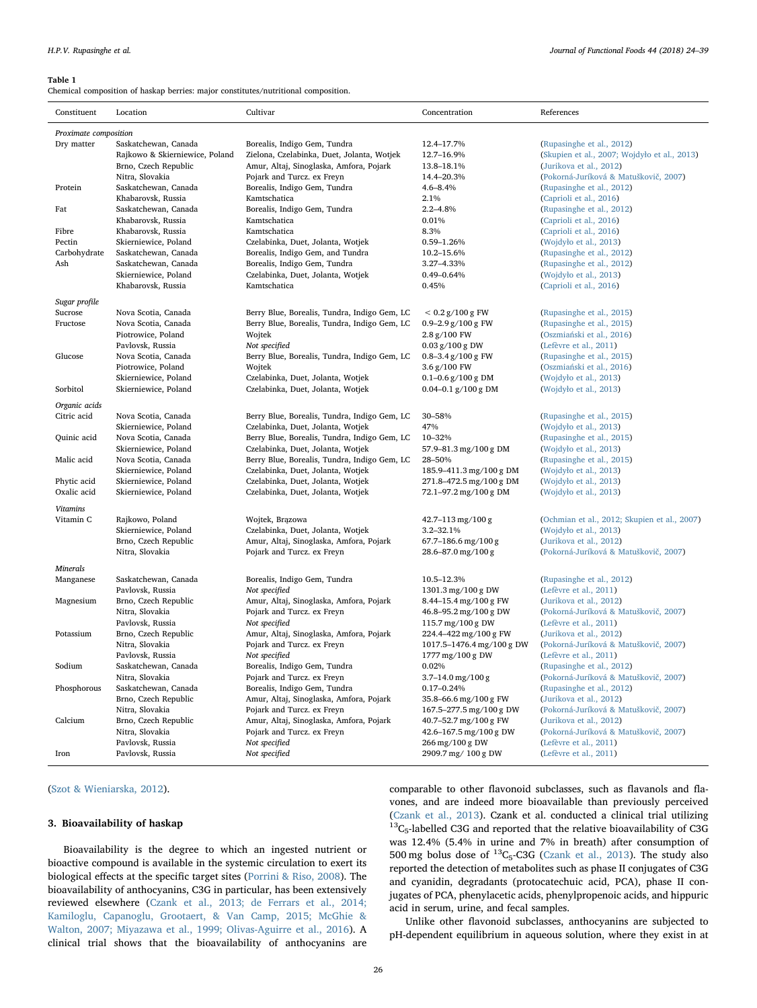<span id="page-2-0"></span>Chemical composition of haskap berries: major constitutes/nutritional composition.

| Constituent           | Location                                   | Cultivar                                                              | Concentration                                      | References                                                       |  |  |  |
|-----------------------|--------------------------------------------|-----------------------------------------------------------------------|----------------------------------------------------|------------------------------------------------------------------|--|--|--|
| Proximate composition |                                            |                                                                       |                                                    |                                                                  |  |  |  |
| Dry matter            | Saskatchewan, Canada                       | Borealis, Indigo Gem, Tundra                                          | 12.4-17.7%                                         | (Rupasinghe et al., 2012)                                        |  |  |  |
|                       | Rajkowo & Skierniewice, Poland             | Zielona, Czelabinka, Duet, Jolanta, Wotjek                            | 12.7-16.9%                                         | (Skupien et al., 2007; Wojdyło et al., 2013)                     |  |  |  |
|                       | Brno, Czech Republic                       | Amur, Altaj, Sinoglaska, Amfora, Pojark                               | 13.8-18.1%                                         | (Jurikova et al., 2012)                                          |  |  |  |
|                       | Nitra, Slovakia                            | Pojark and Turcz. ex Freyn                                            | 14.4-20.3%                                         | (Pokorná-Juríková & Matuškovič, 2007)                            |  |  |  |
| Protein               | Saskatchewan, Canada<br>Khabarovsk, Russia | Borealis, Indigo Gem, Tundra<br>Kamtschatica                          | $4.6 - 8.4%$<br>2.1%                               | (Rupasinghe et al., 2012)<br>(Caprioli et al., 2016)             |  |  |  |
| Fat                   | Saskatchewan, Canada                       | Borealis, Indigo Gem, Tundra                                          | $2.2 - 4.8%$                                       | (Rupasinghe et al., 2012)                                        |  |  |  |
|                       | Khabarovsk, Russia                         | Kamtschatica                                                          | 0.01%                                              | (Caprioli et al., 2016)                                          |  |  |  |
| Fibre                 | Khabarovsk, Russia                         | Kamtschatica                                                          | 8.3%                                               | (Caprioli et al., 2016)                                          |  |  |  |
| Pectin                | Skierniewice, Poland                       | Czelabinka, Duet, Jolanta, Wotjek                                     | $0.59 - 1.26%$                                     | (Wojdyło et al., 2013)                                           |  |  |  |
| Carbohydrate          | Saskatchewan, Canada                       | Borealis, Indigo Gem, and Tundra                                      | 10.2-15.6%                                         | (Rupasinghe et al., 2012)                                        |  |  |  |
| Ash                   | Saskatchewan, Canada                       | Borealis, Indigo Gem, Tundra                                          | 3.27-4.33%                                         | (Rupasinghe et al., 2012)                                        |  |  |  |
|                       | Skierniewice, Poland                       | Czelabinka, Duet, Jolanta, Wotjek                                     | $0.49 - 0.64%$                                     | (Wojdyło et al., 2013)                                           |  |  |  |
|                       | Khabarovsk, Russia                         | Kamtschatica                                                          | 0.45%                                              | (Caprioli et al., 2016)                                          |  |  |  |
| Sugar profile         |                                            |                                                                       |                                                    |                                                                  |  |  |  |
| Sucrose               | Nova Scotia, Canada                        | Berry Blue, Borealis, Tundra, Indigo Gem, LC                          | $< 0.2$ g/100 g FW                                 | (Rupasinghe et al., 2015)                                        |  |  |  |
| Fructose              | Nova Scotia, Canada                        | Berry Blue, Borealis, Tundra, Indigo Gem, LC                          | $0.9 - 2.9$ g/100 g FW                             | (Rupasinghe et al., 2015)                                        |  |  |  |
|                       | Piotrowice, Poland                         | Wojtek                                                                | 2.8 g/100 FW                                       | (Oszmiański et al., 2016)                                        |  |  |  |
|                       | Pavlovsk, Russia                           | Not specified                                                         | $0.03$ g/ $100$ g DW                               | (Lefèvre et al., 2011)                                           |  |  |  |
| Glucose               | Nova Scotia, Canada                        | Berry Blue, Borealis, Tundra, Indigo Gem, LC                          | 0.8-3.4 $g/100 g$ FW                               | (Rupasinghe et al., 2015)                                        |  |  |  |
|                       | Piotrowice, Poland                         | Wojtek                                                                | 3.6 g/100 FW                                       | (Oszmiański et al., 2016)                                        |  |  |  |
|                       | Skierniewice, Poland                       | Czelabinka, Duet, Jolanta, Wotjek                                     | $0.1 - 0.6$ g/100 g DM                             | (Wojdyło et al., 2013)                                           |  |  |  |
| Sorbitol              | Skierniewice, Poland                       | Czelabinka, Duet, Jolanta, Wotjek                                     | 0.04-0.1 $g/100 g$ DM                              | (Wojdyło et al., 2013)                                           |  |  |  |
| Organic acids         |                                            |                                                                       |                                                    |                                                                  |  |  |  |
| Citric acid           | Nova Scotia, Canada                        | Berry Blue, Borealis, Tundra, Indigo Gem, LC                          | 30-58%                                             | (Rupasinghe et al., 2015)                                        |  |  |  |
|                       | Skierniewice, Poland                       | Czelabinka, Duet, Jolanta, Wotjek                                     | 47%                                                | (Wojdyło et al., 2013)                                           |  |  |  |
| Quinic acid           | Nova Scotia, Canada                        | Berry Blue, Borealis, Tundra, Indigo Gem, LC                          | 10-32%                                             | (Rupasinghe et al., 2015)                                        |  |  |  |
|                       | Skierniewice, Poland                       | Czelabinka, Duet, Jolanta, Wotjek                                     | 57.9-81.3 mg/100 g DM                              | (Wojdyło et al., 2013)                                           |  |  |  |
| Malic acid            | Nova Scotia, Canada                        | Berry Blue, Borealis, Tundra, Indigo Gem, LC                          | 28-50%                                             | (Rupasinghe et al., 2015)                                        |  |  |  |
|                       | Skierniewice, Poland                       | Czelabinka, Duet, Jolanta, Wotjek                                     | 185.9-411.3 mg/100 g DM                            | (Wojdyło et al., 2013)                                           |  |  |  |
| Phytic acid           | Skierniewice, Poland                       | Czelabinka, Duet, Jolanta, Wotjek                                     | 271.8-472.5 mg/100 g DM                            | (Wojdyło et al., 2013)                                           |  |  |  |
| Oxalic acid           | Skierniewice, Poland                       | Czelabinka, Duet, Jolanta, Wotjek                                     | 72.1-97.2 mg/100 g DM                              | (Wojdyło et al., 2013)                                           |  |  |  |
| <b>Vitamins</b>       |                                            |                                                                       |                                                    |                                                                  |  |  |  |
| Vitamin C             | Rajkowo, Poland                            | Wojtek, Brazowa                                                       | $42.7 - 113$ mg/100 g                              | (Ochmian et al., 2012; Skupien et al., 2007)                     |  |  |  |
|                       | Skierniewice, Poland                       | Czelabinka, Duet, Jolanta, Wotjek                                     | 3.2-32.1%                                          | (Wojdyło et al., 2013)                                           |  |  |  |
|                       | Brno, Czech Republic                       | Amur, Altaj, Sinoglaska, Amfora, Pojark                               | $67.7 - 186.6$ mg/100 g                            | (Jurikova et al., 2012)                                          |  |  |  |
|                       | Nitra, Slovakia                            | Pojark and Turcz. ex Freyn                                            | 28.6-87.0 mg/100 g                                 | (Pokorná-Juríková & Matuškovič, 2007)                            |  |  |  |
| <b>Minerals</b>       |                                            |                                                                       |                                                    |                                                                  |  |  |  |
| Manganese             | Saskatchewan, Canada                       | Borealis, Indigo Gem, Tundra                                          | 10.5-12.3%                                         | (Rupasinghe et al., 2012)                                        |  |  |  |
|                       | Pavlovsk, Russia                           | Not specified                                                         | 1301.3 mg/100 g DW                                 | (Lefèvre et al., 2011)                                           |  |  |  |
| Magnesium             | Brno, Czech Republic                       | Amur, Altaj, Sinoglaska, Amfora, Pojark                               | 8.44-15.4 mg/100 g FW                              | (Jurikova et al., 2012)                                          |  |  |  |
|                       | Nitra, Slovakia                            | Pojark and Turcz. ex Freyn                                            | 46.8-95.2 mg/100 g DW                              | (Pokorná-Juríková & Matuškovič, 2007)                            |  |  |  |
|                       | Pavlovsk, Russia                           | Not specified                                                         | 115.7 mg/100 g DW                                  | (Lefèvre et al., 2011)                                           |  |  |  |
| Potassium             | Brno, Czech Republic<br>Nitra, Slovakia    | Amur, Altaj, Sinoglaska, Amfora, Pojark<br>Pojark and Turcz. ex Freyn | 224.4-422 mg/100 g FW<br>1017.5-1476.4 mg/100 g DW | (Jurikova et al., 2012)<br>(Pokorná-Juríková & Matuškovič, 2007) |  |  |  |
|                       | Pavlovsk, Russia                           | Not specified                                                         | 1777 mg/100 g DW                                   | (Lefèvre et al., 2011)                                           |  |  |  |
| Sodium                | Saskatchewan, Canada                       | Borealis, Indigo Gem, Tundra                                          | 0.02%                                              | (Rupasinghe et al., 2012)                                        |  |  |  |
|                       | Nitra, Slovakia                            | Pojark and Turcz. ex Freyn                                            | 3.7-14.0 mg/100 g                                  | (Pokorná-Juríková & Matuškovič, 2007)                            |  |  |  |
| Phosphorous           | Saskatchewan, Canada                       | Borealis, Indigo Gem, Tundra                                          | $0.17 - 0.24%$                                     | (Rupasinghe et al., 2012)                                        |  |  |  |
|                       | Brno, Czech Republic                       | Amur, Altaj, Sinoglaska, Amfora, Pojark                               | 35.8-66.6 mg/100 g FW                              | (Jurikova et al., 2012)                                          |  |  |  |
|                       | Nitra, Slovakia                            | Pojark and Turcz. ex Freyn                                            | 167.5-277.5 mg/100 g DW                            | (Pokorná-Juríková & Matuškovič, 2007)                            |  |  |  |
| Calcium               | Brno, Czech Republic                       | Amur, Altaj, Sinoglaska, Amfora, Pojark                               | 40.7-52.7 mg/100 g FW                              | (Jurikova et al., 2012)                                          |  |  |  |
|                       | Nitra, Slovakia                            | Pojark and Turcz. ex Freyn                                            | 42.6-167.5 mg/100 g DW                             | (Pokorná-Juríková & Matuškovič, 2007)                            |  |  |  |
|                       | Pavlovsk, Russia                           | Not specified                                                         | 266 mg/100 g DW                                    | (Lefèvre et al., 2011)                                           |  |  |  |
| Iron                  | Pavlovsk, Russia                           | Not specified                                                         | 2909.7 mg/100 g DW                                 | (Lefèvre et al., 2011)                                           |  |  |  |
|                       |                                            |                                                                       |                                                    |                                                                  |  |  |  |

#### ([Szot & Wieniarska, 2012\)](#page-14-5).

## 3. Bioavailability of haskap

Bioavailability is the degree to which an ingested nutrient or bioactive compound is available in the systemic circulation to exert its biological effects at the specific target sites [\(Porrini & Riso, 2008\)](#page-14-6). The bioavailability of anthocyanins, C3G in particular, has been extensively reviewed elsewhere [\(Czank et al., 2013; de Ferrars et al., 2014;](#page-12-5) [Kamiloglu, Capanoglu, Grootaert, & Van Camp, 2015; McGhie &](#page-12-5) [Walton, 2007; Miyazawa et al., 1999; Olivas-Aguirre et al., 2016\)](#page-12-5). A clinical trial shows that the bioavailability of anthocyanins are comparable to other flavonoid subclasses, such as flavanols and flavones, and are indeed more bioavailable than previously perceived ([Czank et al., 2013](#page-12-5)). Czank et al. conducted a clinical trial utilizing  $^{13}C_5$ -labelled C3G and reported that the relative bioavailability of C3G was 12.4% (5.4% in urine and 7% in breath) after consumption of 500 mg bolus dose of  ${}^{13}C_5$ -C3G ([Czank et al., 2013](#page-12-5)). The study also reported the detection of metabolites such as phase II conjugates of C3G and cyanidin, degradants (protocatechuic acid, PCA), phase II conjugates of PCA, phenylacetic acids, phenylpropenoic acids, and hippuric acid in serum, urine, and fecal samples.

Unlike other flavonoid subclasses, anthocyanins are subjected to pH-dependent equilibrium in aqueous solution, where they exist in at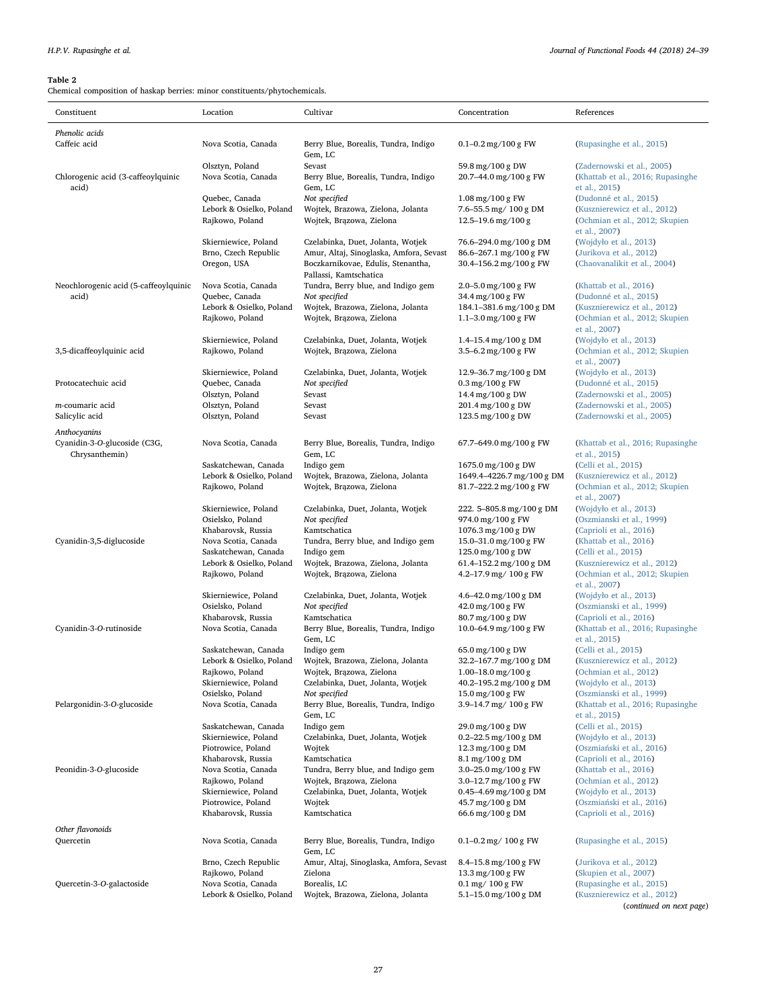<span id="page-3-0"></span>Chemical composition of haskap berries: minor constituents/phytochemicals.

| Phenolic acids<br>Caffeic acid<br>Nova Scotia, Canada<br>Berry Blue, Borealis, Tundra, Indigo<br>$0.1 - 0.2$ mg/100 g FW<br>(Rupasinghe et al., 2015)<br>Gem, LC<br>Olsztyn, Poland<br>59.8 mg/100 g DW<br>Sevast<br>(Zadernowski et al., 2005)<br>Chlorogenic acid (3-caffeoylquinic<br>Nova Scotia, Canada<br>Berry Blue, Borealis, Tundra, Indigo<br>20.7-44.0 mg/100 g FW<br>(Khattab et al., 2016; Rupasinghe<br>acid)<br>Gem, LC<br>et al., 2015)<br>Quebec, Canada<br>Not specified<br>$1.08 \,\mathrm{mg}/100 \,\mathrm{g}$ FW<br>(Dudonné et al., 2015)<br>Lebork & Osielko, Poland<br>Wojtek, Brazowa, Zielona, Jolanta<br>7.6-55.5 mg/ 100 g DM<br>(Kusznierewicz et al., 2012)<br>Wojtek, Brązowa, Zielona<br>Rajkowo, Poland<br>$12.5 - 19.6$ mg/100 g<br>(Ochmian et al., 2012; Skupien<br>et al., 2007)<br>(Wojdyło et al., 2013)<br>Skierniewice, Poland<br>Czelabinka, Duet, Jolanta, Wotjek<br>76.6-294.0 mg/100 g DM<br>Brno, Czech Republic<br>Amur, Altaj, Sinoglaska, Amfora, Sevast<br>86.6-267.1 mg/100 g FW<br>(Jurikova et al., 2012)<br>Oregon, USA<br>Boczkarnikovae, Edulis, Stenantha,<br>30.4-156.2 mg/100 g FW<br>(Chaovanalikit et al., 2004)<br>Pallassi, Kamtschatica<br>Tundra, Berry blue, and Indigo gem<br>(Khattab et al., 2016)<br>Neochlorogenic acid (5-caffeoylquinic<br>Nova Scotia, Canada<br>2.0–5.0 mg/100 g FW<br>Not specified<br>34.4 mg/100 g FW<br>(Dudonné et al., 2015)<br>acid)<br>Quebec, Canada<br>Lebork & Osielko, Poland<br>Wojtek, Brazowa, Zielona, Jolanta<br>184.1-381.6 mg/100 g DM<br>(Kusznierewicz et al., 2012)<br>Rajkowo, Poland<br>Wojtek, Brązowa, Zielona<br>$1.1 - 3.0$ mg/100 g FW<br>(Ochmian et al., 2012; Skupien<br>et al., 2007)<br>Czelabinka, Duet, Jolanta, Wotjek<br>(Wojdyło et al., 2013)<br>Skierniewice, Poland<br>$1.4 - 15.4$ mg/100 g DM<br>3,5-dicaffeoylquinic acid<br>Rajkowo, Poland<br>Wojtek, Brązowa, Zielona<br>3.5-6.2 mg/100 g FW<br>(Ochmian et al., 2012; Skupien<br>et al., 2007)<br>Czelabinka, Duet, Jolanta, Wotjek<br>(Wojdyło et al., 2013)<br>Skierniewice, Poland<br>12.9-36.7 mg/100 g DM<br>Protocatechuic acid<br>Quebec, Canada<br>Not specified<br>$0.3 \,\mathrm{mg}/100 \,\mathrm{g}$ FW<br>(Dudonné et al., 2015)<br>Olsztyn, Poland<br>14.4 mg/100 g DW<br>(Zadernowski et al., 2005)<br>Sevast<br>Olsztyn, Poland<br>201.4 mg/100 g DW<br>(Zadernowski et al., 2005)<br>m-coumaric acid<br>Sevast<br>Olsztyn, Poland<br>123.5 mg/100 g DW<br>(Zadernowski et al., 2005)<br>Salicylic acid<br>Sevast<br>Anthocyanins<br>Cyanidin-3-O-glucoside (C3G,<br>Berry Blue, Borealis, Tundra, Indigo<br>(Khattab et al., 2016; Rupasinghe<br>Nova Scotia, Canada<br>67.7-649.0 mg/100 g FW<br>Chrysanthemin)<br>Gem, LC<br>et al., 2015)<br>Saskatchewan, Canada<br>(Celli et al., 2015)<br>Indigo gem<br>1675.0 mg/100 g DW<br>Lebork & Osielko, Poland<br>Wojtek, Brazowa, Zielona, Jolanta<br>1649.4-4226.7 mg/100 g DM<br>(Kusznierewicz et al., 2012)<br>Wojtek, Brązowa, Zielona<br>81.7-222.2 mg/100 g FW<br>(Ochmian et al., 2012; Skupien<br>Rajkowo, Poland<br>et al., 2007)<br>(Wojdyło et al., 2013)<br>Skierniewice, Poland<br>Czelabinka, Duet, Jolanta, Wotjek<br>222. 5-805.8 mg/100 g DM<br>Osielsko, Poland<br>Not specified<br>974.0 mg/100 g FW<br>(Oszmianski et al., 1999)<br>Khabarovsk, Russia<br>Kamtschatica<br>1076.3 mg/100 g DW<br>(Caprioli et al., 2016)<br>Cyanidin-3,5-diglucoside<br>Tundra, Berry blue, and Indigo gem<br>15.0-31.0 mg/100 g FW<br>(Khattab et al., 2016)<br>Nova Scotia, Canada<br>125.0 mg/100 g DW<br>(Celli et al., 2015)<br>Saskatchewan, Canada<br>Indigo gem<br>Wojtek, Brazowa, Zielona, Jolanta<br>61.4-152.2 mg/100 g DM<br>Lebork & Osielko, Poland<br>(Kusznierewicz et al., 2012)<br>Wojtek, Brązowa, Zielona<br>4.2-17.9 mg/ 100 g FW<br>(Ochmian et al., 2012; Skupien<br>Rajkowo, Poland<br>et al., 2007)<br>Czelabinka, Duet, Jolanta, Wotjek<br>(Wojdyło et al., 2013)<br>Skierniewice, Poland<br>4.6-42.0 mg/100 g DM<br>Osielsko, Poland<br>Not specified<br>42.0 mg/100 g FW<br>(Oszmianski et al., 1999)<br>Khabarovsk, Russia<br>Kamtschatica<br>80.7 mg/100 g DW<br>(Caprioli et al., 2016)<br>10.0-64.9 mg/100 g FW<br>(Khattab et al., 2016; Rupasinghe<br>Cyanidin-3-O-rutinoside<br>Nova Scotia, Canada<br>Berry Blue, Borealis, Tundra, Indigo<br>Gem, LC<br>et al., 2015)<br>Indigo gem<br>65.0 mg/100 g DW<br>(Celli et al., 2015)<br>Saskatchewan, Canada<br>Lebork & Osielko, Poland<br>Wojtek, Brazowa, Zielona, Jolanta<br>32.2-167.7 mg/100 g DM<br>(Kusznierewicz et al., 2012)<br>Rajkowo, Poland<br>Wojtek, Brązowa, Zielona<br>1.00-18.0 mg/100 g<br>(Ochmian et al., 2012)<br>Skierniewice, Poland<br>Czelabinka, Duet, Jolanta, Wotjek<br>40.2-195.2 mg/100 g DM<br>(Wojdyło et al., 2013)<br>Osielsko, Poland<br>Not specified<br>15.0 mg/100 g FW<br>(Oszmianski et al., 1999)<br>Pelargonidin-3-O-glucoside<br>Berry Blue, Borealis, Tundra, Indigo<br>3.9-14.7 mg/ 100 g FW<br>Nova Scotia, Canada<br>(Khattab et al., 2016; Rupasinghe<br>Gem, LC<br>et al., 2015)<br>Saskatchewan, Canada<br>Indigo gem<br>29.0 mg/100 g DW<br>(Celli et al., 2015)<br>Skierniewice, Poland<br>Czelabinka, Duet, Jolanta, Wotjek<br>$0.2 - 22.5$ mg/100 g DM<br>(Wojdyło et al., 2013)<br>Piotrowice, Poland<br>Wojtek<br>$12.3 \,\mathrm{mg}/100 \,\mathrm{g}$ DM<br>(Oszmiański et al., 2016)<br>Khabarovsk, Russia<br>Kamtschatica<br>8.1 mg/100 g DM<br>(Caprioli et al., 2016)<br>Tundra, Berry blue, and Indigo gem<br>Peonidin-3-O-glucoside<br>Nova Scotia, Canada<br>3.0-25.0 mg/100 g $FW$<br>(Khattab et al., 2016)<br>Rajkowo, Poland<br>Wojtek, Brązowa, Zielona<br>(Ochmian et al., 2012)<br>3.0–12.7 mg/100 g FW<br>Skierniewice, Poland<br>Czelabinka, Duet, Jolanta, Wotjek<br>$0.45 - 4.69$ mg/100 g DM<br>(Wojdyło et al., 2013)<br>Piotrowice, Poland<br>45.7 mg/100 g DM<br>(Oszmiański et al., 2016)<br>Wojtek<br>Khabarovsk, Russia<br>Kamtschatica<br>66.6 mg/100 g DM<br>(Caprioli et al., 2016)<br>Other flavonoids<br>Quercetin<br>(Rupasinghe et al., 2015)<br>Nova Scotia, Canada<br>Berry Blue, Borealis, Tundra, Indigo<br>$0.1 - 0.2$ mg/ $100$ g FW<br>Gem, LC<br>Brno, Czech Republic<br>Amur, Altaj, Sinoglaska, Amfora, Sevast<br>(Jurikova et al., 2012)<br>$8.4 - 15.8$ mg/100 g FW<br>Rajkowo, Poland<br>Zielona<br>13.3 mg/100 g FW<br>(Skupien et al., 2007)<br>Quercetin-3-O-galactoside<br>Nova Scotia, Canada<br>Borealis, LC<br>$0.1 \,\mathrm{mg}/ 100 \,\mathrm{g}$ FW<br>(Rupasinghe et al., 2015)<br>Lebork & Osielko, Poland<br>Wojtek, Brazowa, Zielona, Jolanta<br>5.1-15.0 mg/100 g DM<br>(Kusznierewicz et al., 2012) | Constituent | Location | Cultivar | Concentration | References               |
|----------------------------------------------------------------------------------------------------------------------------------------------------------------------------------------------------------------------------------------------------------------------------------------------------------------------------------------------------------------------------------------------------------------------------------------------------------------------------------------------------------------------------------------------------------------------------------------------------------------------------------------------------------------------------------------------------------------------------------------------------------------------------------------------------------------------------------------------------------------------------------------------------------------------------------------------------------------------------------------------------------------------------------------------------------------------------------------------------------------------------------------------------------------------------------------------------------------------------------------------------------------------------------------------------------------------------------------------------------------------------------------------------------------------------------------------------------------------------------------------------------------------------------------------------------------------------------------------------------------------------------------------------------------------------------------------------------------------------------------------------------------------------------------------------------------------------------------------------------------------------------------------------------------------------------------------------------------------------------------------------------------------------------------------------------------------------------------------------------------------------------------------------------------------------------------------------------------------------------------------------------------------------------------------------------------------------------------------------------------------------------------------------------------------------------------------------------------------------------------------------------------------------------------------------------------------------------------------------------------------------------------------------------------------------------------------------------------------------------------------------------------------------------------------------------------------------------------------------------------------------------------------------------------------------------------------------------------------------------------------------------------------------------------------------------------------------------------------------------------------------------------------------------------------------------------------------------------------------------------------------------------------------------------------------------------------------------------------------------------------------------------------------------------------------------------------------------------------------------------------------------------------------------------------------------------------------------------------------------------------------------------------------------------------------------------------------------------------------------------------------------------------------------------------------------------------------------------------------------------------------------------------------------------------------------------------------------------------------------------------------------------------------------------------------------------------------------------------------------------------------------------------------------------------------------------------------------------------------------------------------------------------------------------------------------------------------------------------------------------------------------------------------------------------------------------------------------------------------------------------------------------------------------------------------------------------------------------------------------------------------------------------------------------------------------------------------------------------------------------------------------------------------------------------------------------------------------------------------------------------------------------------------------------------------------------------------------------------------------------------------------------------------------------------------------------------------------------------------------------------------------------------------------------------------------------------------------------------------------------------------------------------------------------------------------------------------------------------------------------------------------------------------------------------------------------------------------------------------------------------------------------------------------------------------------------------------------------------------------------------------------------------------------------------------------------------------------------------------------------------------------------------------------------------------------------------------------------------------------------------------------------------------------------------------------------------------------------------------------------------------------------------------------------------------------------------------------------------------------------------------------------------------------------------------------------------------------------------------------------------------------------------------------------------------------------------------------------------------------------------------------------------------------------------------------------------------------------------------------------------------------------------------------------------------------------------------------------------------------------------------------------------------------------------------------|-------------|----------|----------|---------------|--------------------------|
|                                                                                                                                                                                                                                                                                                                                                                                                                                                                                                                                                                                                                                                                                                                                                                                                                                                                                                                                                                                                                                                                                                                                                                                                                                                                                                                                                                                                                                                                                                                                                                                                                                                                                                                                                                                                                                                                                                                                                                                                                                                                                                                                                                                                                                                                                                                                                                                                                                                                                                                                                                                                                                                                                                                                                                                                                                                                                                                                                                                                                                                                                                                                                                                                                                                                                                                                                                                                                                                                                                                                                                                                                                                                                                                                                                                                                                                                                                                                                                                                                                                                                                                                                                                                                                                                                                                                                                                                                                                                                                                                                                                                                                                                                                                                                                                                                                                                                                                                                                                                                                                                                                                                                                                                                                                                                                                                                                                                                                                                                                                                                                                                                                                                                                                                                                                                                                                                                                                                                                                                                                                                                                                                                                                                                                                                                                                                                                                                                                                                                                                                                                                                                                                                                  |             |          |          |               |                          |
|                                                                                                                                                                                                                                                                                                                                                                                                                                                                                                                                                                                                                                                                                                                                                                                                                                                                                                                                                                                                                                                                                                                                                                                                                                                                                                                                                                                                                                                                                                                                                                                                                                                                                                                                                                                                                                                                                                                                                                                                                                                                                                                                                                                                                                                                                                                                                                                                                                                                                                                                                                                                                                                                                                                                                                                                                                                                                                                                                                                                                                                                                                                                                                                                                                                                                                                                                                                                                                                                                                                                                                                                                                                                                                                                                                                                                                                                                                                                                                                                                                                                                                                                                                                                                                                                                                                                                                                                                                                                                                                                                                                                                                                                                                                                                                                                                                                                                                                                                                                                                                                                                                                                                                                                                                                                                                                                                                                                                                                                                                                                                                                                                                                                                                                                                                                                                                                                                                                                                                                                                                                                                                                                                                                                                                                                                                                                                                                                                                                                                                                                                                                                                                                                                  |             |          |          |               |                          |
|                                                                                                                                                                                                                                                                                                                                                                                                                                                                                                                                                                                                                                                                                                                                                                                                                                                                                                                                                                                                                                                                                                                                                                                                                                                                                                                                                                                                                                                                                                                                                                                                                                                                                                                                                                                                                                                                                                                                                                                                                                                                                                                                                                                                                                                                                                                                                                                                                                                                                                                                                                                                                                                                                                                                                                                                                                                                                                                                                                                                                                                                                                                                                                                                                                                                                                                                                                                                                                                                                                                                                                                                                                                                                                                                                                                                                                                                                                                                                                                                                                                                                                                                                                                                                                                                                                                                                                                                                                                                                                                                                                                                                                                                                                                                                                                                                                                                                                                                                                                                                                                                                                                                                                                                                                                                                                                                                                                                                                                                                                                                                                                                                                                                                                                                                                                                                                                                                                                                                                                                                                                                                                                                                                                                                                                                                                                                                                                                                                                                                                                                                                                                                                                                                  |             |          |          |               |                          |
|                                                                                                                                                                                                                                                                                                                                                                                                                                                                                                                                                                                                                                                                                                                                                                                                                                                                                                                                                                                                                                                                                                                                                                                                                                                                                                                                                                                                                                                                                                                                                                                                                                                                                                                                                                                                                                                                                                                                                                                                                                                                                                                                                                                                                                                                                                                                                                                                                                                                                                                                                                                                                                                                                                                                                                                                                                                                                                                                                                                                                                                                                                                                                                                                                                                                                                                                                                                                                                                                                                                                                                                                                                                                                                                                                                                                                                                                                                                                                                                                                                                                                                                                                                                                                                                                                                                                                                                                                                                                                                                                                                                                                                                                                                                                                                                                                                                                                                                                                                                                                                                                                                                                                                                                                                                                                                                                                                                                                                                                                                                                                                                                                                                                                                                                                                                                                                                                                                                                                                                                                                                                                                                                                                                                                                                                                                                                                                                                                                                                                                                                                                                                                                                                                  |             |          |          |               |                          |
|                                                                                                                                                                                                                                                                                                                                                                                                                                                                                                                                                                                                                                                                                                                                                                                                                                                                                                                                                                                                                                                                                                                                                                                                                                                                                                                                                                                                                                                                                                                                                                                                                                                                                                                                                                                                                                                                                                                                                                                                                                                                                                                                                                                                                                                                                                                                                                                                                                                                                                                                                                                                                                                                                                                                                                                                                                                                                                                                                                                                                                                                                                                                                                                                                                                                                                                                                                                                                                                                                                                                                                                                                                                                                                                                                                                                                                                                                                                                                                                                                                                                                                                                                                                                                                                                                                                                                                                                                                                                                                                                                                                                                                                                                                                                                                                                                                                                                                                                                                                                                                                                                                                                                                                                                                                                                                                                                                                                                                                                                                                                                                                                                                                                                                                                                                                                                                                                                                                                                                                                                                                                                                                                                                                                                                                                                                                                                                                                                                                                                                                                                                                                                                                                                  |             |          |          |               |                          |
|                                                                                                                                                                                                                                                                                                                                                                                                                                                                                                                                                                                                                                                                                                                                                                                                                                                                                                                                                                                                                                                                                                                                                                                                                                                                                                                                                                                                                                                                                                                                                                                                                                                                                                                                                                                                                                                                                                                                                                                                                                                                                                                                                                                                                                                                                                                                                                                                                                                                                                                                                                                                                                                                                                                                                                                                                                                                                                                                                                                                                                                                                                                                                                                                                                                                                                                                                                                                                                                                                                                                                                                                                                                                                                                                                                                                                                                                                                                                                                                                                                                                                                                                                                                                                                                                                                                                                                                                                                                                                                                                                                                                                                                                                                                                                                                                                                                                                                                                                                                                                                                                                                                                                                                                                                                                                                                                                                                                                                                                                                                                                                                                                                                                                                                                                                                                                                                                                                                                                                                                                                                                                                                                                                                                                                                                                                                                                                                                                                                                                                                                                                                                                                                                                  |             |          |          |               |                          |
|                                                                                                                                                                                                                                                                                                                                                                                                                                                                                                                                                                                                                                                                                                                                                                                                                                                                                                                                                                                                                                                                                                                                                                                                                                                                                                                                                                                                                                                                                                                                                                                                                                                                                                                                                                                                                                                                                                                                                                                                                                                                                                                                                                                                                                                                                                                                                                                                                                                                                                                                                                                                                                                                                                                                                                                                                                                                                                                                                                                                                                                                                                                                                                                                                                                                                                                                                                                                                                                                                                                                                                                                                                                                                                                                                                                                                                                                                                                                                                                                                                                                                                                                                                                                                                                                                                                                                                                                                                                                                                                                                                                                                                                                                                                                                                                                                                                                                                                                                                                                                                                                                                                                                                                                                                                                                                                                                                                                                                                                                                                                                                                                                                                                                                                                                                                                                                                                                                                                                                                                                                                                                                                                                                                                                                                                                                                                                                                                                                                                                                                                                                                                                                                                                  |             |          |          |               |                          |
|                                                                                                                                                                                                                                                                                                                                                                                                                                                                                                                                                                                                                                                                                                                                                                                                                                                                                                                                                                                                                                                                                                                                                                                                                                                                                                                                                                                                                                                                                                                                                                                                                                                                                                                                                                                                                                                                                                                                                                                                                                                                                                                                                                                                                                                                                                                                                                                                                                                                                                                                                                                                                                                                                                                                                                                                                                                                                                                                                                                                                                                                                                                                                                                                                                                                                                                                                                                                                                                                                                                                                                                                                                                                                                                                                                                                                                                                                                                                                                                                                                                                                                                                                                                                                                                                                                                                                                                                                                                                                                                                                                                                                                                                                                                                                                                                                                                                                                                                                                                                                                                                                                                                                                                                                                                                                                                                                                                                                                                                                                                                                                                                                                                                                                                                                                                                                                                                                                                                                                                                                                                                                                                                                                                                                                                                                                                                                                                                                                                                                                                                                                                                                                                                                  |             |          |          |               |                          |
|                                                                                                                                                                                                                                                                                                                                                                                                                                                                                                                                                                                                                                                                                                                                                                                                                                                                                                                                                                                                                                                                                                                                                                                                                                                                                                                                                                                                                                                                                                                                                                                                                                                                                                                                                                                                                                                                                                                                                                                                                                                                                                                                                                                                                                                                                                                                                                                                                                                                                                                                                                                                                                                                                                                                                                                                                                                                                                                                                                                                                                                                                                                                                                                                                                                                                                                                                                                                                                                                                                                                                                                                                                                                                                                                                                                                                                                                                                                                                                                                                                                                                                                                                                                                                                                                                                                                                                                                                                                                                                                                                                                                                                                                                                                                                                                                                                                                                                                                                                                                                                                                                                                                                                                                                                                                                                                                                                                                                                                                                                                                                                                                                                                                                                                                                                                                                                                                                                                                                                                                                                                                                                                                                                                                                                                                                                                                                                                                                                                                                                                                                                                                                                                                                  |             |          |          |               |                          |
|                                                                                                                                                                                                                                                                                                                                                                                                                                                                                                                                                                                                                                                                                                                                                                                                                                                                                                                                                                                                                                                                                                                                                                                                                                                                                                                                                                                                                                                                                                                                                                                                                                                                                                                                                                                                                                                                                                                                                                                                                                                                                                                                                                                                                                                                                                                                                                                                                                                                                                                                                                                                                                                                                                                                                                                                                                                                                                                                                                                                                                                                                                                                                                                                                                                                                                                                                                                                                                                                                                                                                                                                                                                                                                                                                                                                                                                                                                                                                                                                                                                                                                                                                                                                                                                                                                                                                                                                                                                                                                                                                                                                                                                                                                                                                                                                                                                                                                                                                                                                                                                                                                                                                                                                                                                                                                                                                                                                                                                                                                                                                                                                                                                                                                                                                                                                                                                                                                                                                                                                                                                                                                                                                                                                                                                                                                                                                                                                                                                                                                                                                                                                                                                                                  |             |          |          |               |                          |
|                                                                                                                                                                                                                                                                                                                                                                                                                                                                                                                                                                                                                                                                                                                                                                                                                                                                                                                                                                                                                                                                                                                                                                                                                                                                                                                                                                                                                                                                                                                                                                                                                                                                                                                                                                                                                                                                                                                                                                                                                                                                                                                                                                                                                                                                                                                                                                                                                                                                                                                                                                                                                                                                                                                                                                                                                                                                                                                                                                                                                                                                                                                                                                                                                                                                                                                                                                                                                                                                                                                                                                                                                                                                                                                                                                                                                                                                                                                                                                                                                                                                                                                                                                                                                                                                                                                                                                                                                                                                                                                                                                                                                                                                                                                                                                                                                                                                                                                                                                                                                                                                                                                                                                                                                                                                                                                                                                                                                                                                                                                                                                                                                                                                                                                                                                                                                                                                                                                                                                                                                                                                                                                                                                                                                                                                                                                                                                                                                                                                                                                                                                                                                                                                                  |             |          |          |               |                          |
|                                                                                                                                                                                                                                                                                                                                                                                                                                                                                                                                                                                                                                                                                                                                                                                                                                                                                                                                                                                                                                                                                                                                                                                                                                                                                                                                                                                                                                                                                                                                                                                                                                                                                                                                                                                                                                                                                                                                                                                                                                                                                                                                                                                                                                                                                                                                                                                                                                                                                                                                                                                                                                                                                                                                                                                                                                                                                                                                                                                                                                                                                                                                                                                                                                                                                                                                                                                                                                                                                                                                                                                                                                                                                                                                                                                                                                                                                                                                                                                                                                                                                                                                                                                                                                                                                                                                                                                                                                                                                                                                                                                                                                                                                                                                                                                                                                                                                                                                                                                                                                                                                                                                                                                                                                                                                                                                                                                                                                                                                                                                                                                                                                                                                                                                                                                                                                                                                                                                                                                                                                                                                                                                                                                                                                                                                                                                                                                                                                                                                                                                                                                                                                                                                  |             |          |          |               |                          |
|                                                                                                                                                                                                                                                                                                                                                                                                                                                                                                                                                                                                                                                                                                                                                                                                                                                                                                                                                                                                                                                                                                                                                                                                                                                                                                                                                                                                                                                                                                                                                                                                                                                                                                                                                                                                                                                                                                                                                                                                                                                                                                                                                                                                                                                                                                                                                                                                                                                                                                                                                                                                                                                                                                                                                                                                                                                                                                                                                                                                                                                                                                                                                                                                                                                                                                                                                                                                                                                                                                                                                                                                                                                                                                                                                                                                                                                                                                                                                                                                                                                                                                                                                                                                                                                                                                                                                                                                                                                                                                                                                                                                                                                                                                                                                                                                                                                                                                                                                                                                                                                                                                                                                                                                                                                                                                                                                                                                                                                                                                                                                                                                                                                                                                                                                                                                                                                                                                                                                                                                                                                                                                                                                                                                                                                                                                                                                                                                                                                                                                                                                                                                                                                                                  |             |          |          |               |                          |
|                                                                                                                                                                                                                                                                                                                                                                                                                                                                                                                                                                                                                                                                                                                                                                                                                                                                                                                                                                                                                                                                                                                                                                                                                                                                                                                                                                                                                                                                                                                                                                                                                                                                                                                                                                                                                                                                                                                                                                                                                                                                                                                                                                                                                                                                                                                                                                                                                                                                                                                                                                                                                                                                                                                                                                                                                                                                                                                                                                                                                                                                                                                                                                                                                                                                                                                                                                                                                                                                                                                                                                                                                                                                                                                                                                                                                                                                                                                                                                                                                                                                                                                                                                                                                                                                                                                                                                                                                                                                                                                                                                                                                                                                                                                                                                                                                                                                                                                                                                                                                                                                                                                                                                                                                                                                                                                                                                                                                                                                                                                                                                                                                                                                                                                                                                                                                                                                                                                                                                                                                                                                                                                                                                                                                                                                                                                                                                                                                                                                                                                                                                                                                                                                                  |             |          |          |               |                          |
|                                                                                                                                                                                                                                                                                                                                                                                                                                                                                                                                                                                                                                                                                                                                                                                                                                                                                                                                                                                                                                                                                                                                                                                                                                                                                                                                                                                                                                                                                                                                                                                                                                                                                                                                                                                                                                                                                                                                                                                                                                                                                                                                                                                                                                                                                                                                                                                                                                                                                                                                                                                                                                                                                                                                                                                                                                                                                                                                                                                                                                                                                                                                                                                                                                                                                                                                                                                                                                                                                                                                                                                                                                                                                                                                                                                                                                                                                                                                                                                                                                                                                                                                                                                                                                                                                                                                                                                                                                                                                                                                                                                                                                                                                                                                                                                                                                                                                                                                                                                                                                                                                                                                                                                                                                                                                                                                                                                                                                                                                                                                                                                                                                                                                                                                                                                                                                                                                                                                                                                                                                                                                                                                                                                                                                                                                                                                                                                                                                                                                                                                                                                                                                                                                  |             |          |          |               |                          |
|                                                                                                                                                                                                                                                                                                                                                                                                                                                                                                                                                                                                                                                                                                                                                                                                                                                                                                                                                                                                                                                                                                                                                                                                                                                                                                                                                                                                                                                                                                                                                                                                                                                                                                                                                                                                                                                                                                                                                                                                                                                                                                                                                                                                                                                                                                                                                                                                                                                                                                                                                                                                                                                                                                                                                                                                                                                                                                                                                                                                                                                                                                                                                                                                                                                                                                                                                                                                                                                                                                                                                                                                                                                                                                                                                                                                                                                                                                                                                                                                                                                                                                                                                                                                                                                                                                                                                                                                                                                                                                                                                                                                                                                                                                                                                                                                                                                                                                                                                                                                                                                                                                                                                                                                                                                                                                                                                                                                                                                                                                                                                                                                                                                                                                                                                                                                                                                                                                                                                                                                                                                                                                                                                                                                                                                                                                                                                                                                                                                                                                                                                                                                                                                                                  |             |          |          |               |                          |
|                                                                                                                                                                                                                                                                                                                                                                                                                                                                                                                                                                                                                                                                                                                                                                                                                                                                                                                                                                                                                                                                                                                                                                                                                                                                                                                                                                                                                                                                                                                                                                                                                                                                                                                                                                                                                                                                                                                                                                                                                                                                                                                                                                                                                                                                                                                                                                                                                                                                                                                                                                                                                                                                                                                                                                                                                                                                                                                                                                                                                                                                                                                                                                                                                                                                                                                                                                                                                                                                                                                                                                                                                                                                                                                                                                                                                                                                                                                                                                                                                                                                                                                                                                                                                                                                                                                                                                                                                                                                                                                                                                                                                                                                                                                                                                                                                                                                                                                                                                                                                                                                                                                                                                                                                                                                                                                                                                                                                                                                                                                                                                                                                                                                                                                                                                                                                                                                                                                                                                                                                                                                                                                                                                                                                                                                                                                                                                                                                                                                                                                                                                                                                                                                                  |             |          |          |               |                          |
|                                                                                                                                                                                                                                                                                                                                                                                                                                                                                                                                                                                                                                                                                                                                                                                                                                                                                                                                                                                                                                                                                                                                                                                                                                                                                                                                                                                                                                                                                                                                                                                                                                                                                                                                                                                                                                                                                                                                                                                                                                                                                                                                                                                                                                                                                                                                                                                                                                                                                                                                                                                                                                                                                                                                                                                                                                                                                                                                                                                                                                                                                                                                                                                                                                                                                                                                                                                                                                                                                                                                                                                                                                                                                                                                                                                                                                                                                                                                                                                                                                                                                                                                                                                                                                                                                                                                                                                                                                                                                                                                                                                                                                                                                                                                                                                                                                                                                                                                                                                                                                                                                                                                                                                                                                                                                                                                                                                                                                                                                                                                                                                                                                                                                                                                                                                                                                                                                                                                                                                                                                                                                                                                                                                                                                                                                                                                                                                                                                                                                                                                                                                                                                                                                  |             |          |          |               |                          |
|                                                                                                                                                                                                                                                                                                                                                                                                                                                                                                                                                                                                                                                                                                                                                                                                                                                                                                                                                                                                                                                                                                                                                                                                                                                                                                                                                                                                                                                                                                                                                                                                                                                                                                                                                                                                                                                                                                                                                                                                                                                                                                                                                                                                                                                                                                                                                                                                                                                                                                                                                                                                                                                                                                                                                                                                                                                                                                                                                                                                                                                                                                                                                                                                                                                                                                                                                                                                                                                                                                                                                                                                                                                                                                                                                                                                                                                                                                                                                                                                                                                                                                                                                                                                                                                                                                                                                                                                                                                                                                                                                                                                                                                                                                                                                                                                                                                                                                                                                                                                                                                                                                                                                                                                                                                                                                                                                                                                                                                                                                                                                                                                                                                                                                                                                                                                                                                                                                                                                                                                                                                                                                                                                                                                                                                                                                                                                                                                                                                                                                                                                                                                                                                                                  |             |          |          |               |                          |
|                                                                                                                                                                                                                                                                                                                                                                                                                                                                                                                                                                                                                                                                                                                                                                                                                                                                                                                                                                                                                                                                                                                                                                                                                                                                                                                                                                                                                                                                                                                                                                                                                                                                                                                                                                                                                                                                                                                                                                                                                                                                                                                                                                                                                                                                                                                                                                                                                                                                                                                                                                                                                                                                                                                                                                                                                                                                                                                                                                                                                                                                                                                                                                                                                                                                                                                                                                                                                                                                                                                                                                                                                                                                                                                                                                                                                                                                                                                                                                                                                                                                                                                                                                                                                                                                                                                                                                                                                                                                                                                                                                                                                                                                                                                                                                                                                                                                                                                                                                                                                                                                                                                                                                                                                                                                                                                                                                                                                                                                                                                                                                                                                                                                                                                                                                                                                                                                                                                                                                                                                                                                                                                                                                                                                                                                                                                                                                                                                                                                                                                                                                                                                                                                                  |             |          |          |               |                          |
|                                                                                                                                                                                                                                                                                                                                                                                                                                                                                                                                                                                                                                                                                                                                                                                                                                                                                                                                                                                                                                                                                                                                                                                                                                                                                                                                                                                                                                                                                                                                                                                                                                                                                                                                                                                                                                                                                                                                                                                                                                                                                                                                                                                                                                                                                                                                                                                                                                                                                                                                                                                                                                                                                                                                                                                                                                                                                                                                                                                                                                                                                                                                                                                                                                                                                                                                                                                                                                                                                                                                                                                                                                                                                                                                                                                                                                                                                                                                                                                                                                                                                                                                                                                                                                                                                                                                                                                                                                                                                                                                                                                                                                                                                                                                                                                                                                                                                                                                                                                                                                                                                                                                                                                                                                                                                                                                                                                                                                                                                                                                                                                                                                                                                                                                                                                                                                                                                                                                                                                                                                                                                                                                                                                                                                                                                                                                                                                                                                                                                                                                                                                                                                                                                  |             |          |          |               |                          |
|                                                                                                                                                                                                                                                                                                                                                                                                                                                                                                                                                                                                                                                                                                                                                                                                                                                                                                                                                                                                                                                                                                                                                                                                                                                                                                                                                                                                                                                                                                                                                                                                                                                                                                                                                                                                                                                                                                                                                                                                                                                                                                                                                                                                                                                                                                                                                                                                                                                                                                                                                                                                                                                                                                                                                                                                                                                                                                                                                                                                                                                                                                                                                                                                                                                                                                                                                                                                                                                                                                                                                                                                                                                                                                                                                                                                                                                                                                                                                                                                                                                                                                                                                                                                                                                                                                                                                                                                                                                                                                                                                                                                                                                                                                                                                                                                                                                                                                                                                                                                                                                                                                                                                                                                                                                                                                                                                                                                                                                                                                                                                                                                                                                                                                                                                                                                                                                                                                                                                                                                                                                                                                                                                                                                                                                                                                                                                                                                                                                                                                                                                                                                                                                                                  |             |          |          |               |                          |
|                                                                                                                                                                                                                                                                                                                                                                                                                                                                                                                                                                                                                                                                                                                                                                                                                                                                                                                                                                                                                                                                                                                                                                                                                                                                                                                                                                                                                                                                                                                                                                                                                                                                                                                                                                                                                                                                                                                                                                                                                                                                                                                                                                                                                                                                                                                                                                                                                                                                                                                                                                                                                                                                                                                                                                                                                                                                                                                                                                                                                                                                                                                                                                                                                                                                                                                                                                                                                                                                                                                                                                                                                                                                                                                                                                                                                                                                                                                                                                                                                                                                                                                                                                                                                                                                                                                                                                                                                                                                                                                                                                                                                                                                                                                                                                                                                                                                                                                                                                                                                                                                                                                                                                                                                                                                                                                                                                                                                                                                                                                                                                                                                                                                                                                                                                                                                                                                                                                                                                                                                                                                                                                                                                                                                                                                                                                                                                                                                                                                                                                                                                                                                                                                                  |             |          |          |               |                          |
|                                                                                                                                                                                                                                                                                                                                                                                                                                                                                                                                                                                                                                                                                                                                                                                                                                                                                                                                                                                                                                                                                                                                                                                                                                                                                                                                                                                                                                                                                                                                                                                                                                                                                                                                                                                                                                                                                                                                                                                                                                                                                                                                                                                                                                                                                                                                                                                                                                                                                                                                                                                                                                                                                                                                                                                                                                                                                                                                                                                                                                                                                                                                                                                                                                                                                                                                                                                                                                                                                                                                                                                                                                                                                                                                                                                                                                                                                                                                                                                                                                                                                                                                                                                                                                                                                                                                                                                                                                                                                                                                                                                                                                                                                                                                                                                                                                                                                                                                                                                                                                                                                                                                                                                                                                                                                                                                                                                                                                                                                                                                                                                                                                                                                                                                                                                                                                                                                                                                                                                                                                                                                                                                                                                                                                                                                                                                                                                                                                                                                                                                                                                                                                                                                  |             |          |          |               |                          |
|                                                                                                                                                                                                                                                                                                                                                                                                                                                                                                                                                                                                                                                                                                                                                                                                                                                                                                                                                                                                                                                                                                                                                                                                                                                                                                                                                                                                                                                                                                                                                                                                                                                                                                                                                                                                                                                                                                                                                                                                                                                                                                                                                                                                                                                                                                                                                                                                                                                                                                                                                                                                                                                                                                                                                                                                                                                                                                                                                                                                                                                                                                                                                                                                                                                                                                                                                                                                                                                                                                                                                                                                                                                                                                                                                                                                                                                                                                                                                                                                                                                                                                                                                                                                                                                                                                                                                                                                                                                                                                                                                                                                                                                                                                                                                                                                                                                                                                                                                                                                                                                                                                                                                                                                                                                                                                                                                                                                                                                                                                                                                                                                                                                                                                                                                                                                                                                                                                                                                                                                                                                                                                                                                                                                                                                                                                                                                                                                                                                                                                                                                                                                                                                                                  |             |          |          |               |                          |
|                                                                                                                                                                                                                                                                                                                                                                                                                                                                                                                                                                                                                                                                                                                                                                                                                                                                                                                                                                                                                                                                                                                                                                                                                                                                                                                                                                                                                                                                                                                                                                                                                                                                                                                                                                                                                                                                                                                                                                                                                                                                                                                                                                                                                                                                                                                                                                                                                                                                                                                                                                                                                                                                                                                                                                                                                                                                                                                                                                                                                                                                                                                                                                                                                                                                                                                                                                                                                                                                                                                                                                                                                                                                                                                                                                                                                                                                                                                                                                                                                                                                                                                                                                                                                                                                                                                                                                                                                                                                                                                                                                                                                                                                                                                                                                                                                                                                                                                                                                                                                                                                                                                                                                                                                                                                                                                                                                                                                                                                                                                                                                                                                                                                                                                                                                                                                                                                                                                                                                                                                                                                                                                                                                                                                                                                                                                                                                                                                                                                                                                                                                                                                                                                                  |             |          |          |               |                          |
|                                                                                                                                                                                                                                                                                                                                                                                                                                                                                                                                                                                                                                                                                                                                                                                                                                                                                                                                                                                                                                                                                                                                                                                                                                                                                                                                                                                                                                                                                                                                                                                                                                                                                                                                                                                                                                                                                                                                                                                                                                                                                                                                                                                                                                                                                                                                                                                                                                                                                                                                                                                                                                                                                                                                                                                                                                                                                                                                                                                                                                                                                                                                                                                                                                                                                                                                                                                                                                                                                                                                                                                                                                                                                                                                                                                                                                                                                                                                                                                                                                                                                                                                                                                                                                                                                                                                                                                                                                                                                                                                                                                                                                                                                                                                                                                                                                                                                                                                                                                                                                                                                                                                                                                                                                                                                                                                                                                                                                                                                                                                                                                                                                                                                                                                                                                                                                                                                                                                                                                                                                                                                                                                                                                                                                                                                                                                                                                                                                                                                                                                                                                                                                                                                  |             |          |          |               |                          |
|                                                                                                                                                                                                                                                                                                                                                                                                                                                                                                                                                                                                                                                                                                                                                                                                                                                                                                                                                                                                                                                                                                                                                                                                                                                                                                                                                                                                                                                                                                                                                                                                                                                                                                                                                                                                                                                                                                                                                                                                                                                                                                                                                                                                                                                                                                                                                                                                                                                                                                                                                                                                                                                                                                                                                                                                                                                                                                                                                                                                                                                                                                                                                                                                                                                                                                                                                                                                                                                                                                                                                                                                                                                                                                                                                                                                                                                                                                                                                                                                                                                                                                                                                                                                                                                                                                                                                                                                                                                                                                                                                                                                                                                                                                                                                                                                                                                                                                                                                                                                                                                                                                                                                                                                                                                                                                                                                                                                                                                                                                                                                                                                                                                                                                                                                                                                                                                                                                                                                                                                                                                                                                                                                                                                                                                                                                                                                                                                                                                                                                                                                                                                                                                                                  |             |          |          |               |                          |
|                                                                                                                                                                                                                                                                                                                                                                                                                                                                                                                                                                                                                                                                                                                                                                                                                                                                                                                                                                                                                                                                                                                                                                                                                                                                                                                                                                                                                                                                                                                                                                                                                                                                                                                                                                                                                                                                                                                                                                                                                                                                                                                                                                                                                                                                                                                                                                                                                                                                                                                                                                                                                                                                                                                                                                                                                                                                                                                                                                                                                                                                                                                                                                                                                                                                                                                                                                                                                                                                                                                                                                                                                                                                                                                                                                                                                                                                                                                                                                                                                                                                                                                                                                                                                                                                                                                                                                                                                                                                                                                                                                                                                                                                                                                                                                                                                                                                                                                                                                                                                                                                                                                                                                                                                                                                                                                                                                                                                                                                                                                                                                                                                                                                                                                                                                                                                                                                                                                                                                                                                                                                                                                                                                                                                                                                                                                                                                                                                                                                                                                                                                                                                                                                                  |             |          |          |               |                          |
|                                                                                                                                                                                                                                                                                                                                                                                                                                                                                                                                                                                                                                                                                                                                                                                                                                                                                                                                                                                                                                                                                                                                                                                                                                                                                                                                                                                                                                                                                                                                                                                                                                                                                                                                                                                                                                                                                                                                                                                                                                                                                                                                                                                                                                                                                                                                                                                                                                                                                                                                                                                                                                                                                                                                                                                                                                                                                                                                                                                                                                                                                                                                                                                                                                                                                                                                                                                                                                                                                                                                                                                                                                                                                                                                                                                                                                                                                                                                                                                                                                                                                                                                                                                                                                                                                                                                                                                                                                                                                                                                                                                                                                                                                                                                                                                                                                                                                                                                                                                                                                                                                                                                                                                                                                                                                                                                                                                                                                                                                                                                                                                                                                                                                                                                                                                                                                                                                                                                                                                                                                                                                                                                                                                                                                                                                                                                                                                                                                                                                                                                                                                                                                                                                  |             |          |          |               |                          |
|                                                                                                                                                                                                                                                                                                                                                                                                                                                                                                                                                                                                                                                                                                                                                                                                                                                                                                                                                                                                                                                                                                                                                                                                                                                                                                                                                                                                                                                                                                                                                                                                                                                                                                                                                                                                                                                                                                                                                                                                                                                                                                                                                                                                                                                                                                                                                                                                                                                                                                                                                                                                                                                                                                                                                                                                                                                                                                                                                                                                                                                                                                                                                                                                                                                                                                                                                                                                                                                                                                                                                                                                                                                                                                                                                                                                                                                                                                                                                                                                                                                                                                                                                                                                                                                                                                                                                                                                                                                                                                                                                                                                                                                                                                                                                                                                                                                                                                                                                                                                                                                                                                                                                                                                                                                                                                                                                                                                                                                                                                                                                                                                                                                                                                                                                                                                                                                                                                                                                                                                                                                                                                                                                                                                                                                                                                                                                                                                                                                                                                                                                                                                                                                                                  |             |          |          |               |                          |
|                                                                                                                                                                                                                                                                                                                                                                                                                                                                                                                                                                                                                                                                                                                                                                                                                                                                                                                                                                                                                                                                                                                                                                                                                                                                                                                                                                                                                                                                                                                                                                                                                                                                                                                                                                                                                                                                                                                                                                                                                                                                                                                                                                                                                                                                                                                                                                                                                                                                                                                                                                                                                                                                                                                                                                                                                                                                                                                                                                                                                                                                                                                                                                                                                                                                                                                                                                                                                                                                                                                                                                                                                                                                                                                                                                                                                                                                                                                                                                                                                                                                                                                                                                                                                                                                                                                                                                                                                                                                                                                                                                                                                                                                                                                                                                                                                                                                                                                                                                                                                                                                                                                                                                                                                                                                                                                                                                                                                                                                                                                                                                                                                                                                                                                                                                                                                                                                                                                                                                                                                                                                                                                                                                                                                                                                                                                                                                                                                                                                                                                                                                                                                                                                                  |             |          |          |               |                          |
|                                                                                                                                                                                                                                                                                                                                                                                                                                                                                                                                                                                                                                                                                                                                                                                                                                                                                                                                                                                                                                                                                                                                                                                                                                                                                                                                                                                                                                                                                                                                                                                                                                                                                                                                                                                                                                                                                                                                                                                                                                                                                                                                                                                                                                                                                                                                                                                                                                                                                                                                                                                                                                                                                                                                                                                                                                                                                                                                                                                                                                                                                                                                                                                                                                                                                                                                                                                                                                                                                                                                                                                                                                                                                                                                                                                                                                                                                                                                                                                                                                                                                                                                                                                                                                                                                                                                                                                                                                                                                                                                                                                                                                                                                                                                                                                                                                                                                                                                                                                                                                                                                                                                                                                                                                                                                                                                                                                                                                                                                                                                                                                                                                                                                                                                                                                                                                                                                                                                                                                                                                                                                                                                                                                                                                                                                                                                                                                                                                                                                                                                                                                                                                                                                  |             |          |          |               |                          |
|                                                                                                                                                                                                                                                                                                                                                                                                                                                                                                                                                                                                                                                                                                                                                                                                                                                                                                                                                                                                                                                                                                                                                                                                                                                                                                                                                                                                                                                                                                                                                                                                                                                                                                                                                                                                                                                                                                                                                                                                                                                                                                                                                                                                                                                                                                                                                                                                                                                                                                                                                                                                                                                                                                                                                                                                                                                                                                                                                                                                                                                                                                                                                                                                                                                                                                                                                                                                                                                                                                                                                                                                                                                                                                                                                                                                                                                                                                                                                                                                                                                                                                                                                                                                                                                                                                                                                                                                                                                                                                                                                                                                                                                                                                                                                                                                                                                                                                                                                                                                                                                                                                                                                                                                                                                                                                                                                                                                                                                                                                                                                                                                                                                                                                                                                                                                                                                                                                                                                                                                                                                                                                                                                                                                                                                                                                                                                                                                                                                                                                                                                                                                                                                                                  |             |          |          |               |                          |
|                                                                                                                                                                                                                                                                                                                                                                                                                                                                                                                                                                                                                                                                                                                                                                                                                                                                                                                                                                                                                                                                                                                                                                                                                                                                                                                                                                                                                                                                                                                                                                                                                                                                                                                                                                                                                                                                                                                                                                                                                                                                                                                                                                                                                                                                                                                                                                                                                                                                                                                                                                                                                                                                                                                                                                                                                                                                                                                                                                                                                                                                                                                                                                                                                                                                                                                                                                                                                                                                                                                                                                                                                                                                                                                                                                                                                                                                                                                                                                                                                                                                                                                                                                                                                                                                                                                                                                                                                                                                                                                                                                                                                                                                                                                                                                                                                                                                                                                                                                                                                                                                                                                                                                                                                                                                                                                                                                                                                                                                                                                                                                                                                                                                                                                                                                                                                                                                                                                                                                                                                                                                                                                                                                                                                                                                                                                                                                                                                                                                                                                                                                                                                                                                                  |             |          |          |               |                          |
|                                                                                                                                                                                                                                                                                                                                                                                                                                                                                                                                                                                                                                                                                                                                                                                                                                                                                                                                                                                                                                                                                                                                                                                                                                                                                                                                                                                                                                                                                                                                                                                                                                                                                                                                                                                                                                                                                                                                                                                                                                                                                                                                                                                                                                                                                                                                                                                                                                                                                                                                                                                                                                                                                                                                                                                                                                                                                                                                                                                                                                                                                                                                                                                                                                                                                                                                                                                                                                                                                                                                                                                                                                                                                                                                                                                                                                                                                                                                                                                                                                                                                                                                                                                                                                                                                                                                                                                                                                                                                                                                                                                                                                                                                                                                                                                                                                                                                                                                                                                                                                                                                                                                                                                                                                                                                                                                                                                                                                                                                                                                                                                                                                                                                                                                                                                                                                                                                                                                                                                                                                                                                                                                                                                                                                                                                                                                                                                                                                                                                                                                                                                                                                                                                  |             |          |          |               |                          |
|                                                                                                                                                                                                                                                                                                                                                                                                                                                                                                                                                                                                                                                                                                                                                                                                                                                                                                                                                                                                                                                                                                                                                                                                                                                                                                                                                                                                                                                                                                                                                                                                                                                                                                                                                                                                                                                                                                                                                                                                                                                                                                                                                                                                                                                                                                                                                                                                                                                                                                                                                                                                                                                                                                                                                                                                                                                                                                                                                                                                                                                                                                                                                                                                                                                                                                                                                                                                                                                                                                                                                                                                                                                                                                                                                                                                                                                                                                                                                                                                                                                                                                                                                                                                                                                                                                                                                                                                                                                                                                                                                                                                                                                                                                                                                                                                                                                                                                                                                                                                                                                                                                                                                                                                                                                                                                                                                                                                                                                                                                                                                                                                                                                                                                                                                                                                                                                                                                                                                                                                                                                                                                                                                                                                                                                                                                                                                                                                                                                                                                                                                                                                                                                                                  |             |          |          |               |                          |
|                                                                                                                                                                                                                                                                                                                                                                                                                                                                                                                                                                                                                                                                                                                                                                                                                                                                                                                                                                                                                                                                                                                                                                                                                                                                                                                                                                                                                                                                                                                                                                                                                                                                                                                                                                                                                                                                                                                                                                                                                                                                                                                                                                                                                                                                                                                                                                                                                                                                                                                                                                                                                                                                                                                                                                                                                                                                                                                                                                                                                                                                                                                                                                                                                                                                                                                                                                                                                                                                                                                                                                                                                                                                                                                                                                                                                                                                                                                                                                                                                                                                                                                                                                                                                                                                                                                                                                                                                                                                                                                                                                                                                                                                                                                                                                                                                                                                                                                                                                                                                                                                                                                                                                                                                                                                                                                                                                                                                                                                                                                                                                                                                                                                                                                                                                                                                                                                                                                                                                                                                                                                                                                                                                                                                                                                                                                                                                                                                                                                                                                                                                                                                                                                                  |             |          |          |               |                          |
|                                                                                                                                                                                                                                                                                                                                                                                                                                                                                                                                                                                                                                                                                                                                                                                                                                                                                                                                                                                                                                                                                                                                                                                                                                                                                                                                                                                                                                                                                                                                                                                                                                                                                                                                                                                                                                                                                                                                                                                                                                                                                                                                                                                                                                                                                                                                                                                                                                                                                                                                                                                                                                                                                                                                                                                                                                                                                                                                                                                                                                                                                                                                                                                                                                                                                                                                                                                                                                                                                                                                                                                                                                                                                                                                                                                                                                                                                                                                                                                                                                                                                                                                                                                                                                                                                                                                                                                                                                                                                                                                                                                                                                                                                                                                                                                                                                                                                                                                                                                                                                                                                                                                                                                                                                                                                                                                                                                                                                                                                                                                                                                                                                                                                                                                                                                                                                                                                                                                                                                                                                                                                                                                                                                                                                                                                                                                                                                                                                                                                                                                                                                                                                                                                  |             |          |          |               |                          |
|                                                                                                                                                                                                                                                                                                                                                                                                                                                                                                                                                                                                                                                                                                                                                                                                                                                                                                                                                                                                                                                                                                                                                                                                                                                                                                                                                                                                                                                                                                                                                                                                                                                                                                                                                                                                                                                                                                                                                                                                                                                                                                                                                                                                                                                                                                                                                                                                                                                                                                                                                                                                                                                                                                                                                                                                                                                                                                                                                                                                                                                                                                                                                                                                                                                                                                                                                                                                                                                                                                                                                                                                                                                                                                                                                                                                                                                                                                                                                                                                                                                                                                                                                                                                                                                                                                                                                                                                                                                                                                                                                                                                                                                                                                                                                                                                                                                                                                                                                                                                                                                                                                                                                                                                                                                                                                                                                                                                                                                                                                                                                                                                                                                                                                                                                                                                                                                                                                                                                                                                                                                                                                                                                                                                                                                                                                                                                                                                                                                                                                                                                                                                                                                                                  |             |          |          |               |                          |
|                                                                                                                                                                                                                                                                                                                                                                                                                                                                                                                                                                                                                                                                                                                                                                                                                                                                                                                                                                                                                                                                                                                                                                                                                                                                                                                                                                                                                                                                                                                                                                                                                                                                                                                                                                                                                                                                                                                                                                                                                                                                                                                                                                                                                                                                                                                                                                                                                                                                                                                                                                                                                                                                                                                                                                                                                                                                                                                                                                                                                                                                                                                                                                                                                                                                                                                                                                                                                                                                                                                                                                                                                                                                                                                                                                                                                                                                                                                                                                                                                                                                                                                                                                                                                                                                                                                                                                                                                                                                                                                                                                                                                                                                                                                                                                                                                                                                                                                                                                                                                                                                                                                                                                                                                                                                                                                                                                                                                                                                                                                                                                                                                                                                                                                                                                                                                                                                                                                                                                                                                                                                                                                                                                                                                                                                                                                                                                                                                                                                                                                                                                                                                                                                                  |             |          |          |               |                          |
|                                                                                                                                                                                                                                                                                                                                                                                                                                                                                                                                                                                                                                                                                                                                                                                                                                                                                                                                                                                                                                                                                                                                                                                                                                                                                                                                                                                                                                                                                                                                                                                                                                                                                                                                                                                                                                                                                                                                                                                                                                                                                                                                                                                                                                                                                                                                                                                                                                                                                                                                                                                                                                                                                                                                                                                                                                                                                                                                                                                                                                                                                                                                                                                                                                                                                                                                                                                                                                                                                                                                                                                                                                                                                                                                                                                                                                                                                                                                                                                                                                                                                                                                                                                                                                                                                                                                                                                                                                                                                                                                                                                                                                                                                                                                                                                                                                                                                                                                                                                                                                                                                                                                                                                                                                                                                                                                                                                                                                                                                                                                                                                                                                                                                                                                                                                                                                                                                                                                                                                                                                                                                                                                                                                                                                                                                                                                                                                                                                                                                                                                                                                                                                                                                  |             |          |          |               |                          |
|                                                                                                                                                                                                                                                                                                                                                                                                                                                                                                                                                                                                                                                                                                                                                                                                                                                                                                                                                                                                                                                                                                                                                                                                                                                                                                                                                                                                                                                                                                                                                                                                                                                                                                                                                                                                                                                                                                                                                                                                                                                                                                                                                                                                                                                                                                                                                                                                                                                                                                                                                                                                                                                                                                                                                                                                                                                                                                                                                                                                                                                                                                                                                                                                                                                                                                                                                                                                                                                                                                                                                                                                                                                                                                                                                                                                                                                                                                                                                                                                                                                                                                                                                                                                                                                                                                                                                                                                                                                                                                                                                                                                                                                                                                                                                                                                                                                                                                                                                                                                                                                                                                                                                                                                                                                                                                                                                                                                                                                                                                                                                                                                                                                                                                                                                                                                                                                                                                                                                                                                                                                                                                                                                                                                                                                                                                                                                                                                                                                                                                                                                                                                                                                                                  |             |          |          |               |                          |
|                                                                                                                                                                                                                                                                                                                                                                                                                                                                                                                                                                                                                                                                                                                                                                                                                                                                                                                                                                                                                                                                                                                                                                                                                                                                                                                                                                                                                                                                                                                                                                                                                                                                                                                                                                                                                                                                                                                                                                                                                                                                                                                                                                                                                                                                                                                                                                                                                                                                                                                                                                                                                                                                                                                                                                                                                                                                                                                                                                                                                                                                                                                                                                                                                                                                                                                                                                                                                                                                                                                                                                                                                                                                                                                                                                                                                                                                                                                                                                                                                                                                                                                                                                                                                                                                                                                                                                                                                                                                                                                                                                                                                                                                                                                                                                                                                                                                                                                                                                                                                                                                                                                                                                                                                                                                                                                                                                                                                                                                                                                                                                                                                                                                                                                                                                                                                                                                                                                                                                                                                                                                                                                                                                                                                                                                                                                                                                                                                                                                                                                                                                                                                                                                                  |             |          |          |               | (continued on next page) |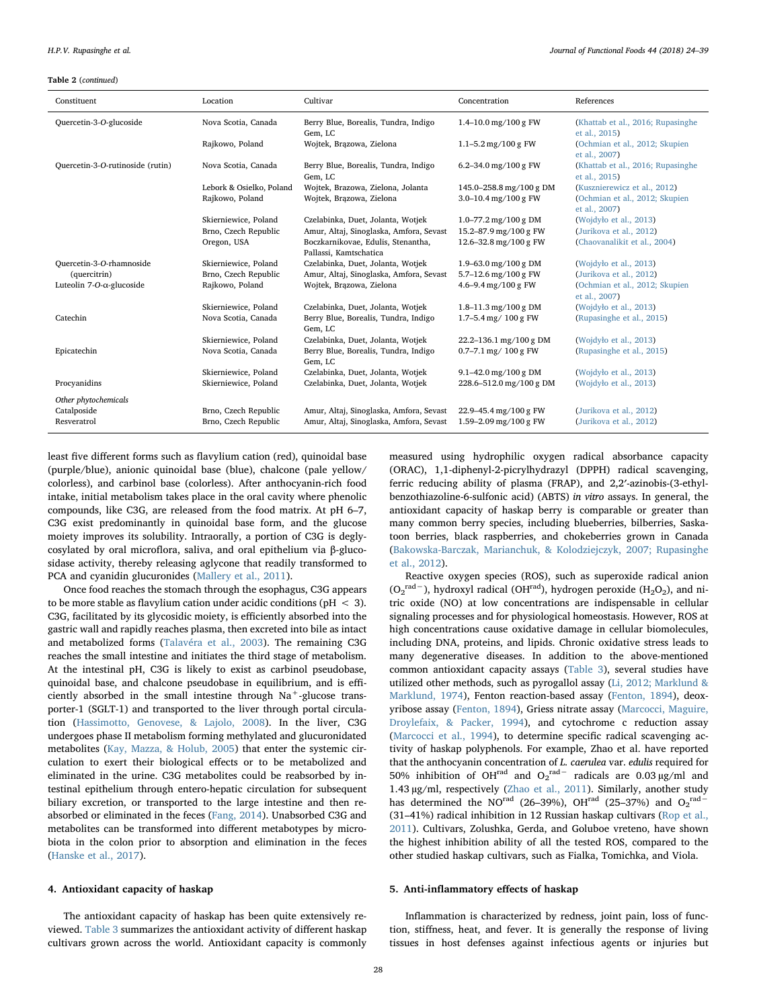#### Table 2 (continued)

| Constituent                          | Location                 | Cultivar                                                     | Concentration              | References                                         |
|--------------------------------------|--------------------------|--------------------------------------------------------------|----------------------------|----------------------------------------------------|
| Quercetin-3-O-glucoside              | Nova Scotia, Canada      | Berry Blue, Borealis, Tundra, Indigo<br>Gem, LC              | $1.4 - 10.0$ mg/100 g FW   | (Khattab et al., 2016; Rupasinghe<br>et al., 2015) |
|                                      | Rajkowo, Poland          | Wojtek, Brązowa, Zielona                                     | $1.1 - 5.2$ mg/100 g FW    | (Ochmian et al., 2012; Skupien<br>et al., 2007)    |
| Quercetin-3-O-rutinoside (rutin)     | Nova Scotia, Canada      | Berry Blue, Borealis, Tundra, Indigo<br>Gem, LC              | 6.2-34.0 mg/100 g $FW$     | (Khattab et al., 2016; Rupasinghe<br>et al., 2015) |
|                                      | Lebork & Osielko, Poland | Wojtek, Brazowa, Zielona, Jolanta                            | 145.0-258.8 mg/100 g DM    | (Kusznierewicz et al., 2012)                       |
|                                      | Rajkowo, Poland          | Wojtek, Brazowa, Zielona                                     | 3.0-10.4 mg/100 g $FW$     | (Ochmian et al., 2012; Skupien<br>et al., 2007)    |
|                                      | Skierniewice, Poland     | Czelabinka, Duet, Jolanta, Wotjek                            | $1.0 - 77.2$ mg/100 g DM   | (Wojdyło et al., 2013)                             |
|                                      | Brno, Czech Republic     | Amur, Altaj, Sinoglaska, Amfora, Sevast                      | 15.2-87.9 mg/100 g FW      | (Jurikova et al., 2012)                            |
|                                      | Oregon, USA              | Boczkarnikovae, Edulis, Stenantha,<br>Pallassi, Kamtschatica | 12.6-32.8 mg/100 g FW      | (Chaovanalikit et al., 2004)                       |
| Quercetin-3-O-rhamnoside             | Skierniewice, Poland     | Czelabinka, Duet, Jolanta, Wotjek                            | 1.9-63.0 mg/100 g DM       | (Wojdyło et al., 2013)                             |
| (quercitrin)                         | Brno, Czech Republic     | Amur, Altaj, Sinoglaska, Amfora, Sevast                      | 5.7-12.6 mg/100 g FW       | (Jurikova et al., 2012)                            |
| Luteolin $7$ -O- $\alpha$ -glucoside | Rajkowo, Poland          | Wojtek, Brazowa, Zielona                                     | 4.6-9.4 mg/100 g $FW$      | (Ochmian et al., 2012; Skupien<br>et al., 2007)    |
|                                      | Skierniewice, Poland     | Czelabinka, Duet, Jolanta, Wotjek                            | $1.8 - 11.3$ mg/100 g DM   | (Wojdyło et al., 2013)                             |
| Catechin                             | Nova Scotia, Canada      | Berry Blue, Borealis, Tundra, Indigo<br>Gem, LC              | $1.7 - 5.4$ mg/ $100$ g FW | (Rupasinghe et al., 2015)                          |
|                                      | Skierniewice, Poland     | Czelabinka, Duet, Jolanta, Wotjek                            | 22.2-136.1 mg/100 g DM     | (Wojdyło et al., 2013)                             |
| Epicatechin                          | Nova Scotia, Canada      | Berry Blue, Borealis, Tundra, Indigo<br>Gem, LC              | $0.7 - 7.1$ mg/ $100$ g FW | (Rupasinghe et al., 2015)                          |
|                                      | Skierniewice, Poland     | Czelabinka, Duet, Jolanta, Wotjek                            | $9.1 - 42.0$ mg/100 g DM   | (Wojdyło et al., 2013)                             |
| Procyanidins                         | Skierniewice, Poland     | Czelabinka, Duet, Jolanta, Wotjek                            | 228.6-512.0 mg/100 g DM    | (Wojdyło et al., 2013)                             |
| Other phytochemicals                 |                          |                                                              |                            |                                                    |
| Catalposide                          | Brno, Czech Republic     | Amur, Altaj, Sinoglaska, Amfora, Sevast                      | 22.9-45.4 mg/100 g FW      | (Jurikova et al., 2012)                            |
| Resveratrol                          | Brno, Czech Republic     | Amur, Altaj, Sinoglaska, Amfora, Sevast                      | 1.59-2.09 mg/100 g $FW$    | (Jurikova et al., 2012)                            |

least five different forms such as flavylium cation (red), quinoidal base (purple/blue), anionic quinoidal base (blue), chalcone (pale yellow/ colorless), and carbinol base (colorless). After anthocyanin-rich food intake, initial metabolism takes place in the oral cavity where phenolic compounds, like C3G, are released from the food matrix. At pH 6–7, C3G exist predominantly in quinoidal base form, and the glucose moiety improves its solubility. Intraorally, a portion of C3G is deglycosylated by oral microflora, saliva, and oral epithelium via β-glucosidase activity, thereby releasing aglycone that readily transformed to PCA and cyanidin glucuronides ([Mallery et al., 2011](#page-13-11)).

Once food reaches the stomach through the esophagus, C3G appears to be more stable as flavylium cation under acidic conditions ( $pH < 3$ ). C3G, facilitated by its glycosidic moiety, is efficiently absorbed into the gastric wall and rapidly reaches plasma, then excreted into bile as intact and metabolized forms ([Talavéra et al., 2003](#page-14-8)). The remaining C3G reaches the small intestine and initiates the third stage of metabolism. At the intestinal pH, C3G is likely to exist as carbinol pseudobase, quinoidal base, and chalcone pseudobase in equilibrium, and is efficiently absorbed in the small intestine through  $Na<sup>+</sup>$ -glucose transporter-1 (SGLT-1) and transported to the liver through portal circulation [\(Hassimotto, Genovese, & Lajolo, 2008\)](#page-12-7). In the liver, C3G undergoes phase II metabolism forming methylated and glucuronidated metabolites ([Kay, Mazza, & Holub, 2005\)](#page-13-12) that enter the systemic circulation to exert their biological effects or to be metabolized and eliminated in the urine. C3G metabolites could be reabsorbed by intestinal epithelium through entero-hepatic circulation for subsequent biliary excretion, or transported to the large intestine and then reabsorbed or eliminated in the feces ([Fang, 2014](#page-12-8)). Unabsorbed C3G and metabolites can be transformed into different metabotypes by microbiota in the colon prior to absorption and elimination in the feces ([Hanske et al., 2017\)](#page-12-9).

#### 4. Antioxidant capacity of haskap

The antioxidant capacity of haskap has been quite extensively reviewed. [Table 3](#page-5-0) summarizes the antioxidant activity of different haskap cultivars grown across the world. Antioxidant capacity is commonly

measured using hydrophilic oxygen radical absorbance capacity (ORAC), 1,1-diphenyl-2-picrylhydrazyl (DPPH) radical scavenging, ferric reducing ability of plasma (FRAP), and 2,2′-azinobis-(3-ethylbenzothiazoline-6-sulfonic acid) (ABTS) in vitro assays. In general, the antioxidant capacity of haskap berry is comparable or greater than many common berry species, including blueberries, bilberries, Saskatoon berries, black raspberries, and chokeberries grown in Canada ([Bakowska-Barczak, Marianchuk, & Kolodziejczyk, 2007; Rupasinghe](#page-11-1) [et al., 2012](#page-11-1)).

Reactive oxygen species (ROS), such as superoxide radical anion  $(O_2^{\text{rad}-})$ , hydroxyl radical (OH<sup>rad</sup>), hydrogen peroxide (H<sub>2</sub>O<sub>2</sub>), and nitric oxide (NO) at low concentrations are indispensable in cellular signaling processes and for physiological homeostasis. However, ROS at high concentrations cause oxidative damage in cellular biomolecules, including DNA, proteins, and lipids. Chronic oxidative stress leads to many degenerative diseases. In addition to the above-mentioned common antioxidant capacity assays [\(Table 3\)](#page-5-0), several studies have utilized other methods, such as pyrogallol assay [\(Li, 2012; Marklund &](#page-13-13) [Marklund, 1974\)](#page-13-13), Fenton reaction-based assay [\(Fenton, 1894\)](#page-12-10), deoxyribose assay [\(Fenton, 1894\)](#page-12-10), Griess nitrate assay [\(Marcocci, Maguire,](#page-13-14) [Droylefaix, & Packer, 1994](#page-13-14)), and cytochrome c reduction assay ([Marcocci et al., 1994](#page-13-14)), to determine specific radical scavenging activity of haskap polyphenols. For example, Zhao et al. have reported that the anthocyanin concentration of L. caerulea var. edulis required for 50% inhibition of OH<sup>rad</sup> and O<sub>2</sub><sup>rad–</sup> radicals are 0.03 µg/ml and 1.43 µg/ml, respectively [\(Zhao et al., 2011](#page-15-2)). Similarly, another study has determined the NO<sup>rad</sup> (26–39%), OH<sup>rad</sup> (25–37%) and O<sub>2</sub><sup>rad</sup><sup>-</sup> (31–41%) radical inhibition in 12 Russian haskap cultivars [\(Rop et al.,](#page-14-9) [2011\)](#page-14-9). Cultivars, Zolushka, Gerda, and Goluboe vreteno, have shown the highest inhibition ability of all the tested ROS, compared to the other studied haskap cultivars, such as Fialka, Tomichka, and Viola.

#### 5. Anti-inflammatory effects of haskap

Inflammation is characterized by redness, joint pain, loss of function, stiffness, heat, and fever. It is generally the response of living tissues in host defenses against infectious agents or injuries but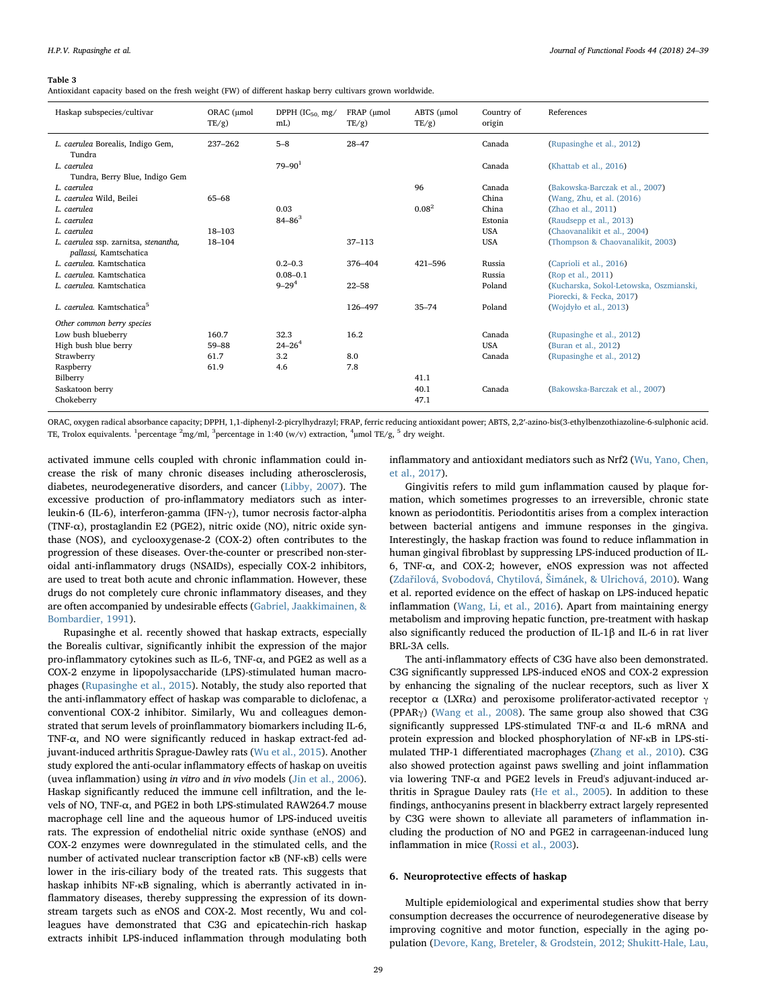<span id="page-5-0"></span>Antioxidant capacity based on the fresh weight (FW) of different haskap berry cultivars grown worldwide.

| Haskap subspecies/cultivar                                      | ORAC (umol<br>$TE/g$ ) | DPPH $(IC_{50}$ , mg/<br>mL) | FRAP (umol<br>$TE/g$ ) | ABTS (umol<br>$TE/g$ ) | Country of<br>origin | References                                                          |
|-----------------------------------------------------------------|------------------------|------------------------------|------------------------|------------------------|----------------------|---------------------------------------------------------------------|
| L. caerulea Borealis, Indigo Gem,<br>Tundra                     | 237-262                | $5 - 8$                      | $28 - 47$              |                        | Canada               | (Rupasinghe et al., 2012)                                           |
| L. caerulea<br>Tundra, Berry Blue, Indigo Gem                   |                        | $79 - 901$                   |                        |                        | Canada               | (Khattab et al., 2016)                                              |
| L. caerulea                                                     |                        |                              |                        | 96                     | Canada               | (Bakowska-Barczak et al., 2007)                                     |
| L. caerulea Wild, Beilei                                        | 65-68                  |                              |                        |                        | China                | (Wang, Zhu, et al. (2016)                                           |
| L. caerulea                                                     |                        | 0.03                         |                        | $0.08^{2}$             | China                | (Zhao et al., 2011)                                                 |
| L. caerulea                                                     |                        | $84 - 86^3$                  |                        |                        | Estonia              | (Raudsepp et al., 2013)                                             |
| L. caerulea                                                     | 18-103                 |                              |                        |                        | <b>USA</b>           | (Chaovanalikit et al., 2004)                                        |
| L. caerulea ssp. zarnitsa, stenantha,<br>pallassi, Kamtschatica | $18 - 104$             |                              | $37 - 113$             |                        | <b>USA</b>           | (Thompson & Chaovanalikit, 2003)                                    |
| L. caerulea. Kamtschatica                                       |                        | $0.2 - 0.3$                  | 376-404                | 421-596                | Russia               | (Caprioli et al., 2016)                                             |
| L. caerulea. Kamtschatica                                       |                        | $0.08 - 0.1$                 |                        |                        | Russia               | (Rop et al., 2011)                                                  |
| L. caerulea. Kamtschatica                                       |                        | $9 - 29^{4}$                 | $22 - 58$              |                        | Poland               | (Kucharska, Sokol-Letowska, Oszmianski,<br>Piorecki, & Fecka, 2017) |
| L. caerulea. Kamtschatica <sup>5</sup>                          |                        |                              | 126-497                | $35 - 74$              | Poland               | (Wojdyło et al., 2013)                                              |
| Other common berry species                                      |                        |                              |                        |                        |                      |                                                                     |
| Low bush blueberry                                              | 160.7                  | 32.3                         | 16.2                   |                        | Canada               | (Rupasinghe et al., 2012)                                           |
| High bush blue berry                                            | $59 - 88$              | $24 - 26^{4}$                |                        |                        | <b>USA</b>           | (Buran et al., 2012)                                                |
| Strawberry                                                      | 61.7                   | 3.2                          | 8.0                    |                        | Canada               | (Rupasinghe et al., 2012)                                           |
| Raspberry                                                       | 61.9                   | 4.6                          | 7.8                    |                        |                      |                                                                     |
| Bilberry                                                        |                        |                              |                        | 41.1                   |                      |                                                                     |
| Saskatoon berry                                                 |                        |                              |                        | 40.1                   | Canada               | (Bakowska-Barczak et al., 2007)                                     |
| Chokeberry                                                      |                        |                              |                        | 47.1                   |                      |                                                                     |

ORAC, oxygen radical absorbance capacity; DPPH, 1,1-diphenyl-2-picrylhydrazyl; FRAP, ferric reducing antioxidant power; ABTS, 2,2′-azino-bis(3-ethylbenzothiazoline-6-sulphonic acid. TE, Trolox equivalents. <sup>1</sup> percentage <sup>2</sup>mg/ml, <sup>3</sup> percentage in 1:40 (w/v) extraction, <sup>4</sup>µmol TE/g, <sup>5</sup> dry weight.

activated immune cells coupled with chronic inflammation could increase the risk of many chronic diseases including atherosclerosis, diabetes, neurodegenerative disorders, and cancer ([Libby, 2007](#page-13-15)). The excessive production of pro-inflammatory mediators such as interleukin-6 (IL-6), interferon-gamma (IFN-γ), tumor necrosis factor-alpha (TNF-α), prostaglandin E2 (PGE2), nitric oxide (NO), nitric oxide synthase (NOS), and cyclooxygenase-2 (COX-2) often contributes to the progression of these diseases. Over-the-counter or prescribed non-steroidal anti-inflammatory drugs (NSAIDs), especially COX-2 inhibitors, are used to treat both acute and chronic inflammation. However, these drugs do not completely cure chronic inflammatory diseases, and they are often accompanied by undesirable effects ([Gabriel, Jaakkimainen, &](#page-12-11) [Bombardier, 1991\)](#page-12-11).

Rupasinghe et al. recently showed that haskap extracts, especially the Borealis cultivar, significantly inhibit the expression of the major pro-inflammatory cytokines such as IL-6, TNF-α, and PGE2 as well as a COX-2 enzyme in lipopolysaccharide (LPS)-stimulated human macrophages [\(Rupasinghe et al., 2015\)](#page-14-3). Notably, the study also reported that the anti-inflammatory effect of haskap was comparable to diclofenac, a conventional COX-2 inhibitor. Similarly, Wu and colleagues demonstrated that serum levels of proinflammatory biomarkers including IL-6, TNF-α, and NO were significantly reduced in haskap extract-fed adjuvant-induced arthritis Sprague-Dawley rats ([Wu et al., 2015](#page-15-3)). Another study explored the anti-ocular inflammatory effects of haskap on uveitis (uvea inflammation) using in vitro and in vivo models [\(Jin et al., 2006](#page-13-16)). Haskap significantly reduced the immune cell infiltration, and the levels of NO, TNF-α, and PGE2 in both LPS-stimulated RAW264.7 mouse macrophage cell line and the aqueous humor of LPS-induced uveitis rats. The expression of endothelial nitric oxide synthase (eNOS) and COX-2 enzymes were downregulated in the stimulated cells, and the number of activated nuclear transcription factor κB (NF-κB) cells were lower in the iris-ciliary body of the treated rats. This suggests that haskap inhibits NF-κB signaling, which is aberrantly activated in inflammatory diseases, thereby suppressing the expression of its downstream targets such as eNOS and COX-2. Most recently, Wu and colleagues have demonstrated that C3G and epicatechin-rich haskap extracts inhibit LPS-induced inflammation through modulating both

inflammatory and antioxidant mediators such as Nrf2 [\(Wu, Yano, Chen,](#page-15-4) [et al., 2017](#page-15-4)).

Gingivitis refers to mild gum inflammation caused by plaque formation, which sometimes progresses to an irreversible, chronic state known as periodontitis. Periodontitis arises from a complex interaction between bacterial antigens and immune responses in the gingiva. Interestingly, the haskap fraction was found to reduce inflammation in human gingival fibroblast by suppressing LPS-induced production of IL-6, TNF-α, and COX-2; however, eNOS expression was not affected (Zdař[ilová, Svobodová, Chytilová,](#page-15-5) Šimánek, & Ulrichová, 2010). Wang et al. reported evidence on the effect of haskap on LPS-induced hepatic inflammation ([Wang, Li, et al., 2016](#page-14-10)). Apart from maintaining energy metabolism and improving hepatic function, pre-treatment with haskap also significantly reduced the production of IL-1β and IL-6 in rat liver BRL-3A cells.

The anti-inflammatory effects of C3G have also been demonstrated. C3G significantly suppressed LPS-induced eNOS and COX-2 expression by enhancing the signaling of the nuclear receptors, such as liver X receptor  $\alpha$  (LXRα) and peroxisome proliferator-activated receptor γ (PPARγ) ([Wang et al., 2008](#page-14-11)). The same group also showed that C3G significantly suppressed LPS-stimulated TNF-α and IL-6 mRNA and protein expression and blocked phosphorylation of NF-κB in LPS-stimulated THP-1 differentiated macrophages [\(Zhang et al., 2010](#page-15-6)). C3G also showed protection against paws swelling and joint inflammation via lowering TNF-α and PGE2 levels in Freud's adjuvant-induced arthritis in Sprague Dauley rats [\(He et al., 2005\)](#page-12-12). In addition to these findings, anthocyanins present in blackberry extract largely represented by C3G were shown to alleviate all parameters of inflammation including the production of NO and PGE2 in carrageenan-induced lung inflammation in mice ([Rossi et al., 2003\)](#page-14-12).

#### 6. Neuroprotective effects of haskap

Multiple epidemiological and experimental studies show that berry consumption decreases the occurrence of neurodegenerative disease by improving cognitive and motor function, especially in the aging population [\(Devore, Kang, Breteler, & Grodstein, 2012; Shukitt-Hale, Lau,](#page-12-13)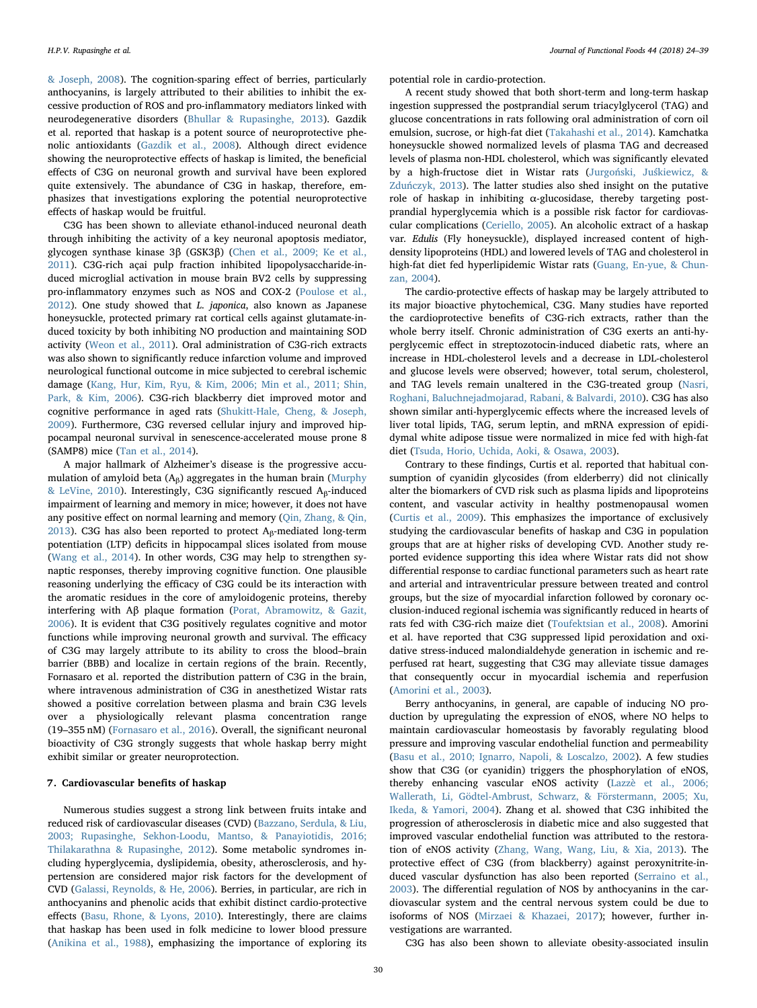[& Joseph, 2008](#page-12-13)). The cognition-sparing effect of berries, particularly anthocyanins, is largely attributed to their abilities to inhibit the excessive production of ROS and pro-inflammatory mediators linked with neurodegenerative disorders ([Bhullar & Rupasinghe, 2013](#page-11-2)). Gazdik et al. reported that haskap is a potent source of neuroprotective phenolic antioxidants ([Gazdik et al., 2008](#page-12-15)). Although direct evidence showing the neuroprotective effects of haskap is limited, the beneficial effects of C3G on neuronal growth and survival have been explored quite extensively. The abundance of C3G in haskap, therefore, emphasizes that investigations exploring the potential neuroprotective effects of haskap would be fruitful.

C3G has been shown to alleviate ethanol-induced neuronal death through inhibiting the activity of a key neuronal apoptosis mediator, glycogen synthase kinase 3β (GSK3β) [\(Chen et al., 2009; Ke et al.,](#page-12-16) [2011\)](#page-12-16). C3G-rich açai pulp fraction inhibited lipopolysaccharide-induced microglial activation in mouse brain BV2 cells by suppressing pro-inflammatory enzymes such as NOS and COX-2 ([Poulose et al.,](#page-14-16) [2012\)](#page-14-16). One study showed that L. japonica, also known as Japanese honeysuckle, protected primary rat cortical cells against glutamate-induced toxicity by both inhibiting NO production and maintaining SOD activity [\(Weon et al., 2011](#page-14-17)). Oral administration of C3G-rich extracts was also shown to significantly reduce infarction volume and improved neurological functional outcome in mice subjected to cerebral ischemic damage [\(Kang, Hur, Kim, Ryu, & Kim, 2006; Min et al., 2011; Shin,](#page-13-18) [Park, & Kim, 2006](#page-13-18)). C3G-rich blackberry diet improved motor and cognitive performance in aged rats ([Shukitt-Hale, Cheng, & Joseph,](#page-14-18) [2009\)](#page-14-18). Furthermore, C3G reversed cellular injury and improved hippocampal neuronal survival in senescence-accelerated mouse prone 8 (SAMP8) mice [\(Tan et al., 2014](#page-14-19)).

A major hallmark of Alzheimer's disease is the progressive accumulation of amyloid beta  $(A_\beta)$  aggregates in the human brain ([Murphy](#page-13-19) [& LeVine, 2010\)](#page-13-19). Interestingly, C3G significantly rescued  $A_\beta$ -induced impairment of learning and memory in mice; however, it does not have any positive effect on normal learning and memory ([Qin, Zhang, & Qin,](#page-14-20) [2013\)](#page-14-20). C3G has also been reported to protect  $A_\beta$ -mediated long-term potentiation (LTP) deficits in hippocampal slices isolated from mouse ([Wang et al., 2014\)](#page-14-21). In other words, C3G may help to strengthen synaptic responses, thereby improving cognitive function. One plausible reasoning underlying the efficacy of C3G could be its interaction with the aromatic residues in the core of amyloidogenic proteins, thereby interfering with Aβ plaque formation [\(Porat, Abramowitz, & Gazit,](#page-14-22) [2006\)](#page-14-22). It is evident that C3G positively regulates cognitive and motor functions while improving neuronal growth and survival. The efficacy of C3G may largely attribute to its ability to cross the blood–brain barrier (BBB) and localize in certain regions of the brain. Recently, Fornasaro et al. reported the distribution pattern of C3G in the brain, where intravenous administration of C3G in anesthetized Wistar rats showed a positive correlation between plasma and brain C3G levels over a physiologically relevant plasma concentration range (19–355 nM) ([Fornasaro et al., 2016](#page-12-17)). Overall, the significant neuronal bioactivity of C3G strongly suggests that whole haskap berry might exhibit similar or greater neuroprotection.

# 7. Cardiovascular benefits of haskap

Numerous studies suggest a strong link between fruits intake and reduced risk of cardiovascular diseases (CVD) ([Bazzano, Serdula, & Liu,](#page-11-3) [2003; Rupasinghe, Sekhon-Loodu, Mantso, & Panayiotidis, 2016;](#page-11-3) [Thilakarathna & Rupasinghe, 2012](#page-11-3)). Some metabolic syndromes including hyperglycemia, dyslipidemia, obesity, atherosclerosis, and hypertension are considered major risk factors for the development of CVD ([Galassi, Reynolds, & He, 2006](#page-12-18)). Berries, in particular, are rich in anthocyanins and phenolic acids that exhibit distinct cardio-protective effects ([Basu, Rhone, & Lyons, 2010\)](#page-11-4). Interestingly, there are claims that haskap has been used in folk medicine to lower blood pressure ([Anikina et al., 1988\)](#page-11-0), emphasizing the importance of exploring its potential role in cardio-protection.

A recent study showed that both short-term and long-term haskap ingestion suppressed the postprandial serum triacylglycerol (TAG) and glucose concentrations in rats following oral administration of corn oil emulsion, sucrose, or high-fat diet [\(Takahashi et al., 2014\)](#page-14-23). Kamchatka honeysuckle showed normalized levels of plasma TAG and decreased levels of plasma non-HDL cholesterol, which was significantly elevated by a high-fructose diet in Wistar rats (Jurgoński, Juś[kiewicz, &](#page-13-20) Zduń[czyk, 2013\)](#page-13-20). The latter studies also shed insight on the putative role of haskap in inhibiting α-glucosidase, thereby targeting postprandial hyperglycemia which is a possible risk factor for cardiovascular complications [\(Ceriello, 2005\)](#page-12-19). An alcoholic extract of a haskap var. Edulis (Fly honeysuckle), displayed increased content of highdensity lipoproteins (HDL) and lowered levels of TAG and cholesterol in high-fat diet fed hyperlipidemic Wistar rats ([Guang, En-yue, & Chun](#page-12-20)[zan, 2004\)](#page-12-20).

The cardio-protective effects of haskap may be largely attributed to its major bioactive phytochemical, C3G. Many studies have reported the cardioprotective benefits of C3G-rich extracts, rather than the whole berry itself. Chronic administration of C3G exerts an anti-hyperglycemic effect in streptozotocin-induced diabetic rats, where an increase in HDL-cholesterol levels and a decrease in LDL-cholesterol and glucose levels were observed; however, total serum, cholesterol, and TAG levels remain unaltered in the C3G-treated group ([Nasri,](#page-13-21) [Roghani, Baluchnejadmojarad, Rabani, & Balvardi, 2010](#page-13-21)). C3G has also shown similar anti-hyperglycemic effects where the increased levels of liver total lipids, TAG, serum leptin, and mRNA expression of epididymal white adipose tissue were normalized in mice fed with high-fat diet ([Tsuda, Horio, Uchida, Aoki, & Osawa, 2003](#page-14-24)).

Contrary to these findings, Curtis et al. reported that habitual consumption of cyanidin glycosides (from elderberry) did not clinically alter the biomarkers of CVD risk such as plasma lipids and lipoproteins content, and vascular activity in healthy postmenopausal women ([Curtis et al., 2009](#page-12-21)). This emphasizes the importance of exclusively studying the cardiovascular benefits of haskap and C3G in population groups that are at higher risks of developing CVD. Another study reported evidence supporting this idea where Wistar rats did not show differential response to cardiac functional parameters such as heart rate and arterial and intraventricular pressure between treated and control groups, but the size of myocardial infarction followed by coronary occlusion-induced regional ischemia was significantly reduced in hearts of rats fed with C3G-rich maize diet [\(Toufektsian et al., 2008](#page-14-25)). Amorini et al. have reported that C3G suppressed lipid peroxidation and oxidative stress-induced malondialdehyde generation in ischemic and reperfused rat heart, suggesting that C3G may alleviate tissue damages that consequently occur in myocardial ischemia and reperfusion ([Amorini et al., 2003\)](#page-11-5).

Berry anthocyanins, in general, are capable of inducing NO production by upregulating the expression of eNOS, where NO helps to maintain cardiovascular homeostasis by favorably regulating blood pressure and improving vascular endothelial function and permeability ([Basu et al., 2010; Ignarro, Napoli, & Loscalzo, 2002\)](#page-11-4). A few studies show that C3G (or cyanidin) triggers the phosphorylation of eNOS, thereby enhancing vascular eNOS activity ([Lazzè et al., 2006;](#page-13-22) [Wallerath, Li, Gödtel-Ambrust, Schwarz, & Förstermann, 2005; Xu,](#page-13-22) [Ikeda, & Yamori, 2004\)](#page-13-22). Zhang et al. showed that C3G inhibited the progression of atherosclerosis in diabetic mice and also suggested that improved vascular endothelial function was attributed to the restoration of eNOS activity [\(Zhang, Wang, Wang, Liu, & Xia, 2013](#page-15-7)). The protective effect of C3G (from blackberry) against peroxynitrite-induced vascular dysfunction has also been reported [\(Serraino et al.,](#page-14-26) [2003\)](#page-14-26). The differential regulation of NOS by anthocyanins in the cardiovascular system and the central nervous system could be due to isoforms of NOS ([Mirzaei & Khazaei, 2017](#page-13-23)); however, further investigations are warranted.

C3G has also been shown to alleviate obesity-associated insulin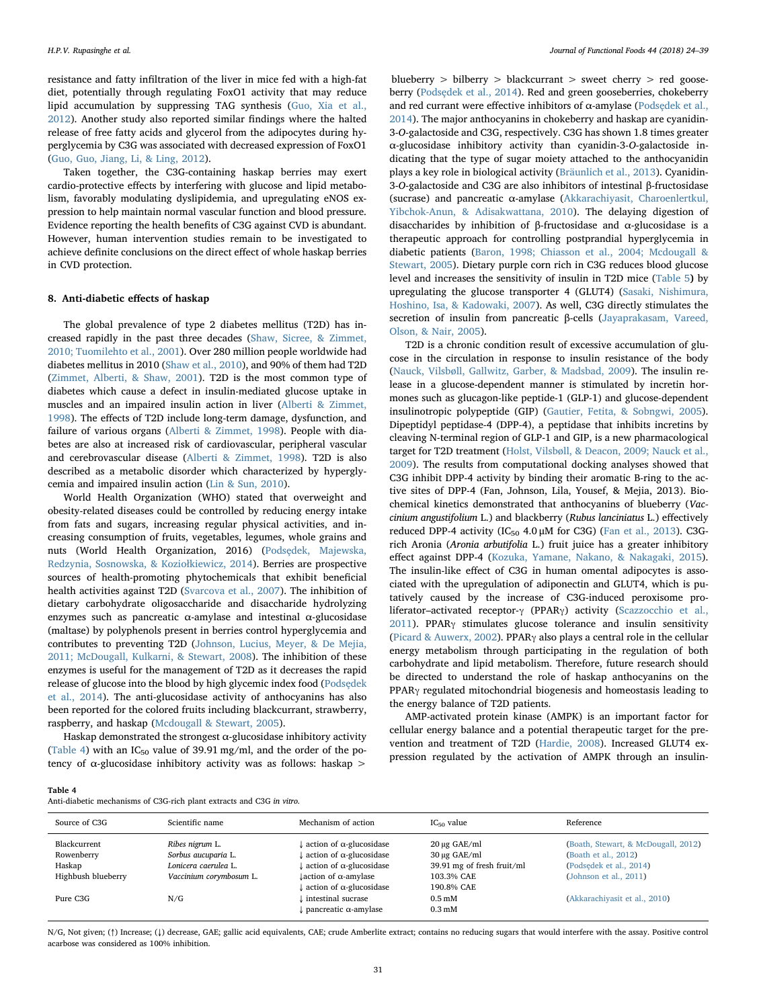resistance and fatty infiltration of the liver in mice fed with a high-fat diet, potentially through regulating FoxO1 activity that may reduce lipid accumulation by suppressing TAG synthesis [\(Guo, Xia et al.,](#page-12-22) [2012\)](#page-12-22). Another study also reported similar findings where the halted release of free fatty acids and glycerol from the adipocytes during hyperglycemia by C3G was associated with decreased expression of FoxO1 ([Guo, Guo, Jiang, Li, & Ling, 2012](#page-12-23)).

Taken together, the C3G-containing haskap berries may exert cardio-protective effects by interfering with glucose and lipid metabolism, favorably modulating dyslipidemia, and upregulating eNOS expression to help maintain normal vascular function and blood pressure. Evidence reporting the health benefits of C3G against CVD is abundant. However, human intervention studies remain to be investigated to achieve definite conclusions on the direct effect of whole haskap berries in CVD protection.

# 8. Anti-diabetic effects of haskap

The global prevalence of type 2 diabetes mellitus (T2D) has increased rapidly in the past three decades [\(Shaw, Sicree, & Zimmet,](#page-14-27) [2010; Tuomilehto et al., 2001\)](#page-14-27). Over 280 million people worldwide had diabetes mellitus in 2010 [\(Shaw et al., 2010](#page-14-27)), and 90% of them had T2D ([Zimmet, Alberti, & Shaw, 2001](#page-15-8)). T2D is the most common type of diabetes which cause a defect in insulin-mediated glucose uptake in muscles and an impaired insulin action in liver ([Alberti & Zimmet,](#page-11-6) [1998\)](#page-11-6). The effects of T2D include long-term damage, dysfunction, and failure of various organs [\(Alberti & Zimmet, 1998](#page-11-6)). People with diabetes are also at increased risk of cardiovascular, peripheral vascular and cerebrovascular disease ([Alberti & Zimmet, 1998\)](#page-11-6). T2D is also described as a metabolic disorder which characterized by hyperglycemia and impaired insulin action [\(Lin & Sun, 2010](#page-13-24)).

World Health Organization (WHO) stated that overweight and obesity-related diseases could be controlled by reducing energy intake from fats and sugars, increasing regular physical activities, and increasing consumption of fruits, vegetables, legumes, whole grains and nuts (World Health Organization, 2016) (Podsę[dek, Majewska,](#page-13-25) [Redzynia, Sosnowska, & Kozio](#page-13-25)łkiewicz, 2014). Berries are prospective sources of health-promoting phytochemicals that exhibit beneficial health activities against T2D [\(Svarcova et al., 2007](#page-14-28)). The inhibition of dietary carbohydrate oligosaccharide and disaccharide hydrolyzing enzymes such as pancreatic  $\alpha$ -amylase and intestinal  $\alpha$ -glucosidase (maltase) by polyphenols present in berries control hyperglycemia and contributes to preventing T2D ([Johnson, Lucius, Meyer, & De Mejia,](#page-13-26) [2011; McDougall, Kulkarni, & Stewart, 2008](#page-13-26)). The inhibition of these enzymes is useful for the management of T2D as it decreases the rapid release of glucose into the blood by high glycemic index food [\(Pods](#page-13-25)ędek [et al., 2014\)](#page-13-25). The anti-glucosidase activity of anthocyanins has also been reported for the colored fruits including blackcurrant, strawberry, raspberry, and haskap [\(Mcdougall & Stewart, 2005\)](#page-13-27).

Haskap demonstrated the strongest  $\alpha$ -glucosidase inhibitory activity ([Table 4](#page-7-0)) with an  $IC_{50}$  value of 39.91 mg/ml, and the order of the potency of α-glucosidase inhibitory activity was as follows: haskap  $>$ 

blueberry > bilberry > blackcurrant > sweet cherry > red gooseberry (Podsę[dek et al., 2014](#page-13-25)). Red and green gooseberries, chokeberry and red currant were effective inhibitors of  $\alpha$ -amylase (Podsę[dek et al.,](#page-13-25) [2014\)](#page-13-25). The major anthocyanins in chokeberry and haskap are cyanidin-3-O-galactoside and C3G, respectively. C3G has shown 1.8 times greater α-glucosidase inhibitory activity than cyanidin-3-O-galactoside indicating that the type of sugar moiety attached to the anthocyanidin plays a key role in biological activity [\(Bräunlich et al., 2013](#page-12-24)). Cyanidin-3-O-galactoside and C3G are also inhibitors of intestinal β-fructosidase (sucrase) and pancreatic α-amylase ([Akkarachiyasit, Charoenlertkul,](#page-11-7) [Yibchok-Anun, & Adisakwattana, 2010](#page-11-7)). The delaying digestion of disaccharides by inhibition of β-fructosidase and α-glucosidase is a therapeutic approach for controlling postprandial hyperglycemia in diabetic patients ([Baron, 1998; Chiasson et al., 2004; Mcdougall &](#page-11-8) [Stewart, 2005](#page-11-8)). Dietary purple corn rich in C3G reduces blood glucose level and increases the sensitivity of insulin in T2D mice [\(Table 5](#page-8-0)) by upregulating the glucose transporter 4 (GLUT4) [\(Sasaki, Nishimura,](#page-14-29) [Hoshino, Isa, & Kadowaki, 2007\)](#page-14-29). As well, C3G directly stimulates the secretion of insulin from pancreatic β-cells ([Jayaprakasam, Vareed,](#page-12-25) [Olson, & Nair, 2005](#page-12-25)).

T2D is a chronic condition result of excessive accumulation of glucose in the circulation in response to insulin resistance of the body ([Nauck, Vilsbøll, Gallwitz, Garber, & Madsbad, 2009\)](#page-13-28). The insulin release in a glucose-dependent manner is stimulated by incretin hormones such as glucagon-like peptide-1 (GLP-1) and glucose-dependent insulinotropic polypeptide (GIP) [\(Gautier, Fetita, & Sobngwi, 2005](#page-12-26)). Dipeptidyl peptidase-4 (DPP-4), a peptidase that inhibits incretins by cleaving N-terminal region of GLP-1 and GIP, is a new pharmacological target for T2D treatment [\(Holst, Vilsbøll, & Deacon, 2009; Nauck et al.,](#page-12-27) [2009\)](#page-12-27). The results from computational docking analyses showed that C3G inhibit DPP-4 activity by binding their aromatic B-ring to the active sites of DPP-4 (Fan, Johnson, Lila, Yousef, & Mejia, 2013). Biochemical kinetics demonstrated that anthocyanins of blueberry (Vaccinium angustifolium L.) and blackberry (Rubus lanciniatus L.) effectively reduced DPP-4 activity (IC<sub>50</sub> 4.0  $\mu$ M for C3G) [\(Fan et al., 2013](#page-12-28)). C3Grich Aronia (Aronia arbutifolia L.) fruit juice has a greater inhibitory effect against DPP-4 [\(Kozuka, Yamane, Nakano, & Nakagaki, 2015](#page-13-29)). The insulin-like effect of C3G in human omental adipocytes is associated with the upregulation of adiponectin and GLUT4, which is putatively caused by the increase of C3G-induced peroxisome proliferator–activated receptor-γ (PPARγ) activity [\(Scazzocchio et al.,](#page-14-30)  $2011$ ). PPAR<sub>Y</sub> stimulates glucose tolerance and insulin sensitivity ([Picard & Auwerx, 2002](#page-13-30)). PPARγ also plays a central role in the cellular energy metabolism through participating in the regulation of both carbohydrate and lipid metabolism. Therefore, future research should be directed to understand the role of haskap anthocyanins on the PPARγ regulated mitochondrial biogenesis and homeostasis leading to the energy balance of T2D patients.

AMP-activated protein kinase (AMPK) is an important factor for cellular energy balance and a potential therapeutic target for the prevention and treatment of T2D [\(Hardie, 2008](#page-12-29)). Increased GLUT4 expression regulated by the activation of AMPK through an insulin-

<span id="page-7-0"></span>

| Table 4                                                               |  |  |
|-----------------------------------------------------------------------|--|--|
| Anti-diabetic mechanisms of C3G-rich plant extracts and C3G in vitro. |  |  |

| Source of C3G      | Scientific name         | Mechanism of action                      | $IC_{50}$ value            | Reference                           |
|--------------------|-------------------------|------------------------------------------|----------------------------|-------------------------------------|
| Blackcurrent       | Ribes nigrum L.         | action of $\alpha$ -glucosidase          | $20 \mu$ g GAE/ml          | (Boath, Stewart, & McDougall, 2012) |
| Rowenberry         | Sorbus aucuparia L.     | action of $\alpha$ -glucosidase          | $30 \mu$ g GAE/ml          | (Boath et al., 2012)                |
| Haskap             | Lonicera caerulea L.    | action of $\alpha$ -glucosidase          | 39.91 mg of fresh fruit/ml | (Podsedek et al., 2014)             |
| Highbush blueberry | Vaccinium corymbosum L. | $\downarrow$ action of $\alpha$ -amylase | 103.3% CAE                 | (Johnson et al., $2011$ )           |
|                    |                         | action of $\alpha$ -glucosidase          | 190.8% CAE                 |                                     |
| Pure C3G           | N/G                     | intestinal sucrase                       | 0.5 <sub>mM</sub>          | (Akkarachiyasit et al., 2010)       |
|                    |                         | $\mu$ pancreatic $\alpha$ -amylase       | $0.3 \text{ mM}$           |                                     |
|                    |                         |                                          |                            |                                     |

N/G, Not given; (↑) Increase; (↓) decrease, GAE; gallic acid equivalents, CAE; crude Amberlite extract; contains no reducing sugars that would interfere with the assay. Positive control acarbose was considered as 100% inhibition.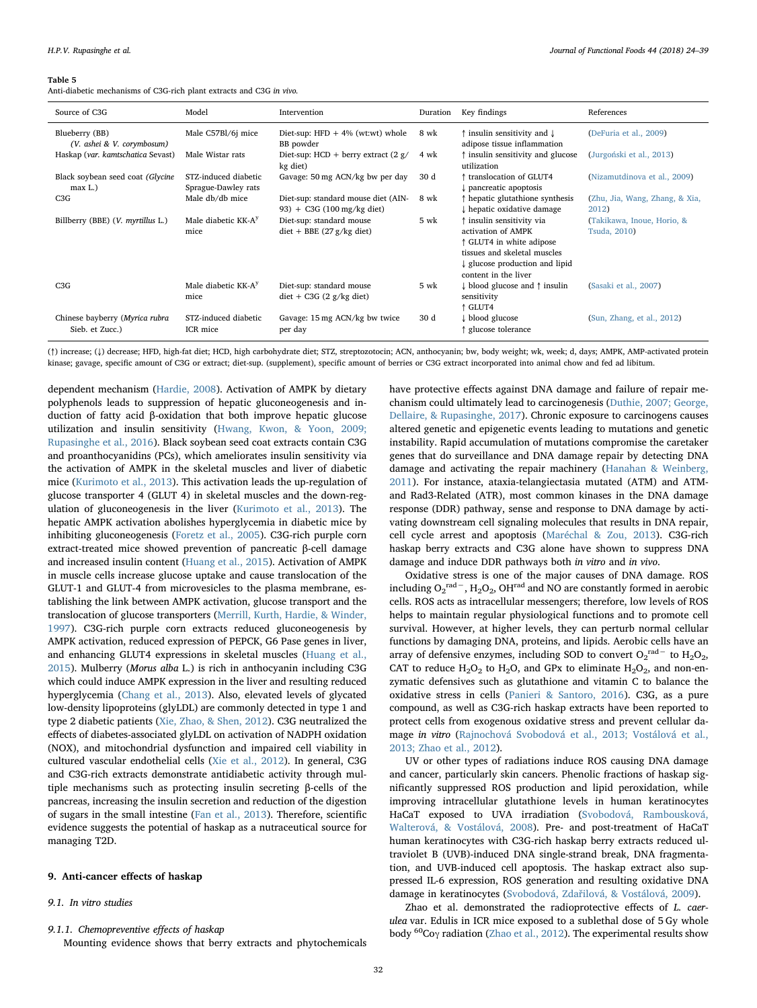<span id="page-8-0"></span>Anti-diabetic mechanisms of C3G-rich plant extracts and C3G in vivo.

| Source of C3G                                     | Model                                       | Intervention                                                           | Duration | Key findings                                                                                                                                                          | References                                 |
|---------------------------------------------------|---------------------------------------------|------------------------------------------------------------------------|----------|-----------------------------------------------------------------------------------------------------------------------------------------------------------------------|--------------------------------------------|
| Blueberry (BB)<br>(V. ashei & V. corymbosum)      | Male C57Bl/6j mice                          | Diet-sup: $HFD + 4%$ (wt:wt) whole<br>BB powder                        | 8 wk     | ↑ insulin sensitivity and ↓<br>adipose tissue inflammation                                                                                                            | (DeFuria et al., 2009)                     |
| Haskap (var. kamtschatica Sevast)                 | Male Wistar rats                            | Diet-sup: HCD + berry extract $(2 g)$<br>kg diet)                      | 4 wk     | t insulin sensitivity and glucose<br>utilization                                                                                                                      | (Jurgoński et al., 2013)                   |
| Black soybean seed coat (Glycine<br>$max L$ .)    | STZ-induced diabetic<br>Sprague-Dawley rats | Gavage: 50 mg ACN/kg bw per day                                        | 30 d     | ↑ translocation of GLUT4<br>pancreatic apoptosis                                                                                                                      | (Nizamutdinova et al., 2009)               |
| C3G                                               | Male db/db mice                             | Diet-sup: standard mouse diet (AIN-<br>93) + C3G (100 mg/kg diet)      | 8 wk     | ↑ hepatic glutathione synthesis<br>↓ hepatic oxidative damage                                                                                                         | (Zhu, Jia, Wang, Zhang, & Xia,<br>2012)    |
| Billberry (BBE) (V. myrtillus L.)                 | Male diabetic KK-A <sup>y</sup><br>mice     | Diet-sup: standard mouse<br>$\text{ diet} + \text{BBE}$ (27 g/kg diet) | 5 wk     | ↑ insulin sensitivity via<br>activation of AMPK<br>↑ GLUT4 in white adipose<br>tissues and skeletal muscles<br>↓ glucose production and lipid<br>content in the liver | (Takikawa, Inoue, Horio, &<br>Tsuda, 2010) |
| C3G                                               | Male diabetic KK-A <sup>y</sup><br>mice     | Diet-sup: standard mouse<br>$\text{dist} + \text{C3G}$ (2 g/kg diet)   | 5 wk     | ↓ blood glucose and ↑ insulin<br>sensitivity<br>↑ GLUT4                                                                                                               | (Sasaki et al., 2007)                      |
| Chinese bayberry (Myrica rubra<br>Sieb. et Zucc.) | STZ-induced diabetic<br>ICR mice            | Gavage: 15 mg ACN/kg bw twice<br>per day                               | 30 d     | ↓ blood glucose<br>↑ glucose tolerance                                                                                                                                | (Sun, Zhang, et al., 2012)                 |

(↑) increase; (↓) decrease; HFD, high-fat diet; HCD, high carbohydrate diet; STZ, streptozotocin; ACN, anthocyanin; bw, body weight; wk, week; d, days; AMPK, AMP-activated protein kinase; gavage, specific amount of C3G or extract; diet-sup. (supplement), specific amount of berries or C3G extract incorporated into animal chow and fed ad libitum.

dependent mechanism [\(Hardie, 2008](#page-12-29)). Activation of AMPK by dietary polyphenols leads to suppression of hepatic gluconeogenesis and induction of fatty acid β-oxidation that both improve hepatic glucose utilization and insulin sensitivity [\(Hwang, Kwon, & Yoon, 2009;](#page-12-31) [Rupasinghe et al., 2016\)](#page-12-31). Black soybean seed coat extracts contain C3G and proanthocyanidins (PCs), which ameliorates insulin sensitivity via the activation of AMPK in the skeletal muscles and liver of diabetic mice ([Kurimoto et al., 2013\)](#page-13-31). This activation leads the up-regulation of glucose transporter 4 (GLUT 4) in skeletal muscles and the down-regulation of gluconeogenesis in the liver [\(Kurimoto et al., 2013](#page-13-31)). The hepatic AMPK activation abolishes hyperglycemia in diabetic mice by inhibiting gluconeogenesis [\(Foretz et al., 2005\)](#page-12-32). C3G-rich purple corn extract-treated mice showed prevention of pancreatic β-cell damage and increased insulin content [\(Huang et al., 2015](#page-12-33)). Activation of AMPK in muscle cells increase glucose uptake and cause translocation of the GLUT-1 and GLUT-4 from microvesicles to the plasma membrane, establishing the link between AMPK activation, glucose transport and the translocation of glucose transporters [\(Merrill, Kurth, Hardie, & Winder,](#page-13-32) [1997\)](#page-13-32). C3G-rich purple corn extracts reduced gluconeogenesis by AMPK activation, reduced expression of PEPCK, G6 Pase genes in liver, and enhancing GLUT4 expressions in skeletal muscles ([Huang et al.,](#page-12-33) [2015\)](#page-12-33). Mulberry (Morus alba L.) is rich in anthocyanin including C3G which could induce AMPK expression in the liver and resulting reduced hyperglycemia ([Chang et al., 2013](#page-12-34)). Also, elevated levels of glycated low-density lipoproteins (glyLDL) are commonly detected in type 1 and type 2 diabetic patients [\(Xie, Zhao, & Shen, 2012\)](#page-15-9). C3G neutralized the effects of diabetes-associated glyLDL on activation of NADPH oxidation (NOX), and mitochondrial dysfunction and impaired cell viability in cultured vascular endothelial cells [\(Xie et al., 2012](#page-15-9)). In general, C3G and C3G-rich extracts demonstrate antidiabetic activity through multiple mechanisms such as protecting insulin secreting β-cells of the pancreas, increasing the insulin secretion and reduction of the digestion of sugars in the small intestine [\(Fan et al., 2013\)](#page-12-28). Therefore, scientific evidence suggests the potential of haskap as a nutraceutical source for managing T2D.

#### 9. Anti-cancer effects of haskap

#### 9.1. In vitro studies

9.1.1. Chemopreventive effects of haskap

Mounting evidence shows that berry extracts and phytochemicals

have protective effects against DNA damage and failure of repair mechanism could ultimately lead to carcinogenesis [\(Duthie, 2007; George,](#page-12-35) [Dellaire, & Rupasinghe, 2017](#page-12-35)). Chronic exposure to carcinogens causes altered genetic and epigenetic events leading to mutations and genetic instability. Rapid accumulation of mutations compromise the caretaker genes that do surveillance and DNA damage repair by detecting DNA damage and activating the repair machinery ([Hanahan & Weinberg,](#page-12-36) [2011\)](#page-12-36). For instance, ataxia-telangiectasia mutated (ATM) and ATMand Rad3-Related (ATR), most common kinases in the DNA damage response (DDR) pathway, sense and response to DNA damage by activating downstream cell signaling molecules that results in DNA repair, cell cycle arrest and apoptosis ([Maréchal & Zou, 2013](#page-13-33)). C3G-rich haskap berry extracts and C3G alone have shown to suppress DNA damage and induce DDR pathways both in vitro and in vivo.

Oxidative stress is one of the major causes of DNA damage. ROS including  $O_2^{\text{rad}-}$ ,  $H_2O_2$ , OH<sup>rad</sup> and NO are constantly formed in aerobic cells. ROS acts as intracellular messengers; therefore, low levels of ROS helps to maintain regular physiological functions and to promote cell survival. However, at higher levels, they can perturb normal cellular functions by damaging DNA, proteins, and lipids. Aerobic cells have an array of defensive enzymes, including SOD to convert  $O_2^{\text{rad}-}$  to  $H_2O_2$ , CAT to reduce  $H_2O_2$  to  $H_2O$ , and GPx to eliminate  $H_2O_2$ , and non-enzymatic defensives such as glutathione and vitamin C to balance the oxidative stress in cells ([Panieri & Santoro, 2016](#page-13-34)). C3G, as a pure compound, as well as C3G-rich haskap extracts have been reported to protect cells from exogenous oxidative stress and prevent cellular damage in vitro [\(Rajnochová Svobodová et al., 2013; Vostálová et al.,](#page-14-31) [2013; Zhao et al., 2012](#page-14-31)).

UV or other types of radiations induce ROS causing DNA damage and cancer, particularly skin cancers. Phenolic fractions of haskap significantly suppressed ROS production and lipid peroxidation, while improving intracellular glutathione levels in human keratinocytes HaCaT exposed to UVA irradiation [\(Svobodová, Rambousková,](#page-14-32) [Walterová, & Vostálová, 2008](#page-14-32)). Pre- and post-treatment of HaCaT human keratinocytes with C3G-rich haskap berry extracts reduced ultraviolet B (UVB)-induced DNA single-strand break, DNA fragmentation, and UVB-induced cell apoptosis. The haskap extract also suppressed IL-6 expression, ROS generation and resulting oxidative DNA damage in keratinocytes (Svobodová, Zdař[ilová, & Vostálová, 2009\)](#page-14-33).

Zhao et al. demonstrated the radioprotective effects of L. caerulea var. Edulis in ICR mice exposed to a sublethal dose of 5 Gy whole body <sup>60</sup>Coγ radiation [\(Zhao et al., 2012\)](#page-15-10). The experimental results show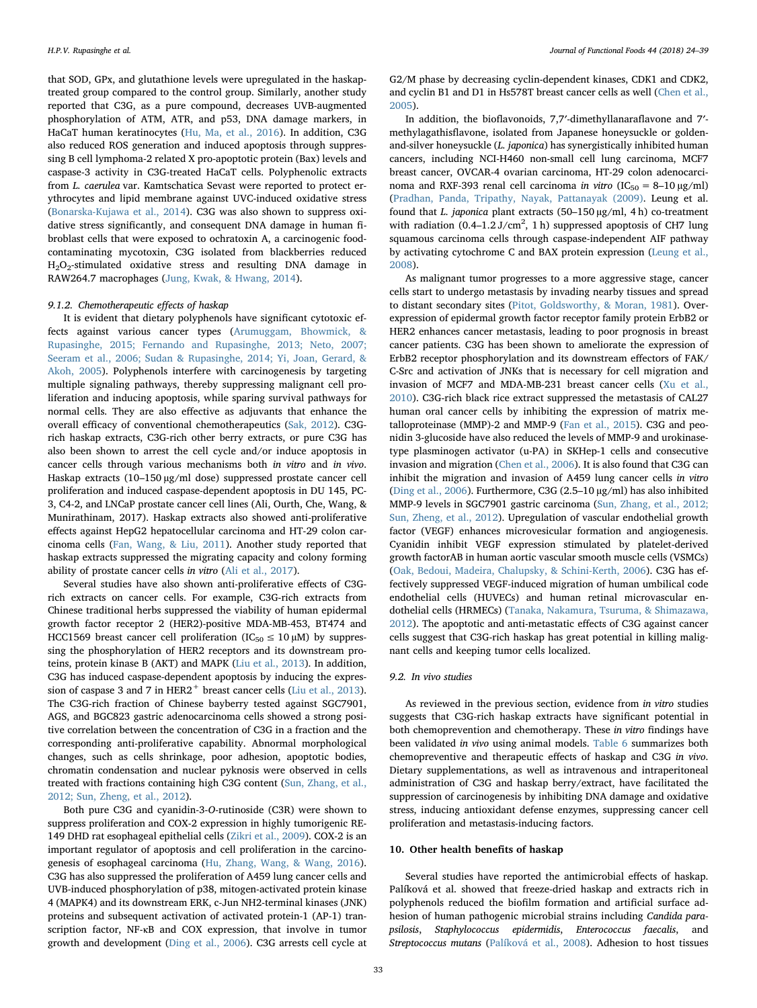that SOD, GPx, and glutathione levels were upregulated in the haskaptreated group compared to the control group. Similarly, another study reported that C3G, as a pure compound, decreases UVB-augmented phosphorylation of ATM, ATR, and p53, DNA damage markers, in HaCaT human keratinocytes ([Hu, Ma, et al., 2016\)](#page-12-38). In addition, C3G also reduced ROS generation and induced apoptosis through suppressing B cell lymphoma-2 related X pro-apoptotic protein (Bax) levels and caspase-3 activity in C3G-treated HaCaT cells. Polyphenolic extracts from L. caerulea var. Kamtschatica Sevast were reported to protect erythrocytes and lipid membrane against UVC-induced oxidative stress ([Bonarska-Kujawa et al., 2014](#page-12-39)). C3G was also shown to suppress oxidative stress significantly, and consequent DNA damage in human fibroblast cells that were exposed to ochratoxin A, a carcinogenic foodcontaminating mycotoxin, C3G isolated from blackberries reduced H2O2-stimulated oxidative stress and resulting DNA damage in RAW264.7 macrophages [\(Jung, Kwak, & Hwang, 2014\)](#page-13-36).

### 9.1.2. Chemotherapeutic effects of haskap

It is evident that dietary polyphenols have significant cytotoxic effects against various cancer types [\(Arumuggam, Bhowmick, &](#page-11-9) [Rupasinghe, 2015; Fernando and Rupasinghe, 2013; Neto, 2007;](#page-11-9) [Seeram et al., 2006; Sudan & Rupasinghe, 2014; Yi, Joan, Gerard, &](#page-11-9) [Akoh, 2005](#page-11-9)). Polyphenols interfere with carcinogenesis by targeting multiple signaling pathways, thereby suppressing malignant cell proliferation and inducing apoptosis, while sparing survival pathways for normal cells. They are also effective as adjuvants that enhance the overall efficacy of conventional chemotherapeutics ([Sak, 2012\)](#page-14-36). C3Grich haskap extracts, C3G-rich other berry extracts, or pure C3G has also been shown to arrest the cell cycle and/or induce apoptosis in cancer cells through various mechanisms both in vitro and in vivo. Haskap extracts (10–150 µg/ml dose) suppressed prostate cancer cell proliferation and induced caspase-dependent apoptosis in DU 145, PC-3, C4-2, and LNCaP prostate cancer cell lines (Ali, Ourth, Che, Wang, & Munirathinam, 2017). Haskap extracts also showed anti-proliferative effects against HepG2 hepatocellular carcinoma and HT-29 colon carcinoma cells ([Fan, Wang, & Liu, 2011\)](#page-12-40). Another study reported that haskap extracts suppressed the migrating capacity and colony forming ability of prostate cancer cells in vitro [\(Ali et al., 2017\)](#page-11-10).

Several studies have also shown anti-proliferative effects of C3Grich extracts on cancer cells. For example, C3G-rich extracts from Chinese traditional herbs suppressed the viability of human epidermal growth factor receptor 2 (HER2)-positive MDA-MB-453, BT474 and HCC1569 breast cancer cell proliferation ( $IC_{50} \le 10 \mu M$ ) by suppressing the phosphorylation of HER2 receptors and its downstream proteins, protein kinase B (AKT) and MAPK ([Liu et al., 2013\)](#page-13-37). In addition, C3G has induced caspase-dependent apoptosis by inducing the expres-sion of caspase 3 and 7 in HER2<sup>+</sup> breast cancer cells ([Liu et al., 2013](#page-13-37)). The C3G-rich fraction of Chinese bayberry tested against SGC7901, AGS, and BGC823 gastric adenocarcinoma cells showed a strong positive correlation between the concentration of C3G in a fraction and the corresponding anti-proliferative capability. Abnormal morphological changes, such as cells shrinkage, poor adhesion, apoptotic bodies, chromatin condensation and nuclear pyknosis were observed in cells treated with fractions containing high C3G content [\(Sun, Zhang, et al.,](#page-14-35) [2012; Sun, Zheng, et al., 2012\)](#page-14-35).

Both pure C3G and cyanidin-3-O-rutinoside (C3R) were shown to suppress proliferation and COX-2 expression in highly tumorigenic RE-149 DHD rat esophageal epithelial cells [\(Zikri et al., 2009\)](#page-15-12). COX-2 is an important regulator of apoptosis and cell proliferation in the carcinogenesis of esophageal carcinoma ([Hu, Zhang, Wang, & Wang, 2016](#page-12-41)). C3G has also suppressed the proliferation of A459 lung cancer cells and UVB-induced phosphorylation of p38, mitogen-activated protein kinase 4 (MAPK4) and its downstream ERK, c-Jun NH2-terminal kinases (JNK) proteins and subsequent activation of activated protein-1 (AP-1) transcription factor, NF-κB and COX expression, that involve in tumor growth and development [\(Ding et al., 2006\)](#page-12-42). C3G arrests cell cycle at G2/M phase by decreasing cyclin-dependent kinases, CDK1 and CDK2, and cyclin B1 and D1 in Hs578T breast cancer cells as well ([Chen et al.,](#page-12-43) [2005\)](#page-12-43).

In addition, the bioflavonoids, 7,7′-dimethyllanaraflavone and 7′ methylagathisflavone, isolated from Japanese honeysuckle or goldenand-silver honeysuckle (L. japonica) has synergistically inhibited human cancers, including NCI-H460 non-small cell lung carcinoma, MCF7 breast cancer, OVCAR-4 ovarian carcinoma, HT-29 colon adenocarcinoma and RXF-393 renal cell carcinoma in vitro ( $IC_{50} = 8-10 \mu g/ml$ ) ([Pradhan, Panda, Tripathy, Nayak, Pattanayak \(2009\)](#page-14-37). Leung et al. found that L. japonica plant extracts (50–150 µg/ml, 4 h) co-treatment with radiation  $(0.4-1.2 \text{ J/cm}^2, 1 \text{ h})$  suppressed apoptosis of CH7 lung squamous carcinoma cells through caspase-independent AIF pathway by activating cytochrome C and BAX protein expression [\(Leung et al.,](#page-13-38) [2008\)](#page-13-38).

As malignant tumor progresses to a more aggressive stage, cancer cells start to undergo metastasis by invading nearby tissues and spread to distant secondary sites [\(Pitot, Goldsworthy, & Moran, 1981\)](#page-13-39). Overexpression of epidermal growth factor receptor family protein ErbB2 or HER2 enhances cancer metastasis, leading to poor prognosis in breast cancer patients. C3G has been shown to ameliorate the expression of ErbB2 receptor phosphorylation and its downstream effectors of FAK/ C-Src and activation of JNKs that is necessary for cell migration and invasion of MCF7 and MDA-MB-231 breast cancer cells [\(Xu et al.,](#page-15-13) [2010\)](#page-15-13). C3G-rich black rice extract suppressed the metastasis of CAL27 human oral cancer cells by inhibiting the expression of matrix metalloproteinase (MMP)-2 and MMP-9 ([Fan et al., 2015\)](#page-12-44). C3G and peonidin 3-glucoside have also reduced the levels of MMP-9 and urokinasetype plasminogen activator (u-PA) in SKHep-1 cells and consecutive invasion and migration ([Chen et al., 2006](#page-12-45)). It is also found that C3G can inhibit the migration and invasion of A459 lung cancer cells in vitro ([Ding et al., 2006\)](#page-12-42). Furthermore, C3G (2.5–10 µg/ml) has also inhibited MMP-9 levels in SGC7901 gastric carcinoma [\(Sun, Zhang, et al., 2012;](#page-14-35) [Sun, Zheng, et al., 2012](#page-14-35)). Upregulation of vascular endothelial growth factor (VEGF) enhances microvesicular formation and angiogenesis. Cyanidin inhibit VEGF expression stimulated by platelet-derived growth factorAB in human aortic vascular smooth muscle cells (VSMCs) ([Oak, Bedoui, Madeira, Chalupsky, & Schini-Kerth, 2006](#page-13-40)). C3G has effectively suppressed VEGF-induced migration of human umbilical code endothelial cells (HUVECs) and human retinal microvascular endothelial cells (HRMECs) [\(Tanaka, Nakamura, Tsuruma, & Shimazawa,](#page-14-38) [2012\)](#page-14-38). The apoptotic and anti-metastatic effects of C3G against cancer cells suggest that C3G-rich haskap has great potential in killing malignant cells and keeping tumor cells localized.

## 9.2. In vivo studies

As reviewed in the previous section, evidence from in vitro studies suggests that C3G-rich haskap extracts have significant potential in both chemoprevention and chemotherapy. These in vitro findings have been validated in vivo using animal models. [Table 6](#page-10-0) summarizes both chemopreventive and therapeutic effects of haskap and C3G in vivo. Dietary supplementations, as well as intravenous and intraperitoneal administration of C3G and haskap berry/extract, have facilitated the suppression of carcinogenesis by inhibiting DNA damage and oxidative stress, inducing antioxidant defense enzymes, suppressing cancer cell proliferation and metastasis-inducing factors.

# 10. Other health benefits of haskap

Several studies have reported the antimicrobial effects of haskap. Palíková et al. showed that freeze-dried haskap and extracts rich in polyphenols reduced the biofilm formation and artificial surface adhesion of human pathogenic microbial strains including Candida parapsilosis, Staphylococcus epidermidis, Enterococcus faecalis, and Streptococcus mutans [\(Palíková et al., 2008](#page-13-41)). Adhesion to host tissues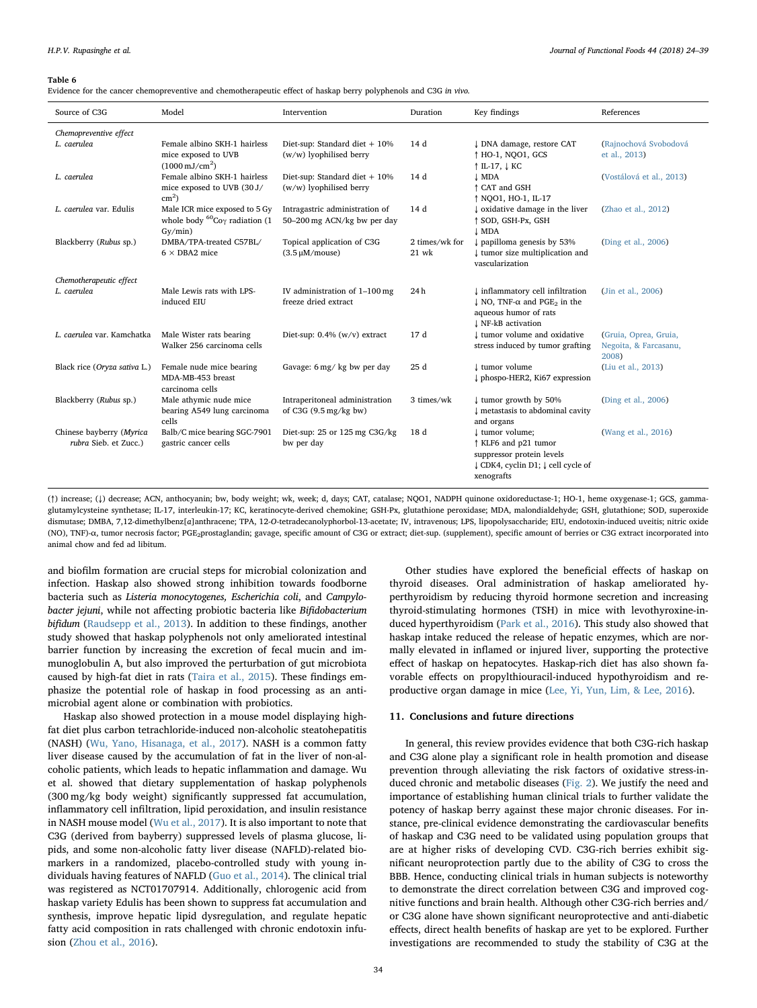<span id="page-10-0"></span>Evidence for the cancer chemopreventive and chemotherapeutic effect of haskap berry polyphenols and C3G in vivo.

| Source of C3G                                     | Model                                                                                          | Intervention                                                      | Duration                  | Key findings                                                                                                                                         | References                                              |
|---------------------------------------------------|------------------------------------------------------------------------------------------------|-------------------------------------------------------------------|---------------------------|------------------------------------------------------------------------------------------------------------------------------------------------------|---------------------------------------------------------|
| Chemopreventive effect                            |                                                                                                |                                                                   |                           |                                                                                                                                                      |                                                         |
| L. caerulea                                       | Female albino SKH-1 hairless<br>mice exposed to UVB<br>$(1000 \,\mathrm{mJ/cm^2})$             | Diet-sup: Standard diet $+10\%$<br>$(w/w)$ lyophilised berry      | 14 d                      | ↓ DNA damage, restore CAT<br>↑ HO-1, NOO1, GCS<br>$\uparrow$ IL-17, $\downarrow$ KC                                                                  | (Rajnochová Svobodová<br>et al., 2013)                  |
| L. caerulea                                       | Female albino SKH-1 hairless<br>mice exposed to UVB (30 J/<br>$cm2$ )                          | Diet-sup: Standard diet + 10%<br>(w/w) lyophilised berry          | 14 d                      | <b>J</b> MDA<br>↑ CAT and GSH<br><i><b>↑ NOO1, HO-1, IL-17</b></i>                                                                                   | (Vostálová et al., 2013)                                |
| L. caerulea var. Edulis                           | Male ICR mice exposed to 5 Gy<br>whole body ${}^{60}$ Co <sub>Y</sub> radiation (1)<br>Gy/min) | Intragastric administration of<br>50-200 mg ACN/kg bw per day     | 14 d                      | I oxidative damage in the liver<br>↑ SOD, GSH-Px, GSH<br><b>L</b> MDA                                                                                | (Zhao et al., 2012)                                     |
| Blackberry (Rubus sp.)                            | DMBA/TPA-treated C57BL/<br>$6 \times$ DBA2 mice                                                | Topical application of C3G<br>$(3.5 \mu M/mouse)$                 | 2 times/wk for<br>$21$ wk | $\downarrow$ papilloma genesis by 53%<br>I tumor size multiplication and<br>vascularization                                                          | (Ding et al., 2006)                                     |
| Chemotherapeutic effect                           |                                                                                                |                                                                   |                           |                                                                                                                                                      |                                                         |
| L. caerulea                                       | Male Lewis rats with LPS-<br>induced EIU                                                       | IV administration of $1-100$ mg<br>freeze dried extract           | 24h                       | I inflammatory cell infiltration<br>$\downarrow$ NO, TNF- $\alpha$ and PGE <sub>2</sub> in the<br>aqueous humor of rats<br><b>J</b> NF-kB activation | (Jin et al., 2006)                                      |
| L. caerulea var. Kamchatka                        | Male Wister rats bearing<br>Walker 256 carcinoma cells                                         | Diet-sup: $0.4\%$ (w/v) extract                                   | 17 d                      | I tumor volume and oxidative<br>stress induced by tumor grafting                                                                                     | (Gruia, Oprea, Gruia,<br>Negoita, & Farcasanu,<br>2008) |
| Black rice (Oryza sativa L.)                      | Female nude mice bearing<br>MDA-MB-453 breast<br>carcinoma cells                               | Gavage: 6 mg/ kg bw per day                                       | 25d                       | I tumor volume<br>phospo-HER2, Ki67 expression                                                                                                       | (Liu et al., 2013)                                      |
| Blackberry (Rubus sp.)                            | Male athymic nude mice<br>bearing A549 lung carcinoma<br>cells                                 | Intraperitoneal administration<br>of C3G $(9.5 \text{ mg/kg bw})$ | 3 times/wk                | I tumor growth by 50%<br>I metastasis to abdominal cavity<br>and organs                                                                              | (Ding et al., 2006)                                     |
| Chinese bayberry (Myrica<br>rubra Sieb. et Zucc.) | Balb/C mice bearing SGC-7901<br>gastric cancer cells                                           | Diet-sup: 25 or 125 mg C3G/kg<br>bw per day                       | 18 d                      | ↓ tumor volume;<br>↑ KLF6 and p21 tumor<br>suppressor protein levels<br>↓ CDK4, cyclin D1; ↓ cell cycle of<br>xenografts                             | (Wang et al., 2016)                                     |

(↑) increase; (↓) decrease; ACN, anthocyanin; bw, body weight; wk, week; d, days; CAT, catalase; NQO1, NADPH quinone oxidoreductase-1; HO-1, heme oxygenase-1; GCS, gammaglutamylcysteine synthetase; IL-17, interleukin-17; KC, keratinocyte-derived chemokine; GSH-Px, glutathione peroxidase; MDA, malondialdehyde; GSH, glutathione; SOD, superoxide dismutase; DMBA, 7,12-dimethylbenz[a]anthracene; TPA, 12-O-tetradecanolyphorbol-13-acetate; IV, intravenous; LPS, lipopolysaccharide; EIU, endotoxin-induced uveitis; nitric oxide (NO), TNF)-α, tumor necrosis factor; PGE<sub>2</sub>prostaglandin; gavage, specific amount of C3G or extract; diet-sup. (supplement), specific amount of berries or C3G extract incorporated into animal chow and fed ad libitum.

and biofilm formation are crucial steps for microbial colonization and infection. Haskap also showed strong inhibition towards foodborne bacteria such as Listeria monocytogenes, Escherichia coli, and Campylobacter jejuni, while not affecting probiotic bacteria like Bifidobacterium bifidum ([Raudsepp et al., 2013\)](#page-14-14). In addition to these findings, another study showed that haskap polyphenols not only ameliorated intestinal barrier function by increasing the excretion of fecal mucin and immunoglobulin A, but also improved the perturbation of gut microbiota caused by high-fat diet in rats [\(Taira et al., 2015](#page-14-39)). These findings emphasize the potential role of haskap in food processing as an antimicrobial agent alone or combination with probiotics.

Haskap also showed protection in a mouse model displaying highfat diet plus carbon tetrachloride-induced non-alcoholic steatohepatitis (NASH) ([Wu, Yano, Hisanaga, et al., 2017\)](#page-15-14). NASH is a common fatty liver disease caused by the accumulation of fat in the liver of non-alcoholic patients, which leads to hepatic inflammation and damage. Wu et al. showed that dietary supplementation of haskap polyphenols (300 mg/kg body weight) significantly suppressed fat accumulation, inflammatory cell infiltration, lipid peroxidation, and insulin resistance in NASH mouse model ([Wu et al., 2017\)](#page-15-14). It is also important to note that C3G (derived from bayberry) suppressed levels of plasma glucose, lipids, and some non-alcoholic fatty liver disease (NAFLD)-related biomarkers in a randomized, placebo-controlled study with young individuals having features of NAFLD [\(Guo et al., 2014\)](#page-12-46). The clinical trial was registered as NCT01707914. Additionally, chlorogenic acid from haskap variety Edulis has been shown to suppress fat accumulation and synthesis, improve hepatic lipid dysregulation, and regulate hepatic fatty acid composition in rats challenged with chronic endotoxin infusion ([Zhou et al., 2016](#page-15-15)).

Other studies have explored the beneficial effects of haskap on thyroid diseases. Oral administration of haskap ameliorated hyperthyroidism by reducing thyroid hormone secretion and increasing thyroid-stimulating hormones (TSH) in mice with levothyroxine-induced hyperthyroidism ([Park et al., 2016](#page-13-42)). This study also showed that haskap intake reduced the release of hepatic enzymes, which are normally elevated in inflamed or injured liver, supporting the protective effect of haskap on hepatocytes. Haskap-rich diet has also shown favorable effects on propylthiouracil-induced hypothyroidism and reproductive organ damage in mice [\(Lee, Yi, Yun, Lim, & Lee, 2016\)](#page-13-43).

# 11. Conclusions and future directions

In general, this review provides evidence that both C3G-rich haskap and C3G alone play a significant role in health promotion and disease prevention through alleviating the risk factors of oxidative stress-induced chronic and metabolic diseases ([Fig. 2\)](#page-11-11). We justify the need and importance of establishing human clinical trials to further validate the potency of haskap berry against these major chronic diseases. For instance, pre-clinical evidence demonstrating the cardiovascular benefits of haskap and C3G need to be validated using population groups that are at higher risks of developing CVD. C3G-rich berries exhibit significant neuroprotection partly due to the ability of C3G to cross the BBB. Hence, conducting clinical trials in human subjects is noteworthy to demonstrate the direct correlation between C3G and improved cognitive functions and brain health. Although other C3G-rich berries and/ or C3G alone have shown significant neuroprotective and anti-diabetic effects, direct health benefits of haskap are yet to be explored. Further investigations are recommended to study the stability of C3G at the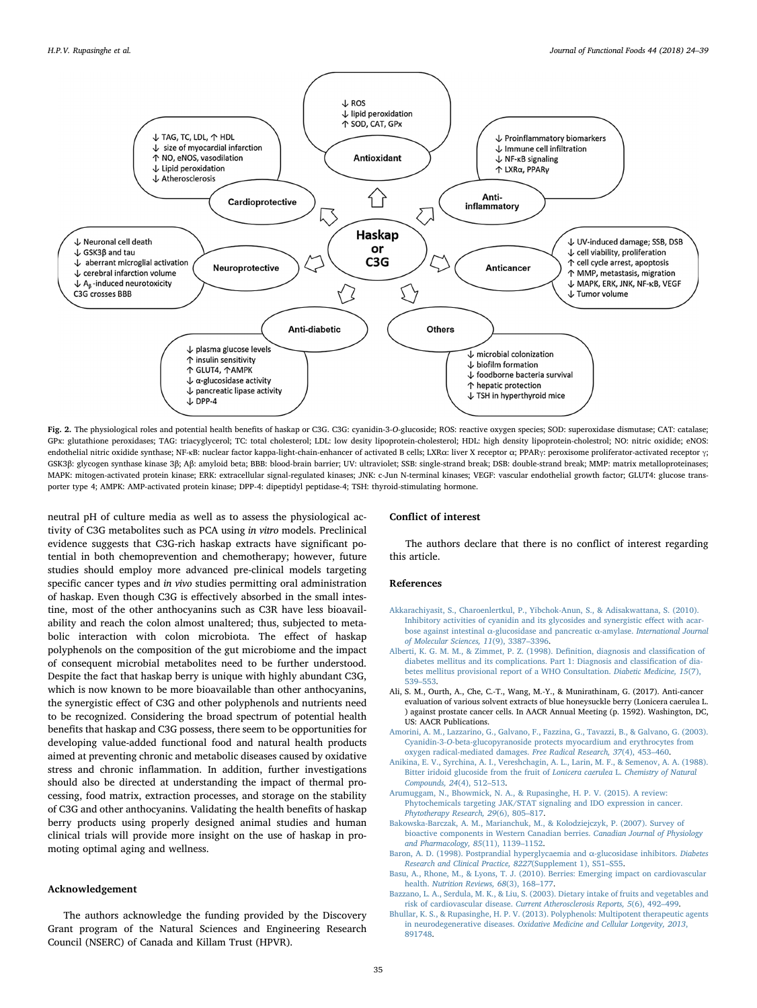<span id="page-11-11"></span>

Fig. 2. The physiological roles and potential health benefits of haskap or C3G. C3G: cyanidin-3-O-glucoside; ROS: reactive oxygen species; SOD: superoxidase dismutase; CAT: catalase; GPx: glutathione peroxidases; TAG: triacyglycerol; TC: total cholesterol; LDL: low desity lipoprotein-cholestrol; HDL: high density lipoprotein-cholestrol; NO: nitric oxidide; eNOS: endothelial nitric oxidide synthase; NF-κB: nuclear factor kappa-light-chain-enhancer of activated B cells; LXRα: liver X receptor α; PPARγ: peroxisome proliferator-activated receptor γ; GSK3β: glycogen synthase kinase 3β; Aβ: amyloid beta; BBB: blood-brain barrier; UV: ultraviolet; SSB: single-strand break; DSB: double-strand break; MMP: matrix metalloproteinases; MAPK: mitogen-activated protein kinase; ERK: extracellular signal-regulated kinases; JNK: c-Jun N-terminal kinases; VEGF: vascular endothelial growth factor; GLUT4: glucose transporter type 4; AMPK: AMP-activated protein kinase; DPP-4: dipeptidyl peptidase-4; TSH: thyroid-stimulating hormone.

neutral pH of culture media as well as to assess the physiological activity of C3G metabolites such as PCA using in vitro models. Preclinical evidence suggests that C3G-rich haskap extracts have significant potential in both chemoprevention and chemotherapy; however, future studies should employ more advanced pre-clinical models targeting specific cancer types and in vivo studies permitting oral administration of haskap. Even though C3G is effectively absorbed in the small intestine, most of the other anthocyanins such as C3R have less bioavailability and reach the colon almost unaltered; thus, subjected to metabolic interaction with colon microbiota. The effect of haskap polyphenols on the composition of the gut microbiome and the impact of consequent microbial metabolites need to be further understood. Despite the fact that haskap berry is unique with highly abundant C3G, which is now known to be more bioavailable than other anthocyanins, the synergistic effect of C3G and other polyphenols and nutrients need to be recognized. Considering the broad spectrum of potential health benefits that haskap and C3G possess, there seem to be opportunities for developing value-added functional food and natural health products aimed at preventing chronic and metabolic diseases caused by oxidative stress and chronic inflammation. In addition, further investigations should also be directed at understanding the impact of thermal processing, food matrix, extraction processes, and storage on the stability of C3G and other anthocyanins. Validating the health benefits of haskap berry products using properly designed animal studies and human clinical trials will provide more insight on the use of haskap in promoting optimal aging and wellness.

#### Acknowledgement

The authors acknowledge the funding provided by the Discovery Grant program of the Natural Sciences and Engineering Research Council (NSERC) of Canada and Killam Trust (HPVR).

# Conflict of interest

The authors declare that there is no conflict of interest regarding this article.

### References

- <span id="page-11-7"></span>[Akkarachiyasit, S., Charoenlertkul, P., Yibchok-Anun, S., & Adisakwattana, S. \(2010\).](http://refhub.elsevier.com/S1756-4646(18)30068-9/h0005) [Inhibitory activities of cyanidin and its glycosides and synergistic e](http://refhub.elsevier.com/S1756-4646(18)30068-9/h0005)ffect with acarbose against intestinal α[-glucosidase and pancreatic](http://refhub.elsevier.com/S1756-4646(18)30068-9/h0005) α-amylase. International Journal [of Molecular Sciences, 11](http://refhub.elsevier.com/S1756-4646(18)30068-9/h0005)(9), 3387–3396.
- <span id="page-11-6"></span>[Alberti, K. G. M. M., & Zimmet, P. Z. \(1998\). De](http://refhub.elsevier.com/S1756-4646(18)30068-9/h0010)finition, diagnosis and classification of [diabetes mellitus and its complications. Part 1: Diagnosis and classi](http://refhub.elsevier.com/S1756-4646(18)30068-9/h0010)fication of dia[betes mellitus provisional report of a WHO Consultation.](http://refhub.elsevier.com/S1756-4646(18)30068-9/h0010) Diabetic Medicine, 15(7), 539–[553](http://refhub.elsevier.com/S1756-4646(18)30068-9/h0010).
- <span id="page-11-10"></span>Ali, S. M., Ourth, A., Che, C.-T., Wang, M.-Y., & Munirathinam, G. (2017). Anti-cancer evaluation of various solvent extracts of blue honeysuckle berry (Lonicera caerulea L. ) against prostate cancer cells. In AACR Annual Meeting (p. 1592). Washington, DC, US: AACR Publications.
- <span id="page-11-5"></span>[Amorini, A. M., Lazzarino, G., Galvano, F., Fazzina, G., Tavazzi, B., & Galvano, G. \(2003\).](http://refhub.elsevier.com/S1756-4646(18)30068-9/h0020) Cyanidin-3-O[-beta-glucopyranoside protects myocardium and erythrocytes from](http://refhub.elsevier.com/S1756-4646(18)30068-9/h0020) [oxygen radical-mediated damages.](http://refhub.elsevier.com/S1756-4646(18)30068-9/h0020) Free Radical Research, 37(4), 453–460.
- <span id="page-11-0"></span>[Anikina, E. V., Syrchina, A. I., Vereshchagin, A. L., Larin, M. F., & Semenov, A. A. \(1988\).](http://refhub.elsevier.com/S1756-4646(18)30068-9/h0025) [Bitter iridoid glucoside from the fruit of](http://refhub.elsevier.com/S1756-4646(18)30068-9/h0025) Lonicera caerulea L. Chemistry of Natural [Compounds, 24](http://refhub.elsevier.com/S1756-4646(18)30068-9/h0025)(4), 512–513.
- <span id="page-11-9"></span>[Arumuggam, N., Bhowmick, N. A., & Rupasinghe, H. P. V. \(2015\). A review:](http://refhub.elsevier.com/S1756-4646(18)30068-9/h0030) [Phytochemicals targeting JAK/STAT signaling and IDO expression in cancer.](http://refhub.elsevier.com/S1756-4646(18)30068-9/h0030) [Phytotherapy Research, 29](http://refhub.elsevier.com/S1756-4646(18)30068-9/h0030)(6), 805–817.
- <span id="page-11-1"></span>[Bakowska-Barczak, A. M., Marianchuk, M., & Kolodziejczyk, P. \(2007\). Survey of](http://refhub.elsevier.com/S1756-4646(18)30068-9/h0035) [bioactive components in Western Canadian berries.](http://refhub.elsevier.com/S1756-4646(18)30068-9/h0035) Canadian Journal of Physiology [and Pharmacology, 85](http://refhub.elsevier.com/S1756-4646(18)30068-9/h0035)(11), 1139–1152.
- <span id="page-11-8"></span>[Baron, A. D. \(1998\). Postprandial hyperglycaemia and](http://refhub.elsevier.com/S1756-4646(18)30068-9/h0040) α-glucosidase inhibitors. Diabetes [Research and Clinical Practice, 8227](http://refhub.elsevier.com/S1756-4646(18)30068-9/h0040)(Supplement 1), S51–S55.
- <span id="page-11-4"></span>[Basu, A., Rhone, M., & Lyons, T. J. \(2010\). Berries: Emerging impact on cardiovascular](http://refhub.elsevier.com/S1756-4646(18)30068-9/h0045) health. [Nutrition Reviews, 68](http://refhub.elsevier.com/S1756-4646(18)30068-9/h0045)(3), 168–177.
- <span id="page-11-3"></span>[Bazzano, L. A., Serdula, M. K., & Liu, S. \(2003\). Dietary intake of fruits and vegetables and](http://refhub.elsevier.com/S1756-4646(18)30068-9/h0050) risk of cardiovascular disease. [Current Atherosclerosis Reports, 5](http://refhub.elsevier.com/S1756-4646(18)30068-9/h0050)(6), 492–499.
- <span id="page-11-2"></span>[Bhullar, K. S., & Rupasinghe, H. P. V. \(2013\). Polyphenols: Multipotent therapeutic agents](http://refhub.elsevier.com/S1756-4646(18)30068-9/h0055) in neurodegenerative diseases. [Oxidative Medicine and Cellular Longevity, 2013](http://refhub.elsevier.com/S1756-4646(18)30068-9/h0055), [891748](http://refhub.elsevier.com/S1756-4646(18)30068-9/h0055).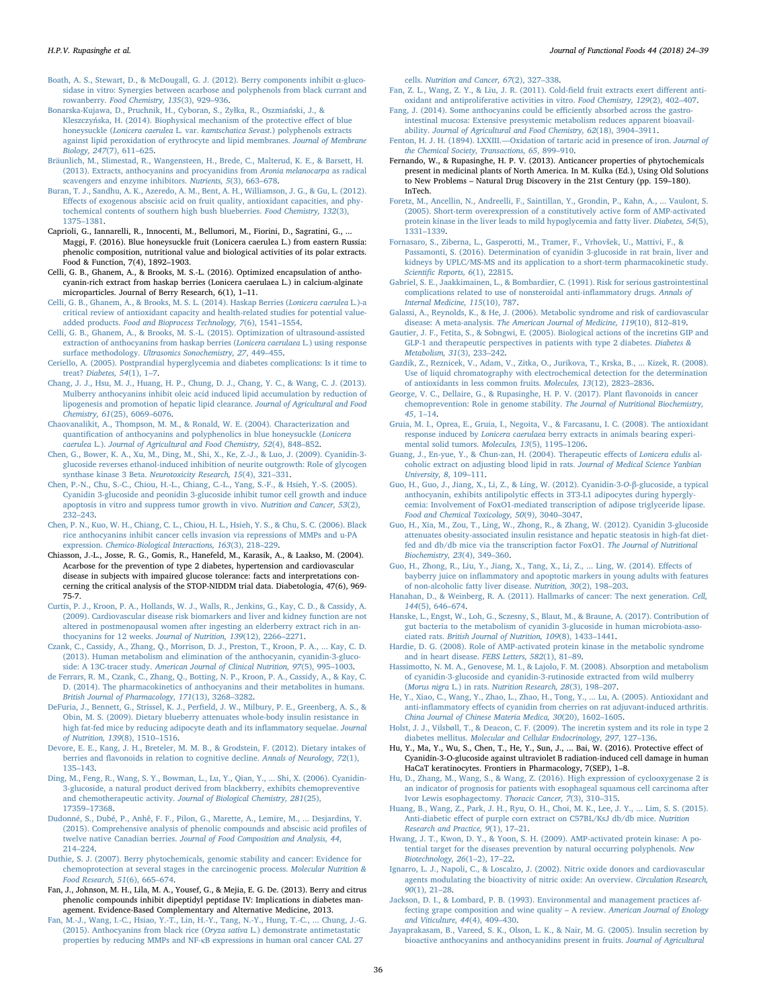- <span id="page-12-30"></span>[Boath, A. S., Stewart, D., & McDougall, G. J. \(2012\). Berry components inhibit](http://refhub.elsevier.com/S1756-4646(18)30068-9/h0060) α-gluco[sidase in vitro: Synergies between acarbose and polyphenols from black currant and](http://refhub.elsevier.com/S1756-4646(18)30068-9/h0060) rowanberry. [Food Chemistry, 135](http://refhub.elsevier.com/S1756-4646(18)30068-9/h0060)(3), 929–936.
- <span id="page-12-39"></span>[Bonarska-Kujawa, D., Pruchnik, H., Cyboran, S., Zy](http://refhub.elsevier.com/S1756-4646(18)30068-9/h0065)łka, R., Oszmiański, J., & Kleszczyń[ska, H. \(2014\). Biophysical mechanism of the protective e](http://refhub.elsevier.com/S1756-4646(18)30068-9/h0065)ffect of blue honeysuckle (Lonicera caerulea L. var. kamtschatica Sevast[.\) polyphenols extracts](http://refhub.elsevier.com/S1756-4646(18)30068-9/h0065) [against lipid peroxidation of erythrocyte and lipid membranes.](http://refhub.elsevier.com/S1756-4646(18)30068-9/h0065) Journal of Membrane [Biology, 247](http://refhub.elsevier.com/S1756-4646(18)30068-9/h0065)(7), 611–625.
- <span id="page-12-24"></span>[Bräunlich, M., Slimestad, R., Wangensteen, H., Brede, C., Malterud, K. E., & Barsett, H.](http://refhub.elsevier.com/S1756-4646(18)30068-9/h0070) [\(2013\). Extracts, anthocyanins and procyanidins from](http://refhub.elsevier.com/S1756-4646(18)30068-9/h0070) Aronia melanocarpa as radical [scavengers and enzyme inhibitors.](http://refhub.elsevier.com/S1756-4646(18)30068-9/h0070) Nutrients, 5(3), 663–678.
- <span id="page-12-14"></span>[Buran, T. J., Sandhu, A. K., Azeredo, A. M., Bent, A. H., Williamson, J. G., & Gu, L. \(2012\).](http://refhub.elsevier.com/S1756-4646(18)30068-9/h0075) Eff[ects of exogenous abscisic acid on fruit quality, antioxidant capacities, and phy](http://refhub.elsevier.com/S1756-4646(18)30068-9/h0075)[tochemical contents of southern high bush blueberries.](http://refhub.elsevier.com/S1756-4646(18)30068-9/h0075) Food Chemistry, 132(3), [1375](http://refhub.elsevier.com/S1756-4646(18)30068-9/h0075)–1381.
- <span id="page-12-6"></span>Caprioli, G., Iannarelli, R., Innocenti, M., Bellumori, M., Fiorini, D., Sagratini, G., ... Maggi, F. (2016). Blue honeysuckle fruit (Lonicera caerulea L.) from eastern Russia: phenolic composition, nutritional value and biological activities of its polar extracts. Food & Function, 7(4), 1892–1903.
- Celli, G. B., Ghanem, A., & Brooks, M. S.-L. (2016). Optimized encapsulation of anthocyanin-rich extract from haskap berries (Lonicera caerulaea L.) in calcium-alginate microparticles. Journal of Berry Research, 6(1), 1–11.
- <span id="page-12-1"></span>[Celli, G. B., Ghanem, A., & Brooks, M. S. L. \(2014\). Haskap Berries \(](http://refhub.elsevier.com/S1756-4646(18)30068-9/h0090)Lonicera caerulea L.)-a [critical review of antioxidant capacity and health-related studies for potential value](http://refhub.elsevier.com/S1756-4646(18)30068-9/h0090)added products. [Food and Bioprocess Technology, 7](http://refhub.elsevier.com/S1756-4646(18)30068-9/h0090)(6), 1541–1554.
- <span id="page-12-4"></span>[Celli, G. B., Ghanem, A., & Brooks, M. S.-L. \(2015\). Optimization of ultrasound-assisted](http://refhub.elsevier.com/S1756-4646(18)30068-9/h0095) [extraction of anthocyanins from haskap berries \(](http://refhub.elsevier.com/S1756-4646(18)30068-9/h0095)Lonicera caerulaea L.) using response surface methodology. [Ultrasonics Sonochemistry, 27](http://refhub.elsevier.com/S1756-4646(18)30068-9/h0095), 449–455.
- <span id="page-12-19"></span>[Ceriello, A. \(2005\). Postprandial hyperglycemia and diabetes complications: Is it time to](http://refhub.elsevier.com/S1756-4646(18)30068-9/h0100) treat? [Diabetes, 54](http://refhub.elsevier.com/S1756-4646(18)30068-9/h0100)(1), 1–7.
- <span id="page-12-34"></span>[Chang, J. J., Hsu, M. J., Huang, H. P., Chung, D. J., Chang, Y. C., & Wang, C. J. \(2013\).](http://refhub.elsevier.com/S1756-4646(18)30068-9/h0105) [Mulberry anthocyanins inhibit oleic acid induced lipid accumulation by reduction of](http://refhub.elsevier.com/S1756-4646(18)30068-9/h0105) [lipogenesis and promotion of hepatic lipid clearance.](http://refhub.elsevier.com/S1756-4646(18)30068-9/h0105) Journal of Agricultural and Food [Chemistry, 61](http://refhub.elsevier.com/S1756-4646(18)30068-9/h0105)(25), 6069–6076.
- <span id="page-12-3"></span>[Chaovanalikit, A., Thompson, M. M., & Ronald, W. E. \(2004\). Characterization and](http://refhub.elsevier.com/S1756-4646(18)30068-9/h0110) quantification [of anthocyanins and polyphenolics in blue honeysuckle \(](http://refhub.elsevier.com/S1756-4646(18)30068-9/h0110)Lonicera caerulea L.). [Journal of Agricultural and Food Chemistry, 52](http://refhub.elsevier.com/S1756-4646(18)30068-9/h0110)(4), 848–852.
- <span id="page-12-16"></span>[Chen, G., Bower, K. A., Xu, M., Ding, M., Shi, X., Ke, Z.-J., & Luo, J. \(2009\). Cyanidin-3](http://refhub.elsevier.com/S1756-4646(18)30068-9/h0115) [glucoside reverses ethanol-induced inhibition of neurite outgrowth: Role of glycogen](http://refhub.elsevier.com/S1756-4646(18)30068-9/h0115) synthase kinase 3 Beta. [Neurotoxicity Research, 15](http://refhub.elsevier.com/S1756-4646(18)30068-9/h0115)(4), 321–331.
- <span id="page-12-43"></span>[Chen, P.-N., Chu, S.-C., Chiou, H.-L., Chiang, C.-L., Yang, S.-F., & Hsieh, Y.-S. \(2005\).](http://refhub.elsevier.com/S1756-4646(18)30068-9/h0120) [Cyanidin 3-glucoside and peonidin 3-glucoside inhibit tumor cell growth and induce](http://refhub.elsevier.com/S1756-4646(18)30068-9/h0120) [apoptosis in vitro and suppress tumor growth in vivo.](http://refhub.elsevier.com/S1756-4646(18)30068-9/h0120) Nutrition and Cancer, 53(2), 232–[243](http://refhub.elsevier.com/S1756-4646(18)30068-9/h0120).
- <span id="page-12-45"></span>[Chen, P. N., Kuo, W. H., Chiang, C. L., Chiou, H. L., Hsieh, Y. S., & Chu, S. C. \(2006\). Black](http://refhub.elsevier.com/S1756-4646(18)30068-9/h0125) [rice anthocyanins inhibit cancer cells invasion via repressions of MMPs and u-PA](http://refhub.elsevier.com/S1756-4646(18)30068-9/h0125) expression. [Chemico-Biological Interactions, 163](http://refhub.elsevier.com/S1756-4646(18)30068-9/h0125)(3), 218–229.
- Chiasson, J.-L., Josse, R. G., Gomis, R., Hanefeld, M., Karasik, A., & Laakso, M. (2004). Acarbose for the prevention of type 2 diabetes, hypertension and cardiovascular disease in subjects with impaired glucose tolerance: facts and interpretations concerning the critical analysis of the STOP-NIDDM trial data. Diabetologia, 47(6), 969- 75-7.
- <span id="page-12-21"></span>[Curtis, P. J., Kroon, P. A., Hollands, W. J., Walls, R., Jenkins, G., Kay, C. D., & Cassidy, A.](http://refhub.elsevier.com/S1756-4646(18)30068-9/h0135) [\(2009\). Cardiovascular disease risk biomarkers and liver and kidney function are not](http://refhub.elsevier.com/S1756-4646(18)30068-9/h0135) [altered in postmenopausal women after ingesting an elderberry extract rich in an](http://refhub.elsevier.com/S1756-4646(18)30068-9/h0135)[thocyanins for 12 weeks.](http://refhub.elsevier.com/S1756-4646(18)30068-9/h0135) Journal of Nutrition, 139(12), 2266–2271.
- <span id="page-12-5"></span>[Czank, C., Cassidy, A., Zhang, Q., Morrison, D. J., Preston, T., Kroon, P. A., ... Kay, C. D.](http://refhub.elsevier.com/S1756-4646(18)30068-9/h0140) [\(2013\). Human metabolism and elimination of the anthocyanin, cyanidin-3-gluco](http://refhub.elsevier.com/S1756-4646(18)30068-9/h0140)side: A 13C-tracer study. [American Journal of Clinical Nutrition, 97](http://refhub.elsevier.com/S1756-4646(18)30068-9/h0140)(5), 995–1003.
- [de Ferrars, R. M., Czank, C., Zhang, Q., Botting, N. P., Kroon, P. A., Cassidy, A., & Kay, C.](http://refhub.elsevier.com/S1756-4646(18)30068-9/h0145) [D. \(2014\). The pharmacokinetics of anthocyanins and their metabolites in humans.](http://refhub.elsevier.com/S1756-4646(18)30068-9/h0145) [British Journal of Pharmacology, 171](http://refhub.elsevier.com/S1756-4646(18)30068-9/h0145)(13), 3268–3282.
- <span id="page-12-37"></span>DeFuria, J., Bennett, G., Strissel, K. J., Perfi[eld, J. W., Milbury, P. E., Greenberg, A. S., &](http://refhub.elsevier.com/S1756-4646(18)30068-9/h0150) [Obin, M. S. \(2009\). Dietary blueberry attenuates whole-body insulin resistance in](http://refhub.elsevier.com/S1756-4646(18)30068-9/h0150) [high fat-fed mice by reducing adipocyte death and its in](http://refhub.elsevier.com/S1756-4646(18)30068-9/h0150)flammatory sequelae. Journal [of Nutrition, 139](http://refhub.elsevier.com/S1756-4646(18)30068-9/h0150)(8), 1510–1516.
- <span id="page-12-13"></span>[Devore, E. E., Kang, J. H., Breteler, M. M. B., & Grodstein, F. \(2012\). Dietary intakes of](http://refhub.elsevier.com/S1756-4646(18)30068-9/h0155) berries and fl[avonoids in relation to cognitive decline.](http://refhub.elsevier.com/S1756-4646(18)30068-9/h0155) Annals of Neurology, 72(1), 135–[143](http://refhub.elsevier.com/S1756-4646(18)30068-9/h0155).
- <span id="page-12-42"></span>[Ding, M., Feng, R., Wang, S. Y., Bowman, L., Lu, Y., Qian, Y., ... Shi, X. \(2006\). Cyanidin-](http://refhub.elsevier.com/S1756-4646(18)30068-9/h0160)[3-glucoside, a natural product derived from blackberry, exhibits chemopreventive](http://refhub.elsevier.com/S1756-4646(18)30068-9/h0160) and chemotherapeutic activity. [Journal of Biological Chemistry, 281](http://refhub.elsevier.com/S1756-4646(18)30068-9/h0160)(25), 17359–[17368.](http://refhub.elsevier.com/S1756-4646(18)30068-9/h0160)
- <span id="page-12-0"></span>[Dudonné, S., Dubé, P., Anhê, F. F., Pilon, G., Marette, A., Lemire, M., ... Desjardins, Y.](http://refhub.elsevier.com/S1756-4646(18)30068-9/h0165) [\(2015\). Comprehensive analysis of phenolic compounds and abscisic acid pro](http://refhub.elsevier.com/S1756-4646(18)30068-9/h0165)files of twelve native Canadian berries. [Journal of Food Composition and Analysis, 44](http://refhub.elsevier.com/S1756-4646(18)30068-9/h0165), 214–[224](http://refhub.elsevier.com/S1756-4646(18)30068-9/h0165).
- <span id="page-12-35"></span>Duthie, [S. J. \(2007\). Berry phytochemicals, genomic stability and cancer: Evidence for](http://refhub.elsevier.com/S1756-4646(18)30068-9/h0170) [chemoprotection at several stages in the carcinogenic process.](http://refhub.elsevier.com/S1756-4646(18)30068-9/h0170) Molecular Nutrition & [Food Research, 51](http://refhub.elsevier.com/S1756-4646(18)30068-9/h0170)(6), 665–674.
- <span id="page-12-28"></span>Fan, J., Johnson, M. H., Lila, M. A., Yousef, G., & Mejia, E. G. De. (2013). Berry and citrus phenolic compounds inhibit dipeptidyl peptidase IV: Implications in diabetes management. Evidence-Based Complementary and Alternative Medicine, 2013.
- <span id="page-12-44"></span>[Fan, M.-J., Wang, I.-C., Hsiao, Y.-T., Lin, H.-Y., Tang, N.-Y., Hung, T.-C., ... Chung, J.-G.](http://refhub.elsevier.com/S1756-4646(18)30068-9/h0180) [\(2015\). Anthocyanins from black rice \(](http://refhub.elsevier.com/S1756-4646(18)30068-9/h0180)Oryza sativa L.) demonstrate antimetastatic properties by reducing MMPs and NF-κ[B expressions in human oral cancer CAL 27](http://refhub.elsevier.com/S1756-4646(18)30068-9/h0180)

cells. [Nutrition and Cancer, 67](http://refhub.elsevier.com/S1756-4646(18)30068-9/h0180)(2), 327–338.

- <span id="page-12-40"></span>[Fan, Z. L., Wang, Z. Y., & Liu, J. R. \(2011\). Cold-](http://refhub.elsevier.com/S1756-4646(18)30068-9/h0185)field fruit extracts exert different anti[oxidant and antiproliferative activities in vitro.](http://refhub.elsevier.com/S1756-4646(18)30068-9/h0185) Food Chemistry, 129(2), 402–407.
- <span id="page-12-8"></span>[Fang, J. \(2014\). Some anthocyanins could be e](http://refhub.elsevier.com/S1756-4646(18)30068-9/h0190)fficiently absorbed across the gastro[intestinal mucosa: Extensive presystemic metabolism reduces apparent bioavail](http://refhub.elsevier.com/S1756-4646(18)30068-9/h0190)ability. [Journal of Agricultural and Food Chemistry, 62](http://refhub.elsevier.com/S1756-4646(18)30068-9/h0190)(18), 3904–3911.
- <span id="page-12-10"></span>Fenton, H. J. H. (1894). LXXIII.—[Oxidation of tartaric acid in presence of iron.](http://refhub.elsevier.com/S1756-4646(18)30068-9/h0195) Journal of [the Chemical Society, Transactions, 65](http://refhub.elsevier.com/S1756-4646(18)30068-9/h0195), 899–910.
- Fernando, W., & Rupasinghe, H. P. V. (2013). Anticancer properties of phytochemicals present in medicinal plants of North America. In M. Kulka (Ed.), Using Old Solutions to New Problems – Natural Drug Discovery in the 21st Century (pp. 159–180). InTech.
- <span id="page-12-32"></span>[Foretz, M., Ancellin, N., Andreelli, F., Saintillan, Y., Grondin, P., Kahn, A., ... Vaulont, S.](http://refhub.elsevier.com/S1756-4646(18)30068-9/h0205) [\(2005\). Short-term overexpression of a constitutively active form of AMP-activated](http://refhub.elsevier.com/S1756-4646(18)30068-9/h0205) [protein kinase in the liver leads to mild hypoglycemia and fatty liver.](http://refhub.elsevier.com/S1756-4646(18)30068-9/h0205) Diabetes, 54(5), 1331–[1339](http://refhub.elsevier.com/S1756-4646(18)30068-9/h0205).
- <span id="page-12-17"></span>[Fornasaro, S., Ziberna, L., Gasperotti, M., Tramer, F., Vrhov](http://refhub.elsevier.com/S1756-4646(18)30068-9/h0210)šek, U., Mattivi, F., & [Passamonti, S. \(2016\). Determination of cyanidin 3-glucoside in rat brain, liver and](http://refhub.elsevier.com/S1756-4646(18)30068-9/h0210) [kidneys by UPLC/MS-MS and its application to a short-term pharmacokinetic study.](http://refhub.elsevier.com/S1756-4646(18)30068-9/h0210) Scientifi[c Reports, 6](http://refhub.elsevier.com/S1756-4646(18)30068-9/h0210)(1), 22815.
- <span id="page-12-11"></span>[Gabriel, S. E., Jaakkimainen, L., & Bombardier, C. \(1991\). Risk for serious gastrointestinal](http://refhub.elsevier.com/S1756-4646(18)30068-9/h0215) [complications related to use of nonsteroidal anti-in](http://refhub.elsevier.com/S1756-4646(18)30068-9/h0215)flammatory drugs. Annals of [Internal Medicine, 115](http://refhub.elsevier.com/S1756-4646(18)30068-9/h0215)(10), 787.
- <span id="page-12-18"></span>[Galassi, A., Reynolds, K., & He, J. \(2006\). Metabolic syndrome and risk of cardiovascular](http://refhub.elsevier.com/S1756-4646(18)30068-9/h0220) disease: A meta-analysis. [The American Journal of Medicine, 119](http://refhub.elsevier.com/S1756-4646(18)30068-9/h0220)(10), 812–819.
- <span id="page-12-26"></span>[Gautier, J. F., Fetita, S., & Sobngwi, E. \(2005\). Biological actions of the incretins GIP and](http://refhub.elsevier.com/S1756-4646(18)30068-9/h0225) GLP-1 [and therapeutic perspectives in patients with type 2 diabetes.](http://refhub.elsevier.com/S1756-4646(18)30068-9/h0225) Diabetes & [Metabolism, 31](http://refhub.elsevier.com/S1756-4646(18)30068-9/h0225)(3), 233–242.
- <span id="page-12-15"></span>[Gazdik, Z., Reznicek, V., Adam, V., Zitka, O., Jurikova, T., Krska, B., ... Kizek, R. \(2008\).](http://refhub.elsevier.com/S1756-4646(18)30068-9/h0230) [Use of liquid chromatography with electrochemical detection for the determination](http://refhub.elsevier.com/S1756-4646(18)30068-9/h0230) [of antioxidants in less common fruits.](http://refhub.elsevier.com/S1756-4646(18)30068-9/h0230) Molecules, 13(12), 2823–2836.
- [George, V. C., Dellaire, G., & Rupasinghe, H. P. V. \(2017\). Plant](http://refhub.elsevier.com/S1756-4646(18)30068-9/h0235) flavonoids in cancer [chemoprevention: Role in genome stability.](http://refhub.elsevier.com/S1756-4646(18)30068-9/h0235) The Journal of Nutritional Biochemistry, 45,  $1-14$ .
- <span id="page-12-47"></span>[Gruia, M. I., Oprea, E., Gruia, I., Negoita, V., & Farcasanu, I. C. \(2008\). The antioxidant](http://refhub.elsevier.com/S1756-4646(18)30068-9/h0240) response induced by Lonicera caerulaea [berry extracts in animals bearing experi](http://refhub.elsevier.com/S1756-4646(18)30068-9/h0240)[mental solid tumors.](http://refhub.elsevier.com/S1756-4646(18)30068-9/h0240) Molecules, 13(5), 1195–1206.
- <span id="page-12-20"></span>[Guang, J., En-yue, Y., & Chun-zan, H. \(2004\). Therapeutic e](http://refhub.elsevier.com/S1756-4646(18)30068-9/h0245)ffects of Lonicera edulis al[coholic extract on adjusting blood lipid in rats.](http://refhub.elsevier.com/S1756-4646(18)30068-9/h0245) Journal of Medical Science Yanbian [University, 8](http://refhub.elsevier.com/S1756-4646(18)30068-9/h0245), 109–111.
- <span id="page-12-23"></span>[Guo, H., Guo, J., Jiang, X., Li, Z., & Ling, W. \(2012\). Cyanidin-3-](http://refhub.elsevier.com/S1756-4646(18)30068-9/h0250)O-β-glucoside, a typical anthocyanin, exhibits antilipolytic eff[ects in 3T3-L1 adipocytes during hypergly](http://refhub.elsevier.com/S1756-4646(18)30068-9/h0250)[cemia: Involvement of FoxO1-mediated transcription of adipose triglyceride lipase.](http://refhub.elsevier.com/S1756-4646(18)30068-9/h0250) [Food and Chemical Toxicology, 50](http://refhub.elsevier.com/S1756-4646(18)30068-9/h0250)(9), 3040–3047.
- <span id="page-12-22"></span>[Guo, H., Xia, M., Zou, T., Ling, W., Zhong, R., & Zhang, W. \(2012\). Cyanidin 3-glucoside](http://refhub.elsevier.com/S1756-4646(18)30068-9/h0255) [attenuates obesity-associated insulin resistance and hepatic steatosis in high-fat diet](http://refhub.elsevier.com/S1756-4646(18)30068-9/h0255)[fed and db/db mice via the transcription factor FoxO1.](http://refhub.elsevier.com/S1756-4646(18)30068-9/h0255) The Journal of Nutritional [Biochemistry, 23](http://refhub.elsevier.com/S1756-4646(18)30068-9/h0255)(4), 349–360.
- <span id="page-12-46"></span>[Guo, H., Zhong, R., Liu, Y., Jiang, X., Tang, X., Li, Z., ... Ling, W. \(2014\). E](http://refhub.elsevier.com/S1756-4646(18)30068-9/h0260)ffects of bayberry juice on infl[ammatory and apoptotic markers in young adults with features](http://refhub.elsevier.com/S1756-4646(18)30068-9/h0260) [of non-alcoholic fatty liver disease.](http://refhub.elsevier.com/S1756-4646(18)30068-9/h0260) Nutrition, 30(2), 198–203.
- <span id="page-12-36"></span>[Hanahan, D., & Weinberg, R. A. \(2011\). Hallmarks of cancer: The next generation.](http://refhub.elsevier.com/S1756-4646(18)30068-9/h0265) Cell, 144[\(5\), 646](http://refhub.elsevier.com/S1756-4646(18)30068-9/h0265)–674.
- <span id="page-12-9"></span>[Hanske, L., Engst, W., Loh, G., Sczesny, S., Blaut, M., & Braune, A. \(2017\). Contribution of](http://refhub.elsevier.com/S1756-4646(18)30068-9/h0270) [gut bacteria to the metabolism of cyanidin 3-glucoside in human microbiota-asso](http://refhub.elsevier.com/S1756-4646(18)30068-9/h0270)ciated rats. [British Journal of Nutrition, 109](http://refhub.elsevier.com/S1756-4646(18)30068-9/h0270)(8), 1433–1441.
- <span id="page-12-29"></span>[Hardie, D. G. \(2008\). Role of AMP-activated protein kinase in the metabolic syndrome](http://refhub.elsevier.com/S1756-4646(18)30068-9/h0275) [and in heart disease.](http://refhub.elsevier.com/S1756-4646(18)30068-9/h0275) FEBS Letters, 582(1), 81–89.
- <span id="page-12-7"></span>Hassimotto, [N. M. A., Genovese, M. I., & Lajolo, F. M. \(2008\). Absorption and metabolism](http://refhub.elsevier.com/S1756-4646(18)30068-9/h0280) [of cyanidin-3-glucoside and cyanidin-3-rutinoside extracted from wild mulberry](http://refhub.elsevier.com/S1756-4646(18)30068-9/h0280) (Morus nigra L.) in rats. [Nutrition Research, 28](http://refhub.elsevier.com/S1756-4646(18)30068-9/h0280)(3), 198–207.
- <span id="page-12-12"></span>[He, Y., Xiao, C., Wang, Y., Zhao, L., Zhao, H., Tong, Y., ... Lu, A. \(2005\). Antioxidant and](http://refhub.elsevier.com/S1756-4646(18)30068-9/h0285) anti-inflammatory eff[ects of cyanidin from cherries on rat adjuvant-induced arthritis.](http://refhub.elsevier.com/S1756-4646(18)30068-9/h0285) [China Journal of Chinese Materia Medica, 30](http://refhub.elsevier.com/S1756-4646(18)30068-9/h0285)(20), 1602–1605.
- <span id="page-12-27"></span>[Holst, J. J., Vilsbøll, T., & Deacon, C. F. \(2009\). The incretin system and its role in type 2](http://refhub.elsevier.com/S1756-4646(18)30068-9/h0290) diabetes mellitus. [Molecular and Cellular Endocrinology, 297](http://refhub.elsevier.com/S1756-4646(18)30068-9/h0290), 127–136.
- <span id="page-12-38"></span>Hu, Y., Ma, Y., Wu, S., Chen, T., He, Y., Sun, J., ... Bai, W. (2016). Protective effect of Cyanidin-3-O-glucoside against ultraviolet B radiation-induced cell damage in human HaCaT keratinocytes. Frontiers in Pharmacology, 7(SEP), 1–8.
- <span id="page-12-41"></span>[Hu, D., Zhang, M., Wang, S., & Wang, Z. \(2016\). High expression of cyclooxygenase 2 is](http://refhub.elsevier.com/S1756-4646(18)30068-9/h0300) [an indicator of prognosis for patients with esophageal squamous cell carcinoma after](http://refhub.elsevier.com/S1756-4646(18)30068-9/h0300) [Ivor Lewis esophagectomy.](http://refhub.elsevier.com/S1756-4646(18)30068-9/h0300) Thoracic Cancer, 7(3), 310–315.
- <span id="page-12-33"></span>[Huang, B., Wang, Z., Park, J. H., Ryu, O. H., Choi, M. K., Lee, J. Y., ... Lim, S. S. \(2015\).](http://refhub.elsevier.com/S1756-4646(18)30068-9/h0305) Anti-diabetic eff[ect of purple corn extract on C57BL/KsJ db/db mice.](http://refhub.elsevier.com/S1756-4646(18)30068-9/h0305) Nutrition [Research and Practice, 9](http://refhub.elsevier.com/S1756-4646(18)30068-9/h0305)(1), 17–21.
- <span id="page-12-31"></span>[Hwang, J. T., Kwon, D. Y., & Yoon, S. H. \(2009\). AMP-activated protein kinase: A po](http://refhub.elsevier.com/S1756-4646(18)30068-9/h0310)[tential target for the diseases prevention by natural occurring polyphenols.](http://refhub.elsevier.com/S1756-4646(18)30068-9/h0310) New [Biotechnology, 26](http://refhub.elsevier.com/S1756-4646(18)30068-9/h0310)(1–2), 17–22.
- [Ignarro, L. J., Napoli, C., & Loscalzo, J. \(2002\). Nitric oxide donors and cardiovascular](http://refhub.elsevier.com/S1756-4646(18)30068-9/h0315) [agents modulating the bioactivity of nitric oxide: An overview.](http://refhub.elsevier.com/S1756-4646(18)30068-9/h0315) Circulation Research, 90[\(1\), 21](http://refhub.elsevier.com/S1756-4646(18)30068-9/h0315)–28.
- <span id="page-12-2"></span>[Jackson, D. I., & Lombard, P. B. \(1993\). Environmental and management practices af](http://refhub.elsevier.com/S1756-4646(18)30068-9/h0320)[fecting grape composition and wine quality](http://refhub.elsevier.com/S1756-4646(18)30068-9/h0320) – A review. American Journal of Enology [and Viticulture, 44](http://refhub.elsevier.com/S1756-4646(18)30068-9/h0320)(4), 409–430.
- <span id="page-12-25"></span>[Jayaprakasam, B., Vareed, S. K., Olson, L. K., & Nair, M. G. \(2005\). Insulin secretion by](http://refhub.elsevier.com/S1756-4646(18)30068-9/h0325) [bioactive anthocyanins and anthocyanidins present in fruits.](http://refhub.elsevier.com/S1756-4646(18)30068-9/h0325) Journal of Agricultural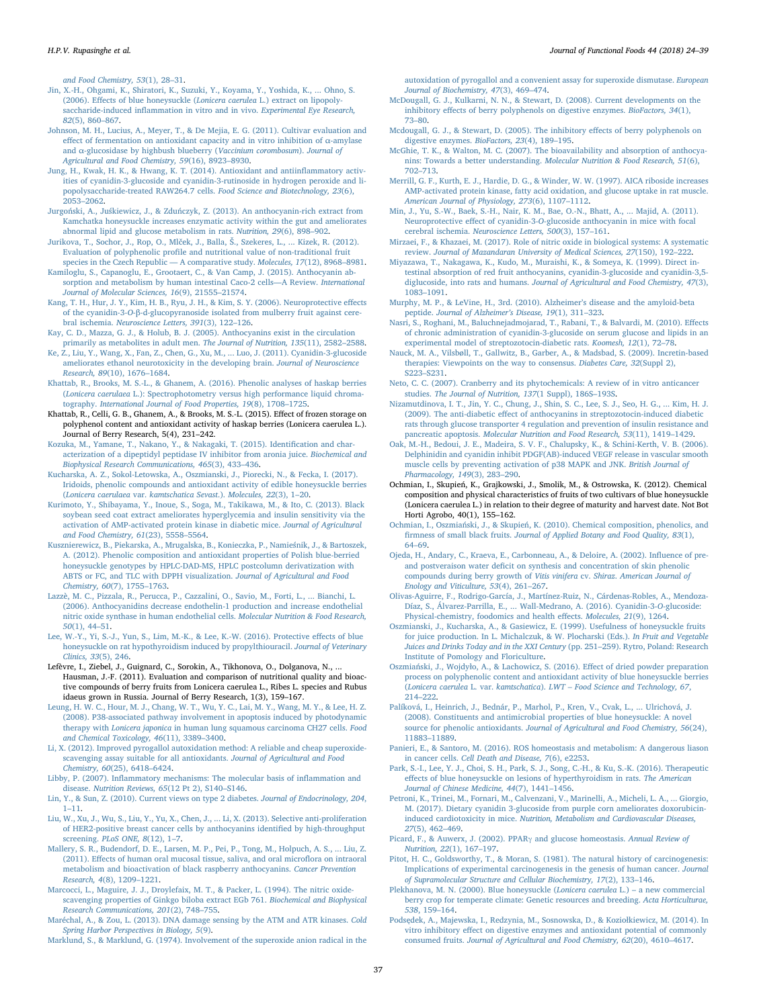[and Food Chemistry, 53](http://refhub.elsevier.com/S1756-4646(18)30068-9/h0325)(1), 28–31.

- <span id="page-13-16"></span>[Jin, X.-H., Ohgami, K., Shiratori, K., Suzuki, Y., Koyama, Y., Yoshida, K., ... Ohno, S.](http://refhub.elsevier.com/S1756-4646(18)30068-9/h0330) (2006). Eff[ects of blue honeysuckle \(](http://refhub.elsevier.com/S1756-4646(18)30068-9/h0330)Lonicera caerulea L.) extract on lipopolysaccharide-induced infl[ammation in vitro and in vivo.](http://refhub.elsevier.com/S1756-4646(18)30068-9/h0330) Experimental Eye Research, 82[\(5\), 860](http://refhub.elsevier.com/S1756-4646(18)30068-9/h0330)–867.
- <span id="page-13-26"></span>[Johnson, M. H., Lucius, A., Meyer, T., & De Mejia, E. G. \(2011\). Cultivar evaluation and](http://refhub.elsevier.com/S1756-4646(18)30068-9/h0335) eff[ect of fermentation on antioxidant capacity and in vitro inhibition of](http://refhub.elsevier.com/S1756-4646(18)30068-9/h0335) α-amylase and α[-glucosidase by highbush blueberry \(](http://refhub.elsevier.com/S1756-4646(18)30068-9/h0335)Vaccinium corombosum). Journal of [Agricultural and Food Chemistry, 59](http://refhub.elsevier.com/S1756-4646(18)30068-9/h0335)(16), 8923–8930.
- <span id="page-13-36"></span>[Jung, H., Kwak, H. K., & Hwang, K. T. \(2014\). Antioxidant and antiin](http://refhub.elsevier.com/S1756-4646(18)30068-9/h0340)flammatory activ[ities of cyanidin-3-glucoside and cyanidin-3-rutinoside in hydrogen peroxide and li](http://refhub.elsevier.com/S1756-4646(18)30068-9/h0340)[popolysaccharide-treated RAW264.7 cells.](http://refhub.elsevier.com/S1756-4646(18)30068-9/h0340) Food Science and Biotechnology, 23(6), [2053](http://refhub.elsevier.com/S1756-4646(18)30068-9/h0340)–2062.
- <span id="page-13-20"></span>Jurgoński, A., Juśkiewicz, J., & Zduń[czyk, Z. \(2013\). An anthocyanin-rich extract from](http://refhub.elsevier.com/S1756-4646(18)30068-9/h0345) [Kamchatka honeysuckle increases enzymatic activity within the gut and ameliorates](http://refhub.elsevier.com/S1756-4646(18)30068-9/h0345) [abnormal lipid and glucose metabolism in rats.](http://refhub.elsevier.com/S1756-4646(18)30068-9/h0345) Nutrition, 29(6), 898–902.
- <span id="page-13-1"></span>[Jurikova, T., Sochor, J., Rop, O., Ml](http://refhub.elsevier.com/S1756-4646(18)30068-9/h0350)ček, J., Balla, Š., Szekeres, L., ... Kizek, R. (2012). Evaluation of polyphenolic profi[le and nutritional value of non-traditional fruit](http://refhub.elsevier.com/S1756-4646(18)30068-9/h0350) [species in the Czech Republic](http://refhub.elsevier.com/S1756-4646(18)30068-9/h0350) — A comparative study. Molecules, 17(12), 8968–8981.
- [Kamiloglu, S., Capanoglu, E., Grootaert, C., & Van Camp, J. \(2015\). Anthocyanin ab](http://refhub.elsevier.com/S1756-4646(18)30068-9/h0355)[sorption and metabolism by human intestinal Caco-2 cells](http://refhub.elsevier.com/S1756-4646(18)30068-9/h0355)—A Review. International [Journal of Molecular Sciences, 16](http://refhub.elsevier.com/S1756-4646(18)30068-9/h0355)(9), 21555–21574.
- <span id="page-13-18"></span>[Kang, T. H., Hur, J. Y., Kim, H. B., Ryu, J. H., & Kim, S. Y. \(2006\). Neuroprotective e](http://refhub.elsevier.com/S1756-4646(18)30068-9/h0360)ffects of the cyanidin-3-O-β[-d-glucopyranoside isolated from mulberry fruit against cere](http://refhub.elsevier.com/S1756-4646(18)30068-9/h0360)bral ischemia. [Neuroscience Letters, 391](http://refhub.elsevier.com/S1756-4646(18)30068-9/h0360)(3), 122–126.
- <span id="page-13-12"></span>Kay, [C. D., Mazza, G. J., & Holub, B. J. \(2005\). Anthocyanins exist in the circulation](http://refhub.elsevier.com/S1756-4646(18)30068-9/h0365) [primarily as metabolites in adult men.](http://refhub.elsevier.com/S1756-4646(18)30068-9/h0365) The Journal of Nutrition, 135(11), 2582–2588.
- [Ke, Z., Liu, Y., Wang, X., Fan, Z., Chen, G., Xu, M., ... Luo, J. \(2011\). Cyanidin-3-glucoside](http://refhub.elsevier.com/S1756-4646(18)30068-9/h0370) [ameliorates ethanol neurotoxicity in the developing brain.](http://refhub.elsevier.com/S1756-4646(18)30068-9/h0370) Journal of Neuroscience [Research, 89](http://refhub.elsevier.com/S1756-4646(18)30068-9/h0370)(10), 1676–1684.
- <span id="page-13-3"></span>[Khattab, R., Brooks, M. S.-L., & Ghanem, A. \(2016\). Phenolic analyses of haskap berries](http://refhub.elsevier.com/S1756-4646(18)30068-9/h0375) (Lonicera caerulaea [L.\): Spectrophotometry versus high performance liquid chroma](http://refhub.elsevier.com/S1756-4646(18)30068-9/h0375)tography. [International Journal of Food Properties, 19](http://refhub.elsevier.com/S1756-4646(18)30068-9/h0375)(8), 1708–1725.
- <span id="page-13-7"></span>Khattab, R., Celli, G. B., Ghanem, A., & Brooks, M. S.-L. (2015). Effect of frozen storage on polyphenol content and antioxidant activity of haskap berries (Lonicera caerulea L.). Journal of Berry Research, 5(4), 231–242.
- <span id="page-13-29"></span>[Kozuka, M., Yamane, T., Nakano, Y., & Nakagaki, T. \(2015\). Identi](http://refhub.elsevier.com/S1756-4646(18)30068-9/h0385)fication and char[acterization of a dipeptidyl peptidase IV inhibitor from aronia juice.](http://refhub.elsevier.com/S1756-4646(18)30068-9/h0385) Biochemical and [Biophysical Research Communications, 465](http://refhub.elsevier.com/S1756-4646(18)30068-9/h0385)(3), 433–436.
- <span id="page-13-17"></span>[Kucharska, A. Z., Sokol-Letowska, A., Oszmianski, J., Piorecki, N., & Fecka, I. \(2017\).](http://refhub.elsevier.com/S1756-4646(18)30068-9/h0390) [Iridoids, phenolic compounds and antioxidant activity of edible honeysuckle berries](http://refhub.elsevier.com/S1756-4646(18)30068-9/h0390) (Lonicera caerulaea var. [kamtschatica Sevast](http://refhub.elsevier.com/S1756-4646(18)30068-9/h0390).). Molecules, 22(3), 1–20.
- <span id="page-13-31"></span>[Kurimoto, Y., Shibayama, Y., Inoue, S., Soga, M., Takikawa, M., & Ito, C. \(2013\). Black](http://refhub.elsevier.com/S1756-4646(18)30068-9/h0395) [soybean seed coat extract ameliorates hyperglycemia and insulin sensitivity via the](http://refhub.elsevier.com/S1756-4646(18)30068-9/h0395) [activation of AMP-activated protein kinase in diabetic mice.](http://refhub.elsevier.com/S1756-4646(18)30068-9/h0395) Journal of Agricultural [and Food Chemistry, 61](http://refhub.elsevier.com/S1756-4646(18)30068-9/h0395)(23), 5558–5564.
- <span id="page-13-10"></span>[Kusznierewicz, B., Piekarska, A., Mrugalska, B., Konieczka, P., Namie](http://refhub.elsevier.com/S1756-4646(18)30068-9/h0400)śnik, J., & Bartoszek, [A. \(2012\). Phenolic composition and antioxidant properties of Polish blue-berried](http://refhub.elsevier.com/S1756-4646(18)30068-9/h0400) [honeysuckle genotypes by HPLC-DAD-MS, HPLC postcolumn derivatization with](http://refhub.elsevier.com/S1756-4646(18)30068-9/h0400) [ABTS or FC, and TLC with DPPH visualization.](http://refhub.elsevier.com/S1756-4646(18)30068-9/h0400) Journal of Agricultural and Food [Chemistry, 60](http://refhub.elsevier.com/S1756-4646(18)30068-9/h0400)(7), 1755–1763.
- <span id="page-13-22"></span>[Lazzè, M. C., Pizzala, R., Perucca, P., Cazzalini, O., Savio, M., Forti, L., ... Bianchi, L.](http://refhub.elsevier.com/S1756-4646(18)30068-9/h0405) [\(2006\). Anthocyanidins decrease endothelin-1 production and increase endothelial](http://refhub.elsevier.com/S1756-4646(18)30068-9/h0405) [nitric oxide synthase in human endothelial cells.](http://refhub.elsevier.com/S1756-4646(18)30068-9/h0405) Molecular Nutrition & Food Research, 50[\(1\), 44](http://refhub.elsevier.com/S1756-4646(18)30068-9/h0405)–51.
- <span id="page-13-43"></span>[Lee, W.-Y., Yi, S.-J., Yun, S., Lim, M.-K., & Lee, K.-W. \(2016\). Protective e](http://refhub.elsevier.com/S1756-4646(18)30068-9/h0410)ffects of blue [honeysuckle on rat hypothyroidism induced by propylthiouracil.](http://refhub.elsevier.com/S1756-4646(18)30068-9/h0410) Journal of Veterinary [Clinics, 33](http://refhub.elsevier.com/S1756-4646(18)30068-9/h0410)(5), 246.
- <span id="page-13-9"></span>Lefèvre, I., Ziebel, J., Guignard, C., Sorokin, A., Tikhonova, O., Dolganova, N., ... Hausman, J.-F. (2011). Evaluation and comparison of nutritional quality and bioactive compounds of berry fruits from Lonicera caerulea L., Ribes L. species and Rubus idaeus grown in Russia. Journal of Berry Research, 1(3), 159–167.
- <span id="page-13-38"></span>[Leung, H. W. C., Hour, M. J., Chang, W. T., Wu, Y. C., Lai, M. Y., Wang, M. Y., & Lee, H. Z.](http://refhub.elsevier.com/S1756-4646(18)30068-9/h0420) [\(2008\). P38-associated pathway involvement in apoptosis induced by photodynamic](http://refhub.elsevier.com/S1756-4646(18)30068-9/h0420) therapy with Lonicera japonica [in human lung squamous carcinoma CH27 cells.](http://refhub.elsevier.com/S1756-4646(18)30068-9/h0420) Food [and Chemical Toxicology, 46](http://refhub.elsevier.com/S1756-4646(18)30068-9/h0420)(11), 3389–3400.
- <span id="page-13-13"></span>[Li, X. \(2012\). Improved pyrogallol autoxidation method: A reliable and cheap superoxide](http://refhub.elsevier.com/S1756-4646(18)30068-9/h0425)[scavenging assay suitable for all antioxidants.](http://refhub.elsevier.com/S1756-4646(18)30068-9/h0425) Journal of Agricultural and Food [Chemistry, 60](http://refhub.elsevier.com/S1756-4646(18)30068-9/h0425)(25), 6418–6424.
- <span id="page-13-15"></span>Libby, P. (2007). Infl[ammatory mechanisms: The molecular basis of in](http://refhub.elsevier.com/S1756-4646(18)30068-9/h0430)flammation and disease. [Nutrition Reviews, 65](http://refhub.elsevier.com/S1756-4646(18)30068-9/h0430)(12 Pt 2), S140–S146.
- <span id="page-13-24"></span>[Lin, Y., & Sun, Z. \(2010\). Current views on type 2 diabetes.](http://refhub.elsevier.com/S1756-4646(18)30068-9/h0435) Journal of Endocrinology, 204, 1–[11](http://refhub.elsevier.com/S1756-4646(18)30068-9/h0435).
- <span id="page-13-37"></span>[Liu, W., Xu, J., Wu, S., Liu, Y., Yu, X., Chen, J., ... Li, X. \(2013\). Selective anti-proliferation](http://refhub.elsevier.com/S1756-4646(18)30068-9/h0440) [of HER2-positive breast cancer cells by anthocyanins identi](http://refhub.elsevier.com/S1756-4646(18)30068-9/h0440)fied by high-throughput screening. [PLoS ONE, 8](http://refhub.elsevier.com/S1756-4646(18)30068-9/h0440)(12), 1–7.
- <span id="page-13-11"></span>[Mallery, S. R., Budendorf, D. E., Larsen, M. P., Pei, P., Tong, M., Holpuch, A. S., ... Liu, Z.](http://refhub.elsevier.com/S1756-4646(18)30068-9/h0445) (2011). Eff[ects of human oral mucosal tissue, saliva, and oral micro](http://refhub.elsevier.com/S1756-4646(18)30068-9/h0445)flora on intraoral [metabolism and bioactivation of black raspberry anthocyanins.](http://refhub.elsevier.com/S1756-4646(18)30068-9/h0445) Cancer Prevention [Research, 4](http://refhub.elsevier.com/S1756-4646(18)30068-9/h0445)(8), 1209–1221.
- <span id="page-13-14"></span>[Marcocci, L., Maguire, J. J., Droylefaix, M. T., & Packer, L. \(1994\). The nitric oxide](http://refhub.elsevier.com/S1756-4646(18)30068-9/h0450)[scavenging properties of Ginkgo biloba extract EGb 761.](http://refhub.elsevier.com/S1756-4646(18)30068-9/h0450) Biochemical and Biophysical [Research Communications, 201](http://refhub.elsevier.com/S1756-4646(18)30068-9/h0450)(2), 748–755.
- <span id="page-13-33"></span>[Maréchal, A., & Zou, L. \(2013\). DNA damage sensing by the ATM and ATR kinases.](http://refhub.elsevier.com/S1756-4646(18)30068-9/h0455) Cold [Spring Harbor Perspectives in Biology, 5](http://refhub.elsevier.com/S1756-4646(18)30068-9/h0455)(9).

[Marklund, S., & Marklund, G. \(1974\). Involvement of the superoxide anion radical in the](http://refhub.elsevier.com/S1756-4646(18)30068-9/h0460)

[autoxidation of pyrogallol and a convenient assay for superoxide dismutase.](http://refhub.elsevier.com/S1756-4646(18)30068-9/h0460) European [Journal of Biochemistry, 47](http://refhub.elsevier.com/S1756-4646(18)30068-9/h0460)(3), 469–474.

- [McDougall, G. J., Kulkarni, N. N., & Stewart, D. \(2008\). Current developments on the](http://refhub.elsevier.com/S1756-4646(18)30068-9/h0465) inhibitory eff[ects of berry polyphenols on digestive enzymes.](http://refhub.elsevier.com/S1756-4646(18)30068-9/h0465) BioFactors, 34(1), 73–[80](http://refhub.elsevier.com/S1756-4646(18)30068-9/h0465).
- <span id="page-13-27"></span>[Mcdougall, G. J., & Stewart, D. \(2005\). The inhibitory e](http://refhub.elsevier.com/S1756-4646(18)30068-9/h0470)ffects of berry polyphenols on [digestive enzymes.](http://refhub.elsevier.com/S1756-4646(18)30068-9/h0470) BioFactors, 23(4), 189–195.
- [McGhie, T. K., & Walton, M. C. \(2007\). The bioavailability and absorption of anthocya](http://refhub.elsevier.com/S1756-4646(18)30068-9/h0475)nins: Towards a better understanding. [Molecular Nutrition & Food Research, 51](http://refhub.elsevier.com/S1756-4646(18)30068-9/h0475)(6), 702–[713](http://refhub.elsevier.com/S1756-4646(18)30068-9/h0475).
- <span id="page-13-32"></span>Merrill, [G. F., Kurth, E. J., Hardie, D. G., & Winder, W. W. \(1997\). AICA riboside increases](http://refhub.elsevier.com/S1756-4646(18)30068-9/h0480) [AMP-activated protein kinase, fatty acid oxidation, and glucose uptake in rat muscle.](http://refhub.elsevier.com/S1756-4646(18)30068-9/h0480) [American Journal of Physiology, 273](http://refhub.elsevier.com/S1756-4646(18)30068-9/h0480)(6), 1107–1112.
- [Min, J., Yu, S.-W., Baek, S.-H., Nair, K. M., Bae, O.-N., Bhatt, A., ... Majid, A. \(2011\).](http://refhub.elsevier.com/S1756-4646(18)30068-9/h0485) Neuroprotective effect of cyanidin-3-O[-glucoside anthocyanin in mice with focal](http://refhub.elsevier.com/S1756-4646(18)30068-9/h0485) cerebral ischemia. [Neuroscience Letters, 500](http://refhub.elsevier.com/S1756-4646(18)30068-9/h0485)(3), 157–161.
- <span id="page-13-23"></span>[Mirzaei, F., & Khazaei, M. \(2017\). Role of nitric oxide in biological systems: A systematic](http://refhub.elsevier.com/S1756-4646(18)30068-9/h9000) review. [Journal of Mazandaran University of Medical Sciences, 27](http://refhub.elsevier.com/S1756-4646(18)30068-9/h9000)(150), 192–222.
- <span id="page-13-2"></span>[Miyazawa, T., Nakagawa, K., Kudo, M., Muraishi, K., & Someya, K. \(1999\). Direct in](http://refhub.elsevier.com/S1756-4646(18)30068-9/h0490)[testinal absorption of red fruit anthocyanins, cyanidin-3-glucoside and cyanidin-3,5](http://refhub.elsevier.com/S1756-4646(18)30068-9/h0490) diglucoside, into rats and humans. [Journal of Agricultural and Food Chemistry, 47](http://refhub.elsevier.com/S1756-4646(18)30068-9/h0490)(3), 1083–[1091](http://refhub.elsevier.com/S1756-4646(18)30068-9/h0490).
- <span id="page-13-19"></span>[Murphy, M. P., & LeVine, H., 3rd. \(2010\). Alzheimer](http://refhub.elsevier.com/S1756-4646(18)30068-9/h0495)'s disease and the amyloid-beta peptide. [Journal of Alzheimer](http://refhub.elsevier.com/S1756-4646(18)30068-9/h0495)'s Disease, 19(1), 311–323.
- <span id="page-13-21"></span>[Nasri, S., Roghani, M., Baluchnejadmojarad, T., Rabani, T., & Balvardi, M. \(2010\). E](http://refhub.elsevier.com/S1756-4646(18)30068-9/h0500)ffects [of chronic administration of cyanidin-3-glucoside on serum glucose and lipids in an](http://refhub.elsevier.com/S1756-4646(18)30068-9/h0500) [experimental model of streptozotocin-diabetic rats.](http://refhub.elsevier.com/S1756-4646(18)30068-9/h0500) Koomesh, 12(1), 72–78.
- <span id="page-13-28"></span>[Nauck, M. A., Vilsbøll, T., Gallwitz, B., Garber, A., & Madsbad, S. \(2009\). Incretin-based](http://refhub.elsevier.com/S1756-4646(18)30068-9/h0505) [therapies: Viewpoints on the way to consensus.](http://refhub.elsevier.com/S1756-4646(18)30068-9/h0505) Diabetes Care, 32(Suppl 2), S223–[S231.](http://refhub.elsevier.com/S1756-4646(18)30068-9/h0505)
- [Neto, C. C. \(2007\). Cranberry and its phytochemicals: A review of in vitro anticancer](http://refhub.elsevier.com/S1756-4646(18)30068-9/h0510) studies. [The Journal of Nutrition, 137](http://refhub.elsevier.com/S1756-4646(18)30068-9/h0510)(1 Suppl), 186S–193S.
- <span id="page-13-35"></span>[Nizamutdinova, I. T., Jin, Y. C., Chung, J., Shin, S. C., Lee, S. J., Seo, H. G., ... Kim, H. J.](http://refhub.elsevier.com/S1756-4646(18)30068-9/h0515) (2009). The anti-diabetic eff[ect of anthocyanins in streptozotocin-induced diabetic](http://refhub.elsevier.com/S1756-4646(18)30068-9/h0515) [rats through glucose transporter 4 regulation and prevention of insulin resistance and](http://refhub.elsevier.com/S1756-4646(18)30068-9/h0515) pancreatic apoptosis. [Molecular Nutrition and Food Research, 53](http://refhub.elsevier.com/S1756-4646(18)30068-9/h0515)(11), 1419–1429.
- <span id="page-13-40"></span>[Oak, M.-H., Bedoui, J. E., Madeira, S. V. F., Chalupsky, K., & Schini-Kerth, V. B. \(2006\).](http://refhub.elsevier.com/S1756-4646(18)30068-9/h0520) [Delphinidin and cyanidin inhibit PDGF\(AB\)-induced VEGF release in vascular smooth](http://refhub.elsevier.com/S1756-4646(18)30068-9/h0520) [muscle cells by preventing activation of p38 MAPK and JNK.](http://refhub.elsevier.com/S1756-4646(18)30068-9/h0520) British Journal of [Pharmacology, 149](http://refhub.elsevier.com/S1756-4646(18)30068-9/h0520)(3), 283–290.
- <span id="page-13-6"></span>Ochmian, I., Skupień, K., Grajkowski, J., Smolik, M., & Ostrowska, K. (2012). Chemical composition and physical characteristics of fruits of two cultivars of blue honeysuckle (Lonicera caerulea L.) in relation to their degree of maturity and harvest date. Not Bot Horti Agrobo, 40(1), 155–162.
- <span id="page-13-4"></span>Ochmian, I., Oszmiański, J., & Skupień, [K. \(2010\). Chemical composition, phenolics, and](http://refhub.elsevier.com/S1756-4646(18)30068-9/h0530) firmness of small black fruits. [Journal of Applied Botany and Food Quality, 83](http://refhub.elsevier.com/S1756-4646(18)30068-9/h0530)(1), 64–[69](http://refhub.elsevier.com/S1756-4646(18)30068-9/h0530).
- [Ojeda, H., Andary, C., Kraeva, E., Carbonneau, A., & Deloire, A. \(2002\). In](http://refhub.elsevier.com/S1756-4646(18)30068-9/h0535)fluence of preand postveraison water defi[cit on synthesis and concentration of skin phenolic](http://refhub.elsevier.com/S1756-4646(18)30068-9/h0535) [compounds during berry growth of](http://refhub.elsevier.com/S1756-4646(18)30068-9/h0535) Vitis vinifera cv. Shiraz. American Journal of [Enology and Viticulture, 53](http://refhub.elsevier.com/S1756-4646(18)30068-9/h0535)(4), 261–267.
- [Olivas-Aguirre, F., Rodrigo-García, J., Martínez-Ruiz, N., Cárdenas-Robles, A., Mendoza-](http://refhub.elsevier.com/S1756-4646(18)30068-9/h0540)[Díaz, S., Álvarez-Parrilla, E., ... Wall-Medrano, A. \(2016\). Cyanidin-3-](http://refhub.elsevier.com/S1756-4646(18)30068-9/h0540)O-glucoside: [Physical-chemistry, foodomics and health e](http://refhub.elsevier.com/S1756-4646(18)30068-9/h0540)ffects. Molecules, 21(9), 1264.
- <span id="page-13-5"></span>[Oszmianski, J., Kucharska, A., & Gasiewicz, E. \(1999\). Usefulness of honeysuckle fruits](http://refhub.elsevier.com/S1756-4646(18)30068-9/h0545) [for juice production. In L. Michalczuk, & W. Plocharski \(Eds.\).](http://refhub.elsevier.com/S1756-4646(18)30068-9/h0545) In Fruit and Vegetable [Juices and Drinks Today and in the XXI Century](http://refhub.elsevier.com/S1756-4646(18)30068-9/h0545) (pp. 251–259). Rytro, Poland: Research [Institute of Pomology and Floriculture.](http://refhub.elsevier.com/S1756-4646(18)30068-9/h0545)
- <span id="page-13-8"></span>Oszmiański, J., Wojdył[o, A., & Lachowicz, S. \(2016\). E](http://refhub.elsevier.com/S1756-4646(18)30068-9/h0550)ffect of dried powder preparation [process on polyphenolic content and antioxidant activity of blue honeysuckle berries](http://refhub.elsevier.com/S1756-4646(18)30068-9/h0550) (Lonicera caerulea L. var. kamtschatica). LWT – [Food Science and Technology, 67](http://refhub.elsevier.com/S1756-4646(18)30068-9/h0550), 214–[222](http://refhub.elsevier.com/S1756-4646(18)30068-9/h0550).
- <span id="page-13-41"></span>[Palíková, I., Heinrich, J., Bednár, P., Marhol, P., Kren, V., Cvak, L., ... Ulrichová, J.](http://refhub.elsevier.com/S1756-4646(18)30068-9/h0555) [\(2008\). Constituents and antimicrobial properties of blue honeysuckle: A novel](http://refhub.elsevier.com/S1756-4646(18)30068-9/h0555) source for phenolic antioxidants. [Journal of Agricultural and Food Chemistry, 56](http://refhub.elsevier.com/S1756-4646(18)30068-9/h0555)(24), 11883–[11889.](http://refhub.elsevier.com/S1756-4646(18)30068-9/h0555)
- <span id="page-13-34"></span>[Panieri, E., & Santoro, M. \(2016\). ROS homeostasis and metabolism: A dangerous liason](http://refhub.elsevier.com/S1756-4646(18)30068-9/h0560) in cancer cells. [Cell Death and Disease, 7](http://refhub.elsevier.com/S1756-4646(18)30068-9/h0560)(6), e2253.
- <span id="page-13-42"></span>[Park, S.-I., Lee, Y. J., Choi, S. H., Park, S. J., Song, C.-H., & Ku, S.-K. \(2016\). Therapeutic](http://refhub.elsevier.com/S1756-4646(18)30068-9/h0565) eff[ects of blue honeysuckle on lesions of hyperthyroidism in rats.](http://refhub.elsevier.com/S1756-4646(18)30068-9/h0565) The American [Journal of Chinese Medicine, 44](http://refhub.elsevier.com/S1756-4646(18)30068-9/h0565)(7), 1441–1456.
- [Petroni, K., Trinei, M., Fornari, M., Calvenzani, V., Marinelli, A., Micheli, L. A., ... Giorgio,](http://refhub.elsevier.com/S1756-4646(18)30068-9/h0570) [M. \(2017\). Dietary cyanidin 3-glucoside from purple corn ameliorates doxorubicin](http://refhub.elsevier.com/S1756-4646(18)30068-9/h0570)induced cardiotoxicity in mice. [Nutrition, Metabolism and Cardiovascular Diseases,](http://refhub.elsevier.com/S1756-4646(18)30068-9/h0570) 27[\(5\), 462](http://refhub.elsevier.com/S1756-4646(18)30068-9/h0570)–469.
- <span id="page-13-30"></span>[Picard, F., & Auwerx, J. \(2002\). PPAR](http://refhub.elsevier.com/S1756-4646(18)30068-9/h0575)γ and glucose homeostasis. Annual Review of [Nutrition, 22](http://refhub.elsevier.com/S1756-4646(18)30068-9/h0575)(1), 167–197.
- <span id="page-13-39"></span>[Pitot, H. C., Goldsworthy, T., & Moran, S. \(1981\). The natural history of carcinogenesis:](http://refhub.elsevier.com/S1756-4646(18)30068-9/h0580) [Implications of experimental carcinogenesis in the genesis of human cancer.](http://refhub.elsevier.com/S1756-4646(18)30068-9/h0580) Journal [of Supramolecular Structure and Cellular Biochemistry, 17](http://refhub.elsevier.com/S1756-4646(18)30068-9/h0580)(2), 133–146.
- <span id="page-13-0"></span>[Plekhanova, M. N. \(2000\). Blue honeysuckle \(](http://refhub.elsevier.com/S1756-4646(18)30068-9/h0585)Lonicera caerulea L.) – a new commercial [berry crop for temperate climate: Genetic resources and breeding.](http://refhub.elsevier.com/S1756-4646(18)30068-9/h0585) Acta Horticulturae, 538[, 159](http://refhub.elsevier.com/S1756-4646(18)30068-9/h0585)–164.
- <span id="page-13-25"></span>Podsę[dek, A., Majewska, I., Redzynia, M., Sosnowska, D., & Kozio](http://refhub.elsevier.com/S1756-4646(18)30068-9/h0590)łkiewicz, M. (2014). In vitro inhibitory eff[ect on digestive enzymes and antioxidant potential of commonly](http://refhub.elsevier.com/S1756-4646(18)30068-9/h0590) consumed fruits. [Journal of Agricultural and Food Chemistry, 62](http://refhub.elsevier.com/S1756-4646(18)30068-9/h0590)(20), 4610–4617.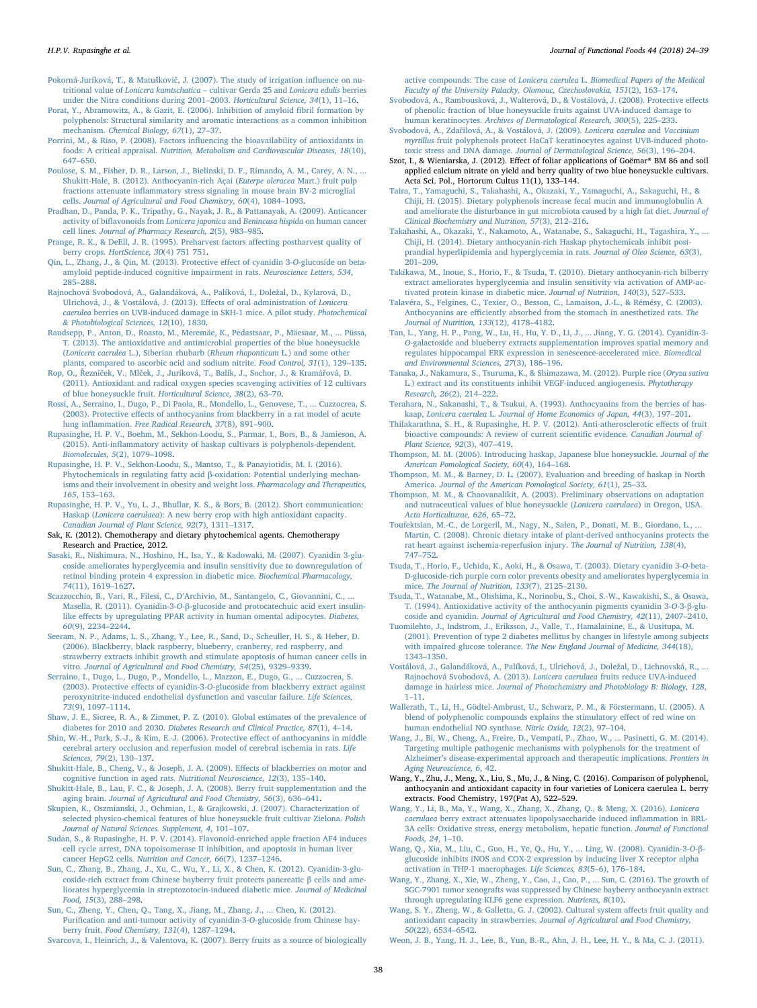<span id="page-14-4"></span>Pokorná-Juríková, T., & Matuškovič[, J. \(2007\). The study of irrigation in](http://refhub.elsevier.com/S1756-4646(18)30068-9/h0595)fluence on nutritional value of Lonicera kamtschatica – [cultivar Gerda 25 and](http://refhub.elsevier.com/S1756-4646(18)30068-9/h0595) Lonicera edulis berries [under the Nitra conditions during 2001](http://refhub.elsevier.com/S1756-4646(18)30068-9/h0595)–2003. Horticultural Science, 34(1), 11-16.

- <span id="page-14-22"></span>[Porat, Y., Abramowitz, A., & Gazit, E. \(2006\). Inhibition of amyloid](http://refhub.elsevier.com/S1756-4646(18)30068-9/h0600) fibril formation by [polyphenols: Structural similarity and aromatic interactions as a common inhibition](http://refhub.elsevier.com/S1756-4646(18)30068-9/h0600) mechanism. [Chemical Biology, 67](http://refhub.elsevier.com/S1756-4646(18)30068-9/h0600)(1), 27-37.
- <span id="page-14-6"></span>Porrini, M., & Riso, P. (2008). Factors infl[uencing the bioavailability of antioxidants in](http://refhub.elsevier.com/S1756-4646(18)30068-9/h0605) foods: A critical appraisal. [Nutrition, Metabolism and Cardiovascular Diseases, 18](http://refhub.elsevier.com/S1756-4646(18)30068-9/h0605)(10), 647–[650](http://refhub.elsevier.com/S1756-4646(18)30068-9/h0605).
- <span id="page-14-16"></span>[Poulose, S. M., Fisher, D. R., Larson, J., Bielinski, D. F., Rimando, A. M., Carey, A. N., ...](http://refhub.elsevier.com/S1756-4646(18)30068-9/h0610) [Shukitt-Hale, B. \(2012\). Anthocyanin-rich Açai \(](http://refhub.elsevier.com/S1756-4646(18)30068-9/h0610)Euterpe oleracea Mart.) fruit pulp fractions attenuate infl[ammatory stress signaling in mouse brain BV-2 microglial](http://refhub.elsevier.com/S1756-4646(18)30068-9/h0610) cells. [Journal of Agricultural and Food Chemistry, 60](http://refhub.elsevier.com/S1756-4646(18)30068-9/h0610)(4), 1084–1093.
- <span id="page-14-37"></span>[Pradhan, D., Panda, P. K., Tripathy, G., Nayak, J. R., & Pattanayak, A. \(2009\). Anticancer](http://refhub.elsevier.com/S1756-4646(18)30068-9/h0615) activity of biflavonoids from Lonicera japonica and Benincasa hispida [on human cancer](http://refhub.elsevier.com/S1756-4646(18)30068-9/h0615) cell lines. [Journal of Pharmacy Research, 2](http://refhub.elsevier.com/S1756-4646(18)30068-9/h0615)(5), 983–985.
- [Prange, R. K., & DeEll, J. R. \(1995\). Preharvest factors a](http://refhub.elsevier.com/S1756-4646(18)30068-9/h0620)ffecting postharvest quality of berry crops. [HortScience, 30](http://refhub.elsevier.com/S1756-4646(18)30068-9/h0620)(4) 751 751.
- <span id="page-14-20"></span>[Qin, L., Zhang, J., & Qin, M. \(2013\). Protective e](http://refhub.elsevier.com/S1756-4646(18)30068-9/h0625)ffect of cyanidin 3-O-glucoside on beta[amyloid peptide-induced cognitive impairment in rats.](http://refhub.elsevier.com/S1756-4646(18)30068-9/h0625) Neuroscience Letters, 534, 285–[288](http://refhub.elsevier.com/S1756-4646(18)30068-9/h0625).
- <span id="page-14-31"></span>[Rajnochová Svobodová, A., Galandáková, A., Palíková, I., Dole](http://refhub.elsevier.com/S1756-4646(18)30068-9/h0630)žal, D., Kylarová, D., [Ulrichová, J., & Vostálová, J. \(2013\). E](http://refhub.elsevier.com/S1756-4646(18)30068-9/h0630)ffects of oral administration of Lonicera caerulea [berries on UVB-induced damage in SKH-1 mice. A pilot study.](http://refhub.elsevier.com/S1756-4646(18)30068-9/h0630) Photochemical [& Photobiological Sciences, 12](http://refhub.elsevier.com/S1756-4646(18)30068-9/h0630)(10), 1830.
- <span id="page-14-14"></span>[Raudsepp, P., Anton, D., Roasto, M., Meremäe, K., Pedastsaar, P., Mäesaar, M., ... Püssa,](http://refhub.elsevier.com/S1756-4646(18)30068-9/h0635) [T. \(2013\). The antioxidative and antimicrobial properties of the blue honeysuckle](http://refhub.elsevier.com/S1756-4646(18)30068-9/h0635) (Lonicera caerulea [L.\), Siberian rhubarb \(](http://refhub.elsevier.com/S1756-4646(18)30068-9/h0635)Rheum rhaponticum L.) and some other [plants, compared to ascorbic acid and sodium nitrite.](http://refhub.elsevier.com/S1756-4646(18)30068-9/h0635) Food Control, 31(1), 129–135.
- <span id="page-14-9"></span>Rop, O., Řezníček, V., Mlč[ek, J., Juríková, T., Balík, J., Sochor, J., & Kramá](http://refhub.elsevier.com/S1756-4646(18)30068-9/h0640)řová, D. [\(2011\). Antioxidant and radical oxygen species scavenging activities of 12 cultivars](http://refhub.elsevier.com/S1756-4646(18)30068-9/h0640) [of blue honeysuckle fruit.](http://refhub.elsevier.com/S1756-4646(18)30068-9/h0640) Horticultural Science, 38(2), 63–70.
- <span id="page-14-12"></span>[Rossi, A., Serraino, I., Dugo, P., Di Paola, R., Mondello, L., Genovese, T., ... Cuzzocrea, S.](http://refhub.elsevier.com/S1756-4646(18)30068-9/h0645) (2003). Protective eff[ects of anthocyanins from blackberry in a rat model of acute](http://refhub.elsevier.com/S1756-4646(18)30068-9/h0645) lung inflammation. [Free Radical Research, 37](http://refhub.elsevier.com/S1756-4646(18)30068-9/h0645)(8), 891–900.
- <span id="page-14-3"></span>[Rupasinghe, H. P. V., Boehm, M., Sekhon-Loodu, S., Parmar, I., Bors, B., & Jamieson, A.](http://refhub.elsevier.com/S1756-4646(18)30068-9/h0650) (2015). Anti-infl[ammatory activity of haskap cultivars is polyphenols-dependent.](http://refhub.elsevier.com/S1756-4646(18)30068-9/h0650) [Biomolecules, 5](http://refhub.elsevier.com/S1756-4646(18)30068-9/h0650)(2), 1079–1098.
- [Rupasinghe, H. P. V., Sekhon-Loodu, S., Mantso, T., & Panayiotidis, M. I. \(2016\).](http://refhub.elsevier.com/S1756-4646(18)30068-9/h0655) Phytochemicals in regulating fatty acid β[-oxidation: Potential underlying mechan](http://refhub.elsevier.com/S1756-4646(18)30068-9/h0655)[isms and their involvement in obesity and weight loss.](http://refhub.elsevier.com/S1756-4646(18)30068-9/h0655) Pharmacology and Therapeutics, 165[, 153](http://refhub.elsevier.com/S1756-4646(18)30068-9/h0655)–163.
- <span id="page-14-1"></span>[Rupasinghe, H. P. V., Yu, L. J., Bhullar, K. S., & Bors, B. \(2012\). Short communication:](http://refhub.elsevier.com/S1756-4646(18)30068-9/h0660) Haskap (Lonicera caerulaea[\): A new berry crop with high antioxidant capacity.](http://refhub.elsevier.com/S1756-4646(18)30068-9/h0660) [Canadian Journal of Plant Science, 92](http://refhub.elsevier.com/S1756-4646(18)30068-9/h0660)(7), 1311–1317.
- <span id="page-14-36"></span>Sak, K. (2012). Chemotherapy and dietary phytochemical agents. Chemotherapy Research and Practice, 2012.
- <span id="page-14-29"></span>[Sasaki, R., Nishimura, N., Hoshino, H., Isa, Y., & Kadowaki, M. \(2007\). Cyanidin 3-glu](http://refhub.elsevier.com/S1756-4646(18)30068-9/h0670)[coside ameliorates hyperglycemia and insulin sensitivity due to downregulation of](http://refhub.elsevier.com/S1756-4646(18)30068-9/h0670) [retinol binding protein 4 expression in diabetic mice.](http://refhub.elsevier.com/S1756-4646(18)30068-9/h0670) Biochemical Pharmacology, 74[\(11\), 1619](http://refhub.elsevier.com/S1756-4646(18)30068-9/h0670)–1627.
- <span id="page-14-30"></span>Scazzocchio, B., Vari, R., Filesi, C., D'[Archivio, M., Santangelo, C., Giovannini, C., ...](http://refhub.elsevier.com/S1756-4646(18)30068-9/h0675) Masella, R. (2011). Cyanidin-3-O-β[-glucoside and protocatechuic acid exert insulin](http://refhub.elsevier.com/S1756-4646(18)30068-9/h0675)like eff[ects by upregulating PPAR activity in human omental adipocytes.](http://refhub.elsevier.com/S1756-4646(18)30068-9/h0675) Diabetes, 60[\(9\), 2234](http://refhub.elsevier.com/S1756-4646(18)30068-9/h0675)–2244.
- [Seeram, N. P., Adams, L. S., Zhang, Y., Lee, R., Sand, D., Scheuller, H. S., & Heber, D.](http://refhub.elsevier.com/S1756-4646(18)30068-9/h0680) [\(2006\). Blackberry, black raspberry, blueberry, cranberry, red raspberry, and](http://refhub.elsevier.com/S1756-4646(18)30068-9/h0680) [strawberry extracts inhibit growth and stimulate apoptosis of human cancer cells in](http://refhub.elsevier.com/S1756-4646(18)30068-9/h0680) vitro. [Journal of Agricultural and Food Chemistry, 54](http://refhub.elsevier.com/S1756-4646(18)30068-9/h0680)(25), 9329–9339.
- <span id="page-14-26"></span>Serraino, [I., Dugo, L., Dugo, P., Mondello, L., Mazzon, E., Dugo, G., ... Cuzzocrea, S.](http://refhub.elsevier.com/S1756-4646(18)30068-9/h0685) (2003). Protective effects of cyanidin-3-O[-glucoside from blackberry extract against](http://refhub.elsevier.com/S1756-4646(18)30068-9/h0685) [peroxynitrite-induced endothelial dysfunction and vascular failure.](http://refhub.elsevier.com/S1756-4646(18)30068-9/h0685) Life Sciences, 73[\(9\), 1097](http://refhub.elsevier.com/S1756-4646(18)30068-9/h0685)–1114.
- <span id="page-14-27"></span>[Shaw, J. E., Sicree, R. A., & Zimmet, P. Z. \(2010\). Global estimates of the prevalence of](http://refhub.elsevier.com/S1756-4646(18)30068-9/h0690) diabetes for 2010 and 2030. [Diabetes Research and Clinical Practice, 87](http://refhub.elsevier.com/S1756-4646(18)30068-9/h0690)(1), 4–14.
- [Shin, W.-H., Park, S.-J., & Kim, E.-J. \(2006\). Protective e](http://refhub.elsevier.com/S1756-4646(18)30068-9/h0695)ffect of anthocyanins in middle [cerebral artery occlusion and reperfusion model of cerebral ischemia in rats.](http://refhub.elsevier.com/S1756-4646(18)30068-9/h0695) Life [Sciences, 79](http://refhub.elsevier.com/S1756-4646(18)30068-9/h0695)(2), 130–137.
- <span id="page-14-18"></span>[Shukitt-Hale, B., Cheng, V., & Joseph, J. A. \(2009\). E](http://refhub.elsevier.com/S1756-4646(18)30068-9/h0700)ffects of blackberries on motor and [cognitive function in aged rats.](http://refhub.elsevier.com/S1756-4646(18)30068-9/h0700) Nutritional Neuroscience, 12(3), 135–140.
- [Shukitt-Hale, B., Lau, F. C., & Joseph, J. A. \(2008\). Berry fruit supplementation and the](http://refhub.elsevier.com/S1756-4646(18)30068-9/h0705) aging brain. [Journal of Agricultural and Food Chemistry, 56](http://refhub.elsevier.com/S1756-4646(18)30068-9/h0705)(3), 636–641.
- <span id="page-14-7"></span>[Skupien, K., Oszmianski, J., Ochmian, I., & Grajkowski, J. \(2007\). Characterization of](http://refhub.elsevier.com/S1756-4646(18)30068-9/h0710) [selected physico-chemical features of blue honeysuckle fruit cultivar Zielona.](http://refhub.elsevier.com/S1756-4646(18)30068-9/h0710) Polish [Journal of Natural Sciences. Supplement, 4](http://refhub.elsevier.com/S1756-4646(18)30068-9/h0710), 101–107.
- [Sudan, S., & Rupasinghe, H. P. V. \(2014\). Flavonoid-enriched apple fraction AF4 induces](http://refhub.elsevier.com/S1756-4646(18)30068-9/h0715) [cell cycle arrest, DNA topoisomerase II inhibition, and apoptosis in human liver](http://refhub.elsevier.com/S1756-4646(18)30068-9/h0715) cancer HepG2 cells. [Nutrition and Cancer, 66](http://refhub.elsevier.com/S1756-4646(18)30068-9/h0715)(7), 1237–1246.
- <span id="page-14-35"></span>[Sun, C., Zhang, B., Zhang, J., Xu, C., Wu, Y., Li, X., & Chen, K. \(2012\). Cyanidin-3-glu](http://refhub.elsevier.com/S1756-4646(18)30068-9/h0720)[coside-rich extract from Chinese bayberry fruit protects pancreatic](http://refhub.elsevier.com/S1756-4646(18)30068-9/h0720) β cells and ame[liorates hyperglycemia in streptozotocin-induced diabetic mice.](http://refhub.elsevier.com/S1756-4646(18)30068-9/h0720) Journal of Medicinal [Food, 15](http://refhub.elsevier.com/S1756-4646(18)30068-9/h0720)(3), 288–298.
- [Sun, C., Zheng, Y., Chen, Q., Tang, X., Jiang, M., Zhang, J., ... Chen, K. \(2012\).](http://refhub.elsevier.com/S1756-4646(18)30068-9/h0725) Purifi[cation and anti-tumour activity of cyanidin-3-](http://refhub.elsevier.com/S1756-4646(18)30068-9/h0725)O-glucoside from Chinese bayberry fruit. [Food Chemistry, 131](http://refhub.elsevier.com/S1756-4646(18)30068-9/h0725)(4), 1287–1294.

<span id="page-14-28"></span>[Svarcova, I., Heinrich, J., & Valentova, K. \(2007\). Berry fruits as a source of biologically](http://refhub.elsevier.com/S1756-4646(18)30068-9/h0730)

active compounds: The case of Lonicera caerulea L. [Biomedical Papers of the Medical](http://refhub.elsevier.com/S1756-4646(18)30068-9/h0730) [Faculty of the University Palacky, Olomouc, Czechoslovakia, 151](http://refhub.elsevier.com/S1756-4646(18)30068-9/h0730)(2), 163–174.

- <span id="page-14-32"></span>[Svobodová, A., Rambousková, J., Walterová, D., & Vostálová, J. \(2008\). Protective e](http://refhub.elsevier.com/S1756-4646(18)30068-9/h0735)ffects [of phenolic fraction of blue honeysuckle fruits against UVA-induced damage to](http://refhub.elsevier.com/S1756-4646(18)30068-9/h0735) human keratinocytes. Archives [of Dermatological Research, 300](http://refhub.elsevier.com/S1756-4646(18)30068-9/h0735)(5), 225–233.
- <span id="page-14-33"></span>Svobodová, A., Zdař[ilová, A., & Vostálová, J. \(2009\).](http://refhub.elsevier.com/S1756-4646(18)30068-9/h0740) Lonicera caerulea and Vaccinium myrtillus [fruit polyphenols protect HaCaT keratinocytes against UVB-induced photo](http://refhub.elsevier.com/S1756-4646(18)30068-9/h0740)toxic stress and DNA damage. [Journal of Dermatological Science, 56](http://refhub.elsevier.com/S1756-4646(18)30068-9/h0740)(3), 196–204.
- <span id="page-14-5"></span>Szot, I., & Wieniarska, J. (2012). Effect of foliar applications of Goëmar® BM 86 and soil applied calcium nitrate on yield and berry quality of two blue honeysuckle cultivars. Acta Sci. Pol., Hortorum Cultus 11(1), 133–144.
- <span id="page-14-39"></span>[Taira, T., Yamaguchi, S., Takahashi, A., Okazaki, Y., Yamaguchi, A., Sakaguchi, H., &](http://refhub.elsevier.com/S1756-4646(18)30068-9/h0750) [Chiji, H. \(2015\). Dietary polyphenols increase fecal mucin and immunoglobulin A](http://refhub.elsevier.com/S1756-4646(18)30068-9/h0750) [and ameliorate the disturbance in gut microbiota caused by a high fat diet.](http://refhub.elsevier.com/S1756-4646(18)30068-9/h0750) Journal of [Clinical Biochemistry and Nutrition, 57](http://refhub.elsevier.com/S1756-4646(18)30068-9/h0750)(3), 212–216.
- <span id="page-14-23"></span>[Takahashi, A., Okazaki, Y., Nakamoto, A., Watanabe, S., Sakaguchi, H., Tagashira, Y., ...](http://refhub.elsevier.com/S1756-4646(18)30068-9/h0755) [Chiji, H. \(2014\). Dietary anthocyanin-rich Haskap phytochemicals inhibit post](http://refhub.elsevier.com/S1756-4646(18)30068-9/h0755)[prandial hyperlipidemia and hyperglycemia in rats.](http://refhub.elsevier.com/S1756-4646(18)30068-9/h0755) Journal of Oleo Science, 63(3), <sub>201–[209](http://refhub.elsevier.com/S1756-4646(18)30068-9/h0755)</sub>
- <span id="page-14-34"></span>[Takikawa, M., Inoue, S., Horio, F., & Tsuda, T. \(2010\). Dietary anthocyanin-rich bilberry](http://refhub.elsevier.com/S1756-4646(18)30068-9/h0760) [extract ameliorates hyperglycemia and insulin sensitivity via activation of AMP-ac](http://refhub.elsevier.com/S1756-4646(18)30068-9/h0760)[tivated protein kinase in diabetic mice.](http://refhub.elsevier.com/S1756-4646(18)30068-9/h0760) Journal of Nutrition, 140(3), 527–533.
- <span id="page-14-8"></span>[Talavéra, S., Felgines, C., Texier, O., Besson, C., Lamaison, J.-L., & Rémésy, C. \(2003\).](http://refhub.elsevier.com/S1756-4646(18)30068-9/h0765) Anthocyanins are effi[ciently absorbed from the stomach in anesthetized rats.](http://refhub.elsevier.com/S1756-4646(18)30068-9/h0765) The [Journal of Nutrition, 133](http://refhub.elsevier.com/S1756-4646(18)30068-9/h0765)(12), 4178–4182.
- <span id="page-14-19"></span>[Tan, L., Yang, H. P., Pang, W., Lu, H., Hu, Y. D., Li, J., ... Jiang, Y. G. \(2014\). Cyanidin-3-](http://refhub.elsevier.com/S1756-4646(18)30068-9/h0770) O[-galactoside and blueberry extracts supplementation improves spatial memory and](http://refhub.elsevier.com/S1756-4646(18)30068-9/h0770) [regulates hippocampal ERK expression in senescence-accelerated mice.](http://refhub.elsevier.com/S1756-4646(18)30068-9/h0770) Biomedical [and Environmental Sciences, 27](http://refhub.elsevier.com/S1756-4646(18)30068-9/h0770)(3), 186–196.
- <span id="page-14-38"></span>[Tanaka, J., Nakamura, S., Tsuruma, K., & Shimazawa, M. \(2012\). Purple rice \(](http://refhub.elsevier.com/S1756-4646(18)30068-9/h0775)Oryza sativa [L.\) extract and its constituents inhibit VEGF-induced angiogenesis.](http://refhub.elsevier.com/S1756-4646(18)30068-9/h0775) Phytotherapy [Research, 26](http://refhub.elsevier.com/S1756-4646(18)30068-9/h0775)(2), 214–222.
- [Terahara, N., Sakanashi, T., & Tsukui, A. \(1993\). Anthocyanins from the berries of has](http://refhub.elsevier.com/S1756-4646(18)30068-9/h0780)kaap, Lonicera caerulea L. [Journal of Home Economics of Japan, 44](http://refhub.elsevier.com/S1756-4646(18)30068-9/h0780)(3), 197–201.
- [Thilakarathna, S. H., & Rupasinghe, H. P. V. \(2012\). Anti-atherosclerotic e](http://refhub.elsevier.com/S1756-4646(18)30068-9/h0785)ffects of fruit [bioactive compounds: A review of current scienti](http://refhub.elsevier.com/S1756-4646(18)30068-9/h0785)fic evidence. Canadian Journal of [Plant Science, 92](http://refhub.elsevier.com/S1756-4646(18)30068-9/h0785)(3), 407–419.
- <span id="page-14-0"></span>Thompson, [M. M. \(2006\). Introducing haskap, Japanese blue honeysuckle.](http://refhub.elsevier.com/S1756-4646(18)30068-9/h0790) Journal of the [American Pomological Society, 60](http://refhub.elsevier.com/S1756-4646(18)30068-9/h0790)(4), 164–168.
- [Thompson, M. M., & Barney, D. L. \(2007\). Evaluation and breeding of haskap in North](http://refhub.elsevier.com/S1756-4646(18)30068-9/h0795) America. [Journal of the American Pomological Society, 61](http://refhub.elsevier.com/S1756-4646(18)30068-9/h0795)(1), 25–33.
- <span id="page-14-15"></span>[Thompson, M. M., & Chaovanalikit, A. \(2003\). Preliminary observations on adaptation](http://refhub.elsevier.com/S1756-4646(18)30068-9/h0800) [and nutraceutical values of blue honeysuckle \(](http://refhub.elsevier.com/S1756-4646(18)30068-9/h0800)Lonicera caerulaea) in Oregon, USA. [Acta Horticulturae, 626](http://refhub.elsevier.com/S1756-4646(18)30068-9/h0800), 65–72.
- <span id="page-14-25"></span>[Toufektsian, M.-C., de Lorgeril, M., Nagy, N., Salen, P., Donati, M. B., Giordano, L., ...](http://refhub.elsevier.com/S1756-4646(18)30068-9/h0805) [Martin, C. \(2008\). Chronic dietary intake of plant-derived anthocyanins protects the](http://refhub.elsevier.com/S1756-4646(18)30068-9/h0805) [rat heart against ischemia-reperfusion injury.](http://refhub.elsevier.com/S1756-4646(18)30068-9/h0805) The Journal of Nutrition, 138(4), 747–[752](http://refhub.elsevier.com/S1756-4646(18)30068-9/h0805).
- <span id="page-14-24"></span>[Tsuda, T., Horio, F., Uchida, K., Aoki, H., & Osawa, T. \(2003\). Dietary cyanidin 3-](http://refhub.elsevier.com/S1756-4646(18)30068-9/h0810)O-beta-[D-glucoside-rich purple corn color prevents obesity and ameliorates hyperglycemia in](http://refhub.elsevier.com/S1756-4646(18)30068-9/h0810) mice. [The Journal of Nutrition, 133](http://refhub.elsevier.com/S1756-4646(18)30068-9/h0810)(7), 2125–2130.
- [Tsuda, T., Watanabe, M., Ohshima, K., Norinobu, S., Choi, S.-W., Kawakishi, S., & Osawa,](http://refhub.elsevier.com/S1756-4646(18)30068-9/h0815) [T. \(1994\). Antioxidative activity of the anthocyanin pigments cyanidin 3-](http://refhub.elsevier.com/S1756-4646(18)30068-9/h0815)O-3-β-glucoside and cyanidin. [Journal of Agricultural and Food Chemistry, 42](http://refhub.elsevier.com/S1756-4646(18)30068-9/h0815)(11), 2407–2410.
- [Tuomilehto, J., Indstrom, J., Eriksson, J., Valle, T., Hamalainine, E., & Uusitupa, M.](http://refhub.elsevier.com/S1756-4646(18)30068-9/h0820) [\(2001\). Prevention of type 2 diabetes mellitus by changes in lifestyle among subjects](http://refhub.elsevier.com/S1756-4646(18)30068-9/h0820) with impaired glucose tolerance. [The New England Journal of Medicine, 344](http://refhub.elsevier.com/S1756-4646(18)30068-9/h0820)(18), 1343–[1350](http://refhub.elsevier.com/S1756-4646(18)30068-9/h0820).
- <span id="page-14-40"></span>[Vostálová, J., Galandáková, A., Palíková, I., Ulrichová, J., Dole](http://refhub.elsevier.com/S1756-4646(18)30068-9/h0825)žal, D., Lichnovská, R., ... [Rajnochová Svobodová, A. \(2013\).](http://refhub.elsevier.com/S1756-4646(18)30068-9/h0825) Lonicera caerulaea fruits reduce UVA-induced damage in hairless mice. [Journal of Photochemistry and Photobiology B: Biology, 128](http://refhub.elsevier.com/S1756-4646(18)30068-9/h0825), 1–[11.](http://refhub.elsevier.com/S1756-4646(18)30068-9/h0825)
- [Wallerath, T., Li, H., Gödtel-Ambrust, U., Schwarz, P. M., & Förstermann, U. \(2005\). A](http://refhub.elsevier.com/S1756-4646(18)30068-9/h0830) [blend of polyphenolic compounds explains the stimulatory e](http://refhub.elsevier.com/S1756-4646(18)30068-9/h0830)ffect of red wine on [human endothelial NO synthase.](http://refhub.elsevier.com/S1756-4646(18)30068-9/h0830) Nitric Oxide, 12(2), 97–104.
- <span id="page-14-21"></span>[Wang, J., Bi, W., Cheng, A., Freire, D., Vempati, P., Zhao, W., ... Pasinetti, G. M. \(2014\).](http://refhub.elsevier.com/S1756-4646(18)30068-9/h0835) [Targeting multiple pathogenic mechanisms with polyphenols for the treatment of](http://refhub.elsevier.com/S1756-4646(18)30068-9/h0835) Alzheimer'[s disease-experimental approach and therapeutic implications.](http://refhub.elsevier.com/S1756-4646(18)30068-9/h0835) Frontiers in [Aging Neuroscience, 6](http://refhub.elsevier.com/S1756-4646(18)30068-9/h0835), 42.
- <span id="page-14-13"></span>Wang, Y., Zhu, J., Meng, X., Liu, S., Mu, J., & Ning, C. (2016). Comparison of polyphenol, anthocyanin and antioxidant capacity in four varieties of Lonicera caerulea L. berry extracts. Food Chemistry, 197(Pat A), 522–529.
- <span id="page-14-10"></span>Wang, [Y., Li, B., Ma, Y., Wang, X., Zhang, X., Zhang, Q., & Meng, X. \(2016\).](http://refhub.elsevier.com/S1756-4646(18)30068-9/h0845) Lonicera caerulaea [berry extract attenuates lipopolysaccharide induced in](http://refhub.elsevier.com/S1756-4646(18)30068-9/h0845)flammation in BRL-[3A cells: Oxidative stress, energy metabolism, hepatic function.](http://refhub.elsevier.com/S1756-4646(18)30068-9/h0845) Journal of Functional [Foods, 24](http://refhub.elsevier.com/S1756-4646(18)30068-9/h0845), 1–10.
- <span id="page-14-11"></span>[Wang, Q., Xia, M., Liu, C., Guo, H., Ye, Q., Hu, Y., ... Ling, W. \(2008\). Cyanidin-3-](http://refhub.elsevier.com/S1756-4646(18)30068-9/h0850)O-β[glucoside inhibits iNOS and COX-2 expression by inducing liver X receptor alpha](http://refhub.elsevier.com/S1756-4646(18)30068-9/h0850) [activation in THP-1 macrophages.](http://refhub.elsevier.com/S1756-4646(18)30068-9/h0850) Life Sciences, 83(5–6), 176–184.
- <span id="page-14-41"></span>[Wang, Y., Zhang, X., Xie, W., Zheng, Y., Cao, J., Cao, P., ... Sun, C. \(2016\). The growth of](http://refhub.elsevier.com/S1756-4646(18)30068-9/h0855) [SGC-7901 tumor xenografts was suppressed by Chinese bayberry anthocyanin extract](http://refhub.elsevier.com/S1756-4646(18)30068-9/h0855) [through upregulating KLF6 gene expression.](http://refhub.elsevier.com/S1756-4646(18)30068-9/h0855) Nutrients, 8(10).
- <span id="page-14-2"></span>[Wang, S. Y., Zheng, W., & Galletta, G. J. \(2002\). Cultural system a](http://refhub.elsevier.com/S1756-4646(18)30068-9/h0860)ffects fruit quality and antioxidant capacity in strawberries. [Journal of Agricultural and Food Chemistry,](http://refhub.elsevier.com/S1756-4646(18)30068-9/h0860) 50[\(22\), 6534](http://refhub.elsevier.com/S1756-4646(18)30068-9/h0860)–6542.
- <span id="page-14-17"></span>[Weon, J. B., Yang, H. J., Lee, B., Yun, B.-R., Ahn, J. H., Lee, H. Y., & Ma, C. J. \(2011\).](http://refhub.elsevier.com/S1756-4646(18)30068-9/h0865)